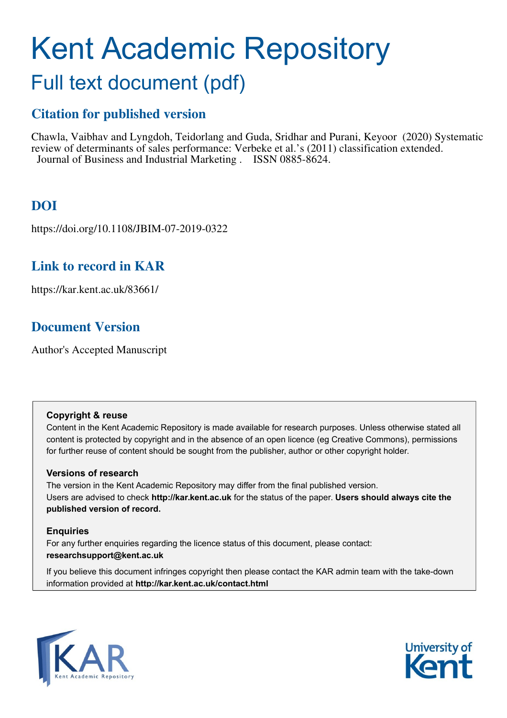# Kent Academic Repository

## Full text document (pdf)

## **Citation for published version**

Chawla, Vaibhav and Lyngdoh, Teidorlang and Guda, Sridhar and Purani, Keyoor (2020) Systematic review of determinants of sales performance: Verbeke et al.'s (2011) classification extended. Journal of Business and Industrial Marketing . ISSN 0885-8624.

## **DOI**

https://doi.org/10.1108/JBIM-07-2019-0322

### **Link to record in KAR**

https://kar.kent.ac.uk/83661/

## **Document Version**

Author's Accepted Manuscript

#### **Copyright & reuse**

Content in the Kent Academic Repository is made available for research purposes. Unless otherwise stated all content is protected by copyright and in the absence of an open licence (eg Creative Commons), permissions for further reuse of content should be sought from the publisher, author or other copyright holder.

#### **Versions of research**

The version in the Kent Academic Repository may differ from the final published version. Users are advised to check **http://kar.kent.ac.uk** for the status of the paper. **Users should always cite the published version of record.**

#### **Enquiries**

For any further enquiries regarding the licence status of this document, please contact: **researchsupport@kent.ac.uk**

If you believe this document infringes copyright then please contact the KAR admin team with the take-down information provided at **http://kar.kent.ac.uk/contact.html**



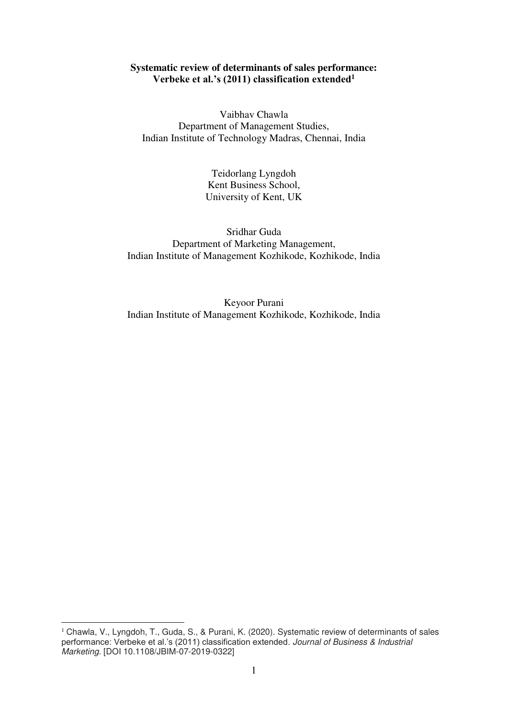#### **Systematic review of determinants of sales performance: Verbeke et al.'s (2011) classification extended<sup>1</sup>**

Vaibhav Chawla Department of Management Studies, Indian Institute of Technology Madras, Chennai, India

> Teidorlang Lyngdoh Kent Business School, University of Kent, UK

Sridhar Guda Department of Marketing Management, Indian Institute of Management Kozhikode, Kozhikode, India

Keyoor Purani Indian Institute of Management Kozhikode, Kozhikode, India

-

<sup>&</sup>lt;sup>1</sup> Chawla, V., Lyngdoh, T., Guda, S., & Purani, K. (2020). Systematic review of determinants of sales performance: Verbeke et al.'s (2011) classification extended. Journal of Business & Industrial Marketing. [DOI 10.1108/JBIM-07-2019-0322]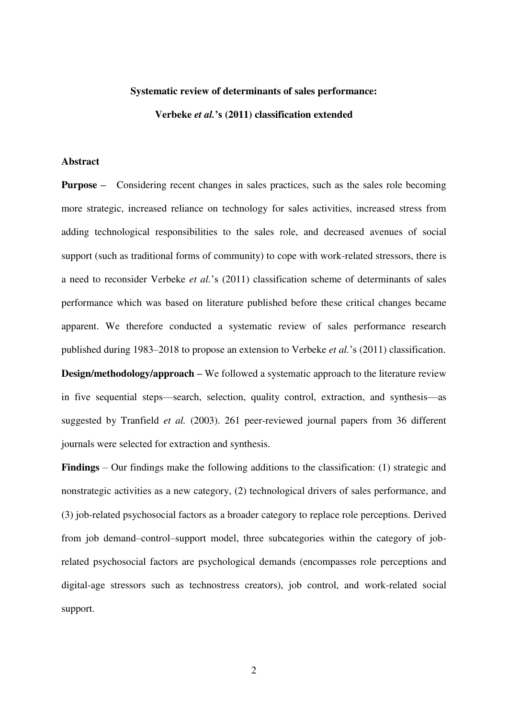#### **Systematic review of determinants of sales performance:**

**Verbeke** *et al.***'s (2011) classification extended** 

#### **Abstract**

**Purpose –** Considering recent changes in sales practices, such as the sales role becoming more strategic, increased reliance on technology for sales activities, increased stress from adding technological responsibilities to the sales role, and decreased avenues of social support (such as traditional forms of community) to cope with work-related stressors, there is a need to reconsider Verbeke *et al.*'s (2011) classification scheme of determinants of sales performance which was based on literature published before these critical changes became apparent. We therefore conducted a systematic review of sales performance research published during 1983–2018 to propose an extension to Verbeke *et al.*'s (2011) classification. **Design/methodology/approach – We followed a systematic approach to the literature review** in five sequential steps—search, selection, quality control, extraction, and synthesis—as suggested by Tranfield *et al.* (2003). 261 peer-reviewed journal papers from 36 different journals were selected for extraction and synthesis.

**Findings** – Our findings make the following additions to the classification: (1) strategic and nonstrategic activities as a new category, (2) technological drivers of sales performance, and (3) job-related psychosocial factors as a broader category to replace role perceptions. Derived from job demand–control–support model, three subcategories within the category of jobrelated psychosocial factors are psychological demands (encompasses role perceptions and digital-age stressors such as technostress creators), job control, and work-related social support.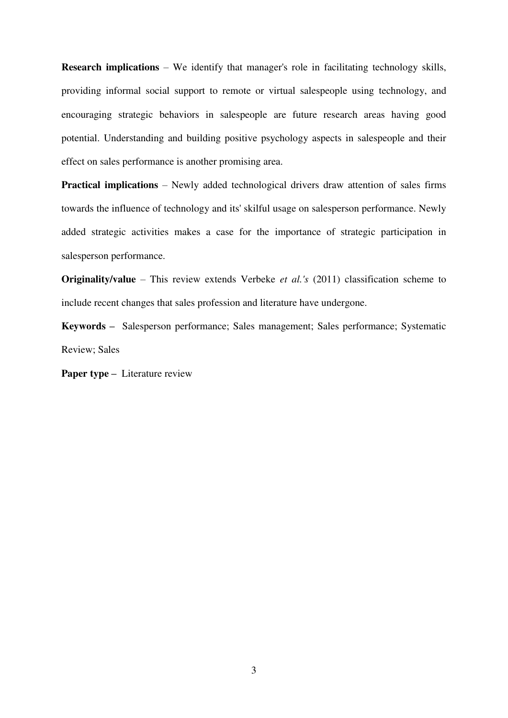**Research implications** – We identify that manager's role in facilitating technology skills, providing informal social support to remote or virtual salespeople using technology, and encouraging strategic behaviors in salespeople are future research areas having good potential. Understanding and building positive psychology aspects in salespeople and their effect on sales performance is another promising area.

**Practical implications** – Newly added technological drivers draw attention of sales firms towards the influence of technology and its' skilful usage on salesperson performance. Newly added strategic activities makes a case for the importance of strategic participation in salesperson performance.

**Originality/value** – This review extends Verbeke *et al.'s* (2011) classification scheme to include recent changes that sales profession and literature have undergone.

**Keywords –** Salesperson performance; Sales management; Sales performance; Systematic Review; Sales

**Paper type –** Literature review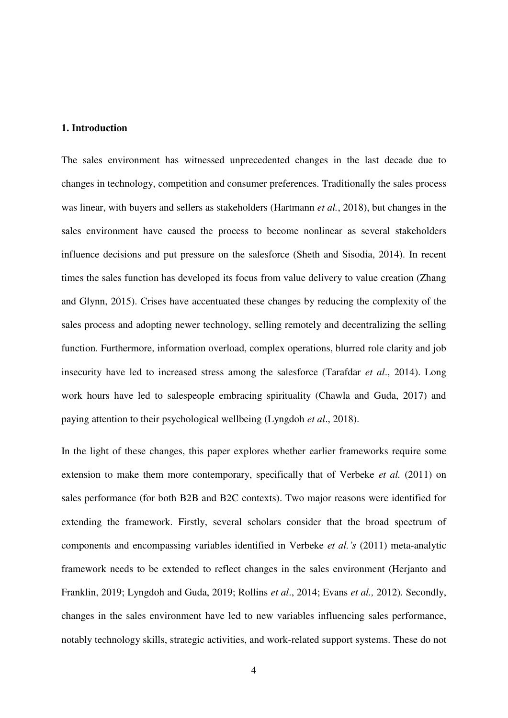#### **1. Introduction**

The sales environment has witnessed unprecedented changes in the last decade due to changes in technology, competition and consumer preferences. Traditionally the sales process was linear, with buyers and sellers as stakeholders (Hartmann *et al.*, 2018), but changes in the sales environment have caused the process to become nonlinear as several stakeholders influence decisions and put pressure on the salesforce (Sheth and Sisodia, 2014). In recent times the sales function has developed its focus from value delivery to value creation (Zhang and Glynn, 2015). Crises have accentuated these changes by reducing the complexity of the sales process and adopting newer technology, selling remotely and decentralizing the selling function. Furthermore, information overload, complex operations, blurred role clarity and job insecurity have led to increased stress among the salesforce (Tarafdar *et al*., 2014). Long work hours have led to salespeople embracing spirituality (Chawla and Guda, 2017) and paying attention to their psychological wellbeing (Lyngdoh *et al*., 2018).

In the light of these changes, this paper explores whether earlier frameworks require some extension to make them more contemporary, specifically that of Verbeke *et al.* (2011) on sales performance (for both B2B and B2C contexts). Two major reasons were identified for extending the framework. Firstly, several scholars consider that the broad spectrum of components and encompassing variables identified in Verbeke *et al.'s* (2011) meta-analytic framework needs to be extended to reflect changes in the sales environment (Herjanto and Franklin, 2019; Lyngdoh and Guda, 2019; Rollins *et al*., 2014; Evans *et al.,* 2012). Secondly, changes in the sales environment have led to new variables influencing sales performance, notably technology skills, strategic activities, and work-related support systems. These do not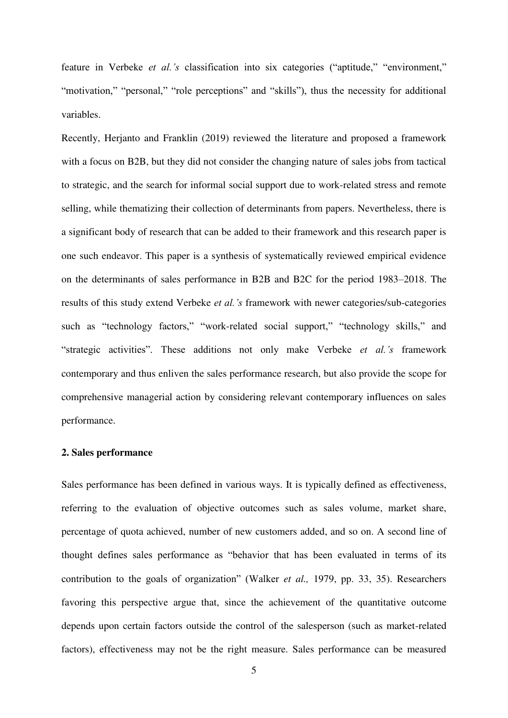feature in Verbeke *et al.'s* classification into six categories ("aptitude," "environment," "motivation," "personal," "role perceptions" and "skills"), thus the necessity for additional variables.

Recently, Herjanto and Franklin (2019) reviewed the literature and proposed a framework with a focus on B2B, but they did not consider the changing nature of sales jobs from tactical to strategic, and the search for informal social support due to work-related stress and remote selling, while thematizing their collection of determinants from papers. Nevertheless, there is a significant body of research that can be added to their framework and this research paper is one such endeavor. This paper is a synthesis of systematically reviewed empirical evidence on the determinants of sales performance in B2B and B2C for the period 1983–2018. The results of this study extend Verbeke *et al.'s* framework with newer categories/sub-categories such as "technology factors," "work-related social support," "technology skills," and "strategic activities". These additions not only make Verbeke *et al.'s* framework contemporary and thus enliven the sales performance research, but also provide the scope for comprehensive managerial action by considering relevant contemporary influences on sales performance.

#### **2. Sales performance**

Sales performance has been defined in various ways. It is typically defined as effectiveness, referring to the evaluation of objective outcomes such as sales volume, market share, percentage of quota achieved, number of new customers added, and so on. A second line of thought defines sales performance as "behavior that has been evaluated in terms of its contribution to the goals of organization" (Walker *et al.,* 1979, pp. 33, 35). Researchers favoring this perspective argue that, since the achievement of the quantitative outcome depends upon certain factors outside the control of the salesperson (such as market-related factors), effectiveness may not be the right measure. Sales performance can be measured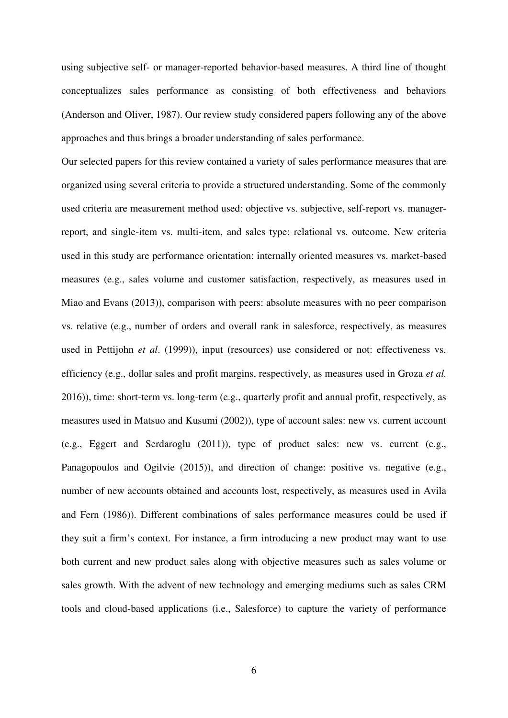using subjective self- or manager-reported behavior-based measures. A third line of thought conceptualizes sales performance as consisting of both effectiveness and behaviors (Anderson and Oliver, 1987). Our review study considered papers following any of the above approaches and thus brings a broader understanding of sales performance.

Our selected papers for this review contained a variety of sales performance measures that are organized using several criteria to provide a structured understanding. Some of the commonly used criteria are measurement method used: objective vs. subjective, self-report vs. managerreport, and single-item vs. multi-item, and sales type: relational vs. outcome. New criteria used in this study are performance orientation: internally oriented measures vs. market-based measures (e.g., sales volume and customer satisfaction, respectively, as measures used in Miao and Evans (2013)), comparison with peers: absolute measures with no peer comparison vs. relative (e.g., number of orders and overall rank in salesforce, respectively, as measures used in Pettijohn *et al*. (1999)), input (resources) use considered or not: effectiveness vs. efficiency (e.g., dollar sales and profit margins, respectively, as measures used in Groza *et al.* 2016)), time: short-term vs. long-term (e.g., quarterly profit and annual profit, respectively, as measures used in Matsuo and Kusumi (2002)), type of account sales: new vs. current account (e.g., Eggert and Serdaroglu (2011)), type of product sales: new vs. current (e.g., Panagopoulos and Ogilvie (2015)), and direction of change: positive vs. negative (e.g., number of new accounts obtained and accounts lost, respectively, as measures used in Avila and Fern (1986)). Different combinations of sales performance measures could be used if they suit a firm's context. For instance, a firm introducing a new product may want to use both current and new product sales along with objective measures such as sales volume or sales growth. With the advent of new technology and emerging mediums such as sales CRM tools and cloud-based applications (i.e., Salesforce) to capture the variety of performance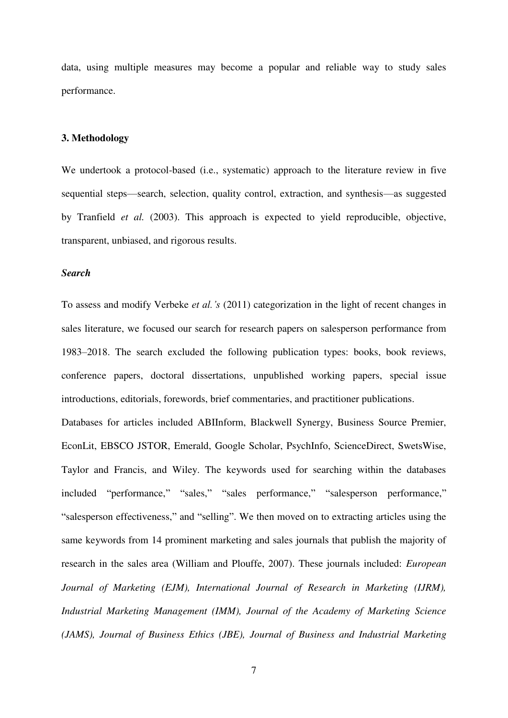data, using multiple measures may become a popular and reliable way to study sales performance.

#### **3. Methodology**

We undertook a protocol-based (i.e., systematic) approach to the literature review in five sequential steps—search, selection, quality control, extraction, and synthesis—as suggested by Tranfield *et al.* (2003). This approach is expected to yield reproducible, objective, transparent, unbiased, and rigorous results.

#### *Search*

To assess and modify Verbeke *et al.'s* (2011) categorization in the light of recent changes in sales literature, we focused our search for research papers on salesperson performance from 1983–2018. The search excluded the following publication types: books, book reviews, conference papers, doctoral dissertations, unpublished working papers, special issue introductions, editorials, forewords, brief commentaries, and practitioner publications.

Databases for articles included ABIInform, Blackwell Synergy, Business Source Premier, EconLit, EBSCO JSTOR, Emerald, Google Scholar, PsychInfo, ScienceDirect, SwetsWise, Taylor and Francis, and Wiley. The keywords used for searching within the databases included "performance," "sales," "sales performance," "salesperson performance," "salesperson effectiveness," and "selling". We then moved on to extracting articles using the same keywords from 14 prominent marketing and sales journals that publish the majority of research in the sales area (William and Plouffe, 2007). These journals included: *European Journal of Marketing (EJM), International Journal of Research in Marketing (IJRM), Industrial Marketing Management (IMM), Journal of the Academy of Marketing Science (JAMS), Journal of Business Ethics (JBE), Journal of Business and Industrial Marketing*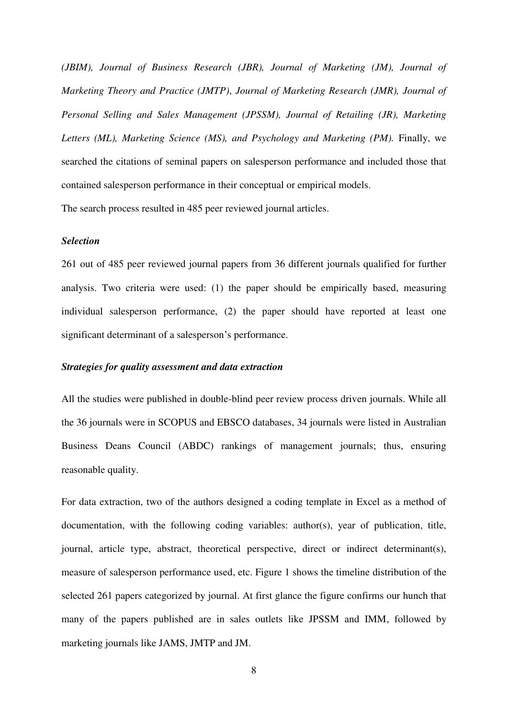*(JBIM), Journal of Business Research (JBR), Journal of Marketing (JM), Journal of Marketing Theory and Practice (JMTP)*, *Journal of Marketing Research (JMR), Journal of Personal Selling and Sales Management (JPSSM), Journal of Retailing (JR), Marketing*  Letters (ML), Marketing Science (MS), and Psychology and Marketing (PM). Finally, we searched the citations of seminal papers on salesperson performance and included those that contained salesperson performance in their conceptual or empirical models. The search process resulted in 485 peer reviewed journal articles.

#### *Selection*

261 out of 485 peer reviewed journal papers from 36 different journals qualified for further analysis. Two criteria were used: (1) the paper should be empirically based, measuring individual salesperson performance, (2) the paper should have reported at least one significant determinant of a salesperson's performance.

#### *Strategies for quality assessment and data extraction*

All the studies were published in double-blind peer review process driven journals. While all the 36 journals were in SCOPUS and EBSCO databases, 34 journals were listed in Australian Business Deans Council (ABDC) rankings of management journals; thus, ensuring reasonable quality.

For data extraction, two of the authors designed a coding template in Excel as a method of documentation, with the following coding variables: author(s), year of publication, title, journal, article type, abstract, theoretical perspective, direct or indirect determinant(s), measure of salesperson performance used, etc. Figure 1 shows the timeline distribution of the selected 261 papers categorized by journal. At first glance the figure confirms our hunch that many of the papers published are in sales outlets like JPSSM and IMM, followed by marketing journals like JAMS, JMTP and JM.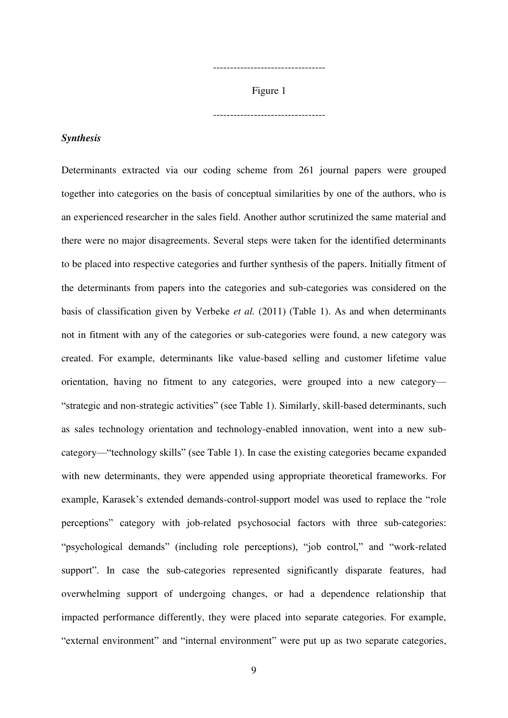Figure 1

---------------------------------

---------------------------------

#### *Synthesis*

Determinants extracted via our coding scheme from 261 journal papers were grouped together into categories on the basis of conceptual similarities by one of the authors, who is an experienced researcher in the sales field. Another author scrutinized the same material and there were no major disagreements. Several steps were taken for the identified determinants to be placed into respective categories and further synthesis of the papers. Initially fitment of the determinants from papers into the categories and sub-categories was considered on the basis of classification given by Verbeke *et al.* (2011) (Table 1). As and when determinants not in fitment with any of the categories or sub-categories were found, a new category was created. For example, determinants like value-based selling and customer lifetime value orientation, having no fitment to any categories, were grouped into a new category— "strategic and non-strategic activities" (see Table 1). Similarly, skill-based determinants, such as sales technology orientation and technology-enabled innovation, went into a new subcategory—"technology skills" (see Table 1). In case the existing categories became expanded with new determinants, they were appended using appropriate theoretical frameworks. For example, Karasek's extended demands-control-support model was used to replace the "role perceptions" category with job-related psychosocial factors with three sub-categories: "psychological demands" (including role perceptions), "job control," and "work-related support". In case the sub-categories represented significantly disparate features, had overwhelming support of undergoing changes, or had a dependence relationship that impacted performance differently, they were placed into separate categories. For example, "external environment" and "internal environment" were put up as two separate categories,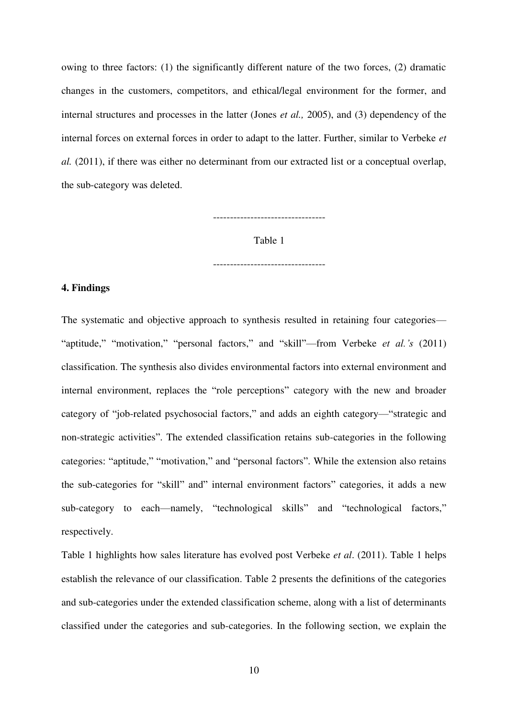owing to three factors: (1) the significantly different nature of the two forces, (2) dramatic changes in the customers, competitors, and ethical/legal environment for the former, and internal structures and processes in the latter (Jones *et al.,* 2005), and (3) dependency of the internal forces on external forces in order to adapt to the latter. Further, similar to Verbeke *et al.* (2011), if there was either no determinant from our extracted list or a conceptual overlap, the sub-category was deleted.

---------------------------------

Table 1

---------------------------------

#### **4. Findings**

The systematic and objective approach to synthesis resulted in retaining four categories— "aptitude," "motivation," "personal factors," and "skill"—from Verbeke *et al.'s* (2011) classification. The synthesis also divides environmental factors into external environment and internal environment, replaces the "role perceptions" category with the new and broader category of "job-related psychosocial factors," and adds an eighth category—"strategic and non-strategic activities". The extended classification retains sub-categories in the following categories: "aptitude," "motivation," and "personal factors". While the extension also retains the sub-categories for "skill" and" internal environment factors" categories, it adds a new sub-category to each—namely, "technological skills" and "technological factors," respectively.

Table 1 highlights how sales literature has evolved post Verbeke *et al*. (2011). Table 1 helps establish the relevance of our classification. Table 2 presents the definitions of the categories and sub-categories under the extended classification scheme, along with a list of determinants classified under the categories and sub-categories. In the following section, we explain the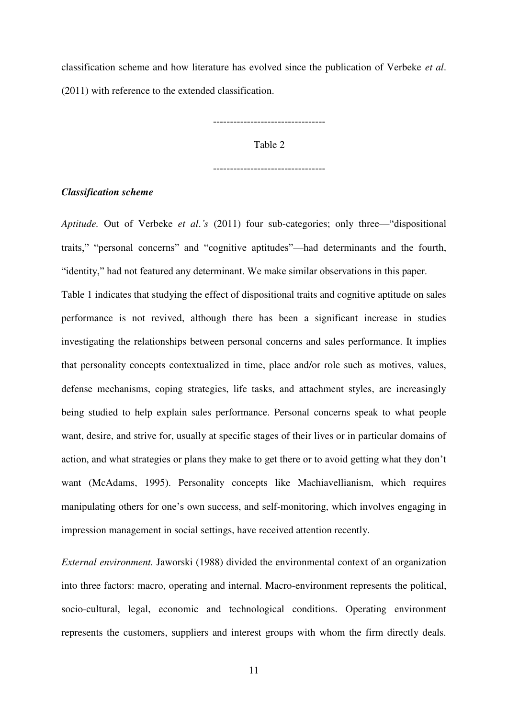classification scheme and how literature has evolved since the publication of Verbeke *et al*. (2011) with reference to the extended classification.

---------------------------------

Table 2

---------------------------------

#### *Classification scheme*

*Aptitude.* Out of Verbeke *et al*.*'s* (2011) four sub-categories; only three—"dispositional traits," "personal concerns" and "cognitive aptitudes"—had determinants and the fourth, "identity," had not featured any determinant. We make similar observations in this paper.

Table 1 indicates that studying the effect of dispositional traits and cognitive aptitude on sales performance is not revived, although there has been a significant increase in studies investigating the relationships between personal concerns and sales performance. It implies that personality concepts contextualized in time, place and/or role such as motives, values, defense mechanisms, coping strategies, life tasks, and attachment styles, are increasingly being studied to help explain sales performance. Personal concerns speak to what people want, desire, and strive for, usually at specific stages of their lives or in particular domains of action, and what strategies or plans they make to get there or to avoid getting what they don't want (McAdams, 1995). Personality concepts like Machiavellianism, which requires manipulating others for one's own success, and self-monitoring, which involves engaging in impression management in social settings, have received attention recently.

*External environment.* Jaworski (1988) divided the environmental context of an organization into three factors: macro, operating and internal. Macro-environment represents the political, socio-cultural, legal, economic and technological conditions. Operating environment represents the customers, suppliers and interest groups with whom the firm directly deals.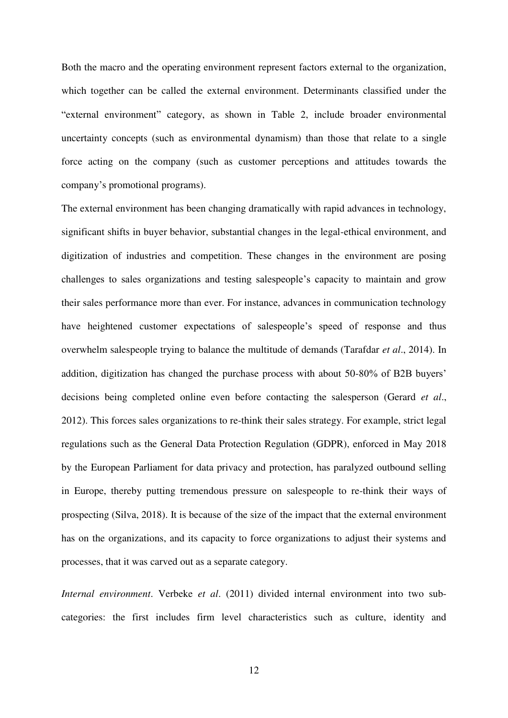Both the macro and the operating environment represent factors external to the organization, which together can be called the external environment. Determinants classified under the "external environment" category, as shown in Table 2, include broader environmental uncertainty concepts (such as environmental dynamism) than those that relate to a single force acting on the company (such as customer perceptions and attitudes towards the company's promotional programs).

The external environment has been changing dramatically with rapid advances in technology, significant shifts in buyer behavior, substantial changes in the legal-ethical environment, and digitization of industries and competition. These changes in the environment are posing challenges to sales organizations and testing salespeople's capacity to maintain and grow their sales performance more than ever. For instance, advances in communication technology have heightened customer expectations of salespeople's speed of response and thus overwhelm salespeople trying to balance the multitude of demands (Tarafdar *et al*., 2014). In addition, digitization has changed the purchase process with about 50-80% of B2B buyers' decisions being completed online even before contacting the salesperson (Gerard *et al*., 2012). This forces sales organizations to re-think their sales strategy. For example, strict legal regulations such as the General Data Protection Regulation (GDPR), enforced in May 2018 by the European Parliament for data privacy and protection, has paralyzed outbound selling in Europe, thereby putting tremendous pressure on salespeople to re-think their ways of prospecting (Silva, 2018). It is because of the size of the impact that the external environment has on the organizations, and its capacity to force organizations to adjust their systems and processes, that it was carved out as a separate category.

*Internal environment*. Verbeke *et al*. (2011) divided internal environment into two subcategories: the first includes firm level characteristics such as culture, identity and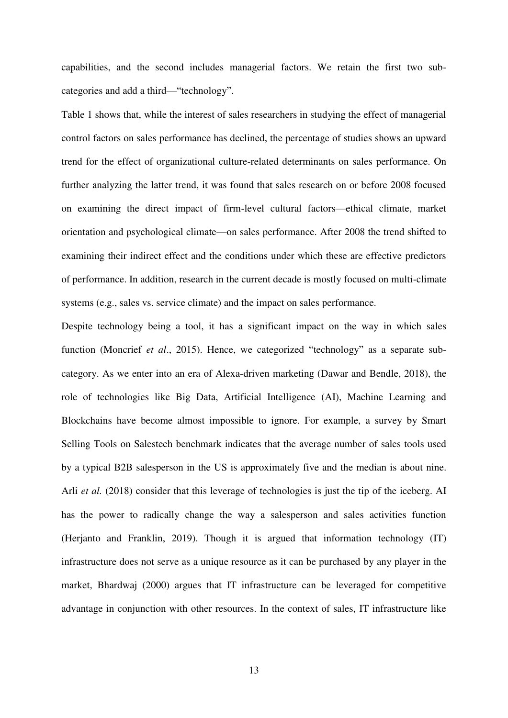capabilities, and the second includes managerial factors. We retain the first two subcategories and add a third—"technology".

Table 1 shows that, while the interest of sales researchers in studying the effect of managerial control factors on sales performance has declined, the percentage of studies shows an upward trend for the effect of organizational culture-related determinants on sales performance. On further analyzing the latter trend, it was found that sales research on or before 2008 focused on examining the direct impact of firm-level cultural factors—ethical climate, market orientation and psychological climate—on sales performance. After 2008 the trend shifted to examining their indirect effect and the conditions under which these are effective predictors of performance. In addition, research in the current decade is mostly focused on multi-climate systems (e.g., sales vs. service climate) and the impact on sales performance.

Despite technology being a tool, it has a significant impact on the way in which sales function (Moncrief *et al*., 2015). Hence, we categorized "technology" as a separate subcategory. As we enter into an era of Alexa-driven marketing (Dawar and Bendle, 2018), the role of technologies like Big Data, Artificial Intelligence (AI), Machine Learning and Blockchains have become almost impossible to ignore. For example, a survey by Smart Selling Tools on Salestech benchmark indicates that the average number of sales tools used by a typical B2B salesperson in the US is approximately five and the median is about nine. Arli *et al.* (2018) consider that this leverage of technologies is just the tip of the iceberg. AI has the power to radically change the way a salesperson and sales activities function (Herjanto and Franklin, 2019). Though it is argued that information technology (IT) infrastructure does not serve as a unique resource as it can be purchased by any player in the market, Bhardwaj (2000) argues that IT infrastructure can be leveraged for competitive advantage in conjunction with other resources. In the context of sales, IT infrastructure like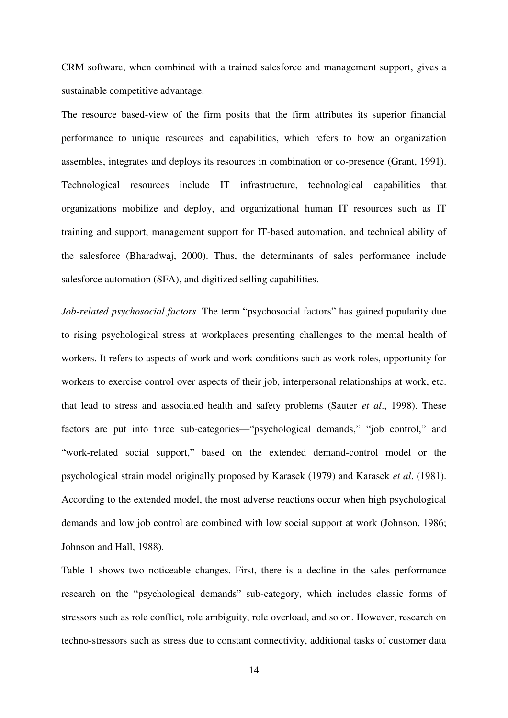CRM software, when combined with a trained salesforce and management support, gives a sustainable competitive advantage.

The resource based-view of the firm posits that the firm attributes its superior financial performance to unique resources and capabilities, which refers to how an organization assembles, integrates and deploys its resources in combination or co-presence (Grant, 1991). Technological resources include IT infrastructure, technological capabilities that organizations mobilize and deploy, and organizational human IT resources such as IT training and support, management support for IT-based automation, and technical ability of the salesforce (Bharadwaj, 2000). Thus, the determinants of sales performance include salesforce automation (SFA), and digitized selling capabilities.

*Job-related psychosocial factors.* The term "psychosocial factors" has gained popularity due to rising psychological stress at workplaces presenting challenges to the mental health of workers. It refers to aspects of work and work conditions such as work roles, opportunity for workers to exercise control over aspects of their job, interpersonal relationships at work, etc. that lead to stress and associated health and safety problems (Sauter *et al*., 1998). These factors are put into three sub-categories—"psychological demands," "job control," and "work-related social support," based on the extended demand-control model or the psychological strain model originally proposed by Karasek (1979) and Karasek *et al*. (1981). According to the extended model, the most adverse reactions occur when high psychological demands and low job control are combined with low social support at work (Johnson, 1986; Johnson and Hall, 1988).

Table 1 shows two noticeable changes. First, there is a decline in the sales performance research on the "psychological demands" sub-category, which includes classic forms of stressors such as role conflict, role ambiguity, role overload, and so on. However, research on techno-stressors such as stress due to constant connectivity, additional tasks of customer data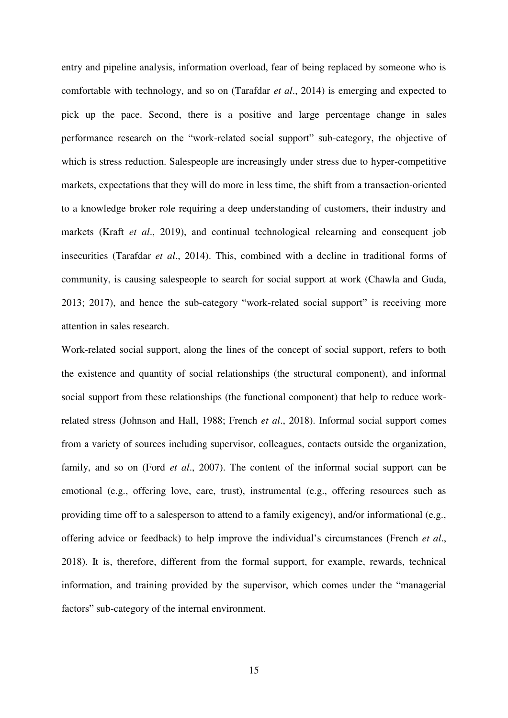entry and pipeline analysis, information overload, fear of being replaced by someone who is comfortable with technology, and so on (Tarafdar *et al*., 2014) is emerging and expected to pick up the pace. Second, there is a positive and large percentage change in sales performance research on the "work-related social support" sub-category, the objective of which is stress reduction. Salespeople are increasingly under stress due to hyper-competitive markets, expectations that they will do more in less time, the shift from a transaction-oriented to a knowledge broker role requiring a deep understanding of customers, their industry and markets (Kraft *et al*., 2019), and continual technological relearning and consequent job insecurities (Tarafdar *et al*., 2014). This, combined with a decline in traditional forms of community, is causing salespeople to search for social support at work (Chawla and Guda, 2013; 2017), and hence the sub-category "work-related social support" is receiving more attention in sales research.

Work-related social support, along the lines of the concept of social support, refers to both the existence and quantity of social relationships (the structural component), and informal social support from these relationships (the functional component) that help to reduce workrelated stress (Johnson and Hall, 1988; French *et al*., 2018). Informal social support comes from a variety of sources including supervisor, colleagues, contacts outside the organization, family, and so on (Ford *et al*., 2007). The content of the informal social support can be emotional (e.g., offering love, care, trust), instrumental (e.g., offering resources such as providing time off to a salesperson to attend to a family exigency), and/or informational (e.g., offering advice or feedback) to help improve the individual's circumstances (French *et al*., 2018). It is, therefore, different from the formal support, for example, rewards, technical information, and training provided by the supervisor, which comes under the "managerial factors" sub-category of the internal environment.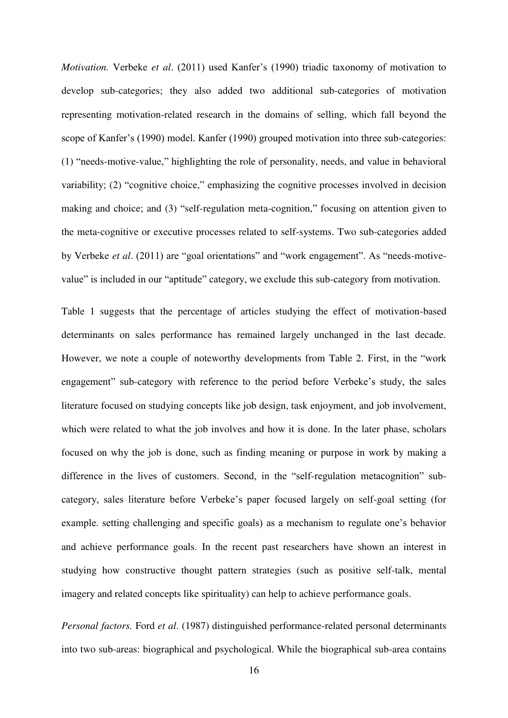*Motivation.* Verbeke *et al*. (2011) used Kanfer's (1990) triadic taxonomy of motivation to develop sub-categories; they also added two additional sub-categories of motivation representing motivation-related research in the domains of selling, which fall beyond the scope of Kanfer's (1990) model. Kanfer (1990) grouped motivation into three sub-categories: (1) "needs-motive-value," highlighting the role of personality, needs, and value in behavioral variability; (2) "cognitive choice," emphasizing the cognitive processes involved in decision making and choice; and (3) "self-regulation meta-cognition," focusing on attention given to the meta-cognitive or executive processes related to self-systems. Two sub-categories added by Verbeke *et al*. (2011) are "goal orientations" and "work engagement". As "needs-motivevalue" is included in our "aptitude" category, we exclude this sub-category from motivation.

Table 1 suggests that the percentage of articles studying the effect of motivation-based determinants on sales performance has remained largely unchanged in the last decade. However, we note a couple of noteworthy developments from Table 2. First, in the "work engagement" sub-category with reference to the period before Verbeke's study, the sales literature focused on studying concepts like job design, task enjoyment, and job involvement, which were related to what the job involves and how it is done. In the later phase, scholars focused on why the job is done, such as finding meaning or purpose in work by making a difference in the lives of customers. Second, in the "self-regulation metacognition" subcategory, sales literature before Verbeke's paper focused largely on self-goal setting (for example. setting challenging and specific goals) as a mechanism to regulate one's behavior and achieve performance goals. In the recent past researchers have shown an interest in studying how constructive thought pattern strategies (such as positive self-talk, mental imagery and related concepts like spirituality) can help to achieve performance goals.

*Personal factors.* Ford *et al*. (1987) distinguished performance-related personal determinants into two sub-areas: biographical and psychological. While the biographical sub-area contains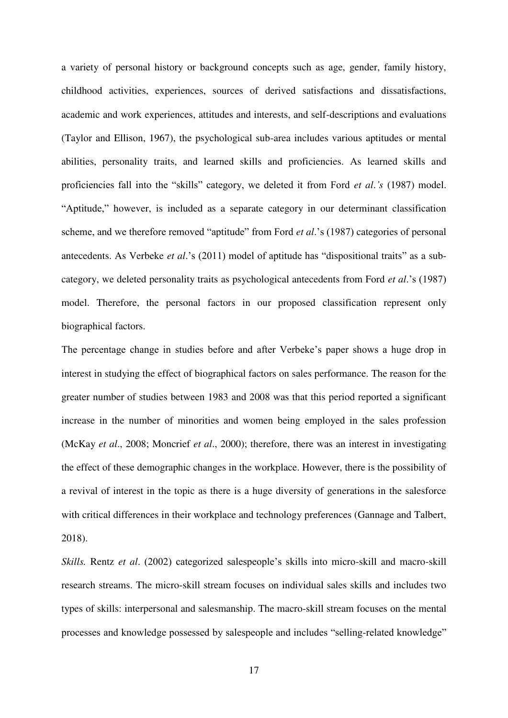a variety of personal history or background concepts such as age, gender, family history, childhood activities, experiences, sources of derived satisfactions and dissatisfactions, academic and work experiences, attitudes and interests, and self-descriptions and evaluations (Taylor and Ellison, 1967), the psychological sub-area includes various aptitudes or mental abilities, personality traits, and learned skills and proficiencies. As learned skills and proficiencies fall into the "skills" category, we deleted it from Ford *et al*.*'s* (1987) model. "Aptitude," however, is included as a separate category in our determinant classification scheme, and we therefore removed "aptitude" from Ford *et al*.'s (1987) categories of personal antecedents. As Verbeke *et al*.'s (2011) model of aptitude has "dispositional traits" as a subcategory, we deleted personality traits as psychological antecedents from Ford *et al*.'s (1987) model. Therefore, the personal factors in our proposed classification represent only biographical factors.

The percentage change in studies before and after Verbeke's paper shows a huge drop in interest in studying the effect of biographical factors on sales performance. The reason for the greater number of studies between 1983 and 2008 was that this period reported a significant increase in the number of minorities and women being employed in the sales profession (McKay *et al*., 2008; Moncrief *et al*., 2000); therefore, there was an interest in investigating the effect of these demographic changes in the workplace. However, there is the possibility of a revival of interest in the topic as there is a huge diversity of generations in the salesforce with critical differences in their workplace and technology preferences (Gannage and Talbert, 2018).

*Skills.* Rentz *et al*. (2002) categorized salespeople's skills into micro-skill and macro-skill research streams. The micro-skill stream focuses on individual sales skills and includes two types of skills: interpersonal and salesmanship. The macro-skill stream focuses on the mental processes and knowledge possessed by salespeople and includes "selling-related knowledge"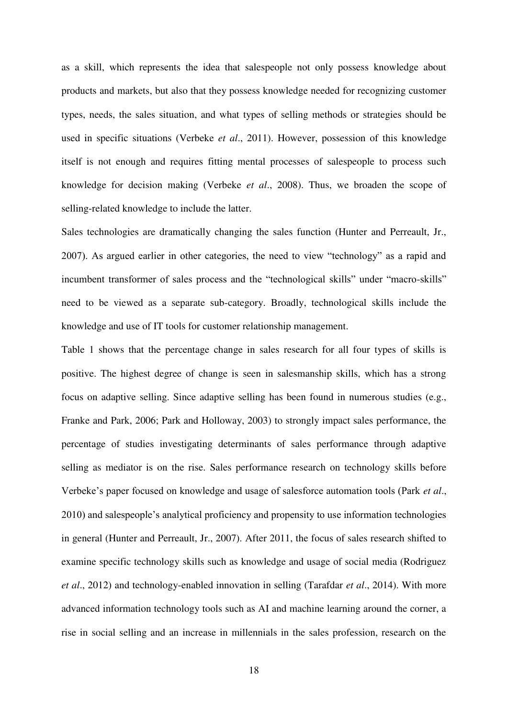as a skill, which represents the idea that salespeople not only possess knowledge about products and markets, but also that they possess knowledge needed for recognizing customer types, needs, the sales situation, and what types of selling methods or strategies should be used in specific situations (Verbeke *et al*., 2011). However, possession of this knowledge itself is not enough and requires fitting mental processes of salespeople to process such knowledge for decision making (Verbeke *et al*., 2008). Thus, we broaden the scope of selling-related knowledge to include the latter.

Sales technologies are dramatically changing the sales function (Hunter and Perreault, Jr., 2007). As argued earlier in other categories, the need to view "technology" as a rapid and incumbent transformer of sales process and the "technological skills" under "macro-skills" need to be viewed as a separate sub-category. Broadly, technological skills include the knowledge and use of IT tools for customer relationship management.

Table 1 shows that the percentage change in sales research for all four types of skills is positive. The highest degree of change is seen in salesmanship skills, which has a strong focus on adaptive selling. Since adaptive selling has been found in numerous studies (e.g., Franke and Park, 2006; Park and Holloway, 2003) to strongly impact sales performance, the percentage of studies investigating determinants of sales performance through adaptive selling as mediator is on the rise. Sales performance research on technology skills before Verbeke's paper focused on knowledge and usage of salesforce automation tools (Park *et al*., 2010) and salespeople's analytical proficiency and propensity to use information technologies in general (Hunter and Perreault, Jr., 2007). After 2011, the focus of sales research shifted to examine specific technology skills such as knowledge and usage of social media (Rodriguez *et al*., 2012) and technology-enabled innovation in selling (Tarafdar *et al*., 2014). With more advanced information technology tools such as AI and machine learning around the corner, a rise in social selling and an increase in millennials in the sales profession, research on the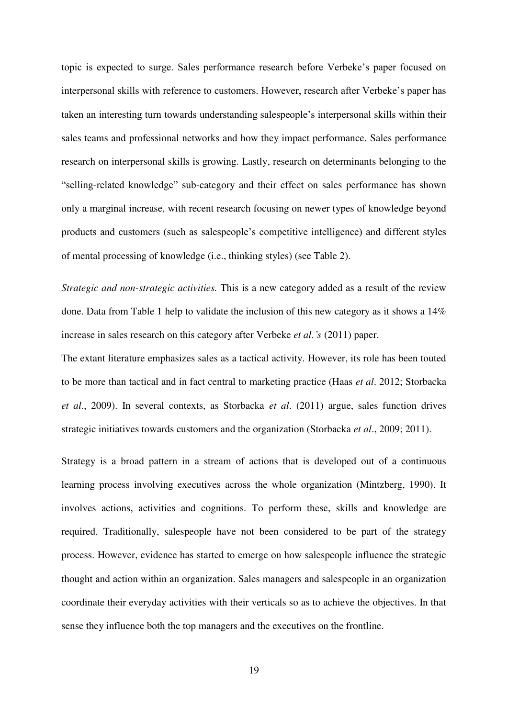topic is expected to surge. Sales performance research before Verbeke's paper focused on interpersonal skills with reference to customers. However, research after Verbeke's paper has taken an interesting turn towards understanding salespeople's interpersonal skills within their sales teams and professional networks and how they impact performance. Sales performance research on interpersonal skills is growing. Lastly, research on determinants belonging to the "selling-related knowledge" sub-category and their effect on sales performance has shown only a marginal increase, with recent research focusing on newer types of knowledge beyond products and customers (such as salespeople's competitive intelligence) and different styles of mental processing of knowledge (i.e., thinking styles) (see Table 2).

*Strategic and non-strategic activities.* This is a new category added as a result of the review done. Data from Table 1 help to validate the inclusion of this new category as it shows a 14% increase in sales research on this category after Verbeke *et al*.*'s* (2011) paper.

The extant literature emphasizes sales as a tactical activity. However, its role has been touted to be more than tactical and in fact central to marketing practice (Haas *et al*. 2012; Storbacka *et al*., 2009). In several contexts, as Storbacka *et al*. (2011) argue, sales function drives strategic initiatives towards customers and the organization (Storbacka *et al*., 2009; 2011).

Strategy is a broad pattern in a stream of actions that is developed out of a continuous learning process involving executives across the whole organization (Mintzberg, 1990). It involves actions, activities and cognitions. To perform these, skills and knowledge are required. Traditionally, salespeople have not been considered to be part of the strategy process. However, evidence has started to emerge on how salespeople influence the strategic thought and action within an organization. Sales managers and salespeople in an organization coordinate their everyday activities with their verticals so as to achieve the objectives. In that sense they influence both the top managers and the executives on the frontline.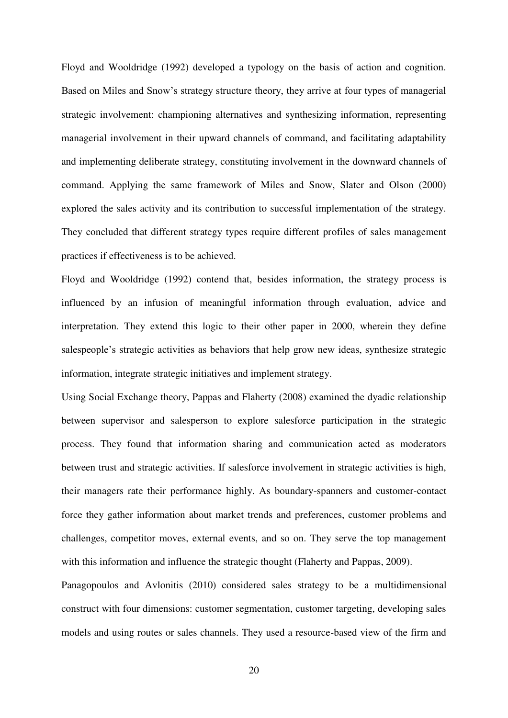Floyd and Wooldridge (1992) developed a typology on the basis of action and cognition. Based on Miles and Snow's strategy structure theory, they arrive at four types of managerial strategic involvement: championing alternatives and synthesizing information, representing managerial involvement in their upward channels of command, and facilitating adaptability and implementing deliberate strategy, constituting involvement in the downward channels of command. Applying the same framework of Miles and Snow, Slater and Olson (2000) explored the sales activity and its contribution to successful implementation of the strategy. They concluded that different strategy types require different profiles of sales management practices if effectiveness is to be achieved.

Floyd and Wooldridge (1992) contend that, besides information, the strategy process is influenced by an infusion of meaningful information through evaluation, advice and interpretation. They extend this logic to their other paper in 2000, wherein they define salespeople's strategic activities as behaviors that help grow new ideas, synthesize strategic information, integrate strategic initiatives and implement strategy.

Using Social Exchange theory, Pappas and Flaherty (2008) examined the dyadic relationship between supervisor and salesperson to explore salesforce participation in the strategic process. They found that information sharing and communication acted as moderators between trust and strategic activities. If salesforce involvement in strategic activities is high, their managers rate their performance highly. As boundary-spanners and customer-contact force they gather information about market trends and preferences, customer problems and challenges, competitor moves, external events, and so on. They serve the top management with this information and influence the strategic thought (Flaherty and Pappas, 2009).

Panagopoulos and Avlonitis (2010) considered sales strategy to be a multidimensional construct with four dimensions: customer segmentation, customer targeting, developing sales models and using routes or sales channels. They used a resource-based view of the firm and

20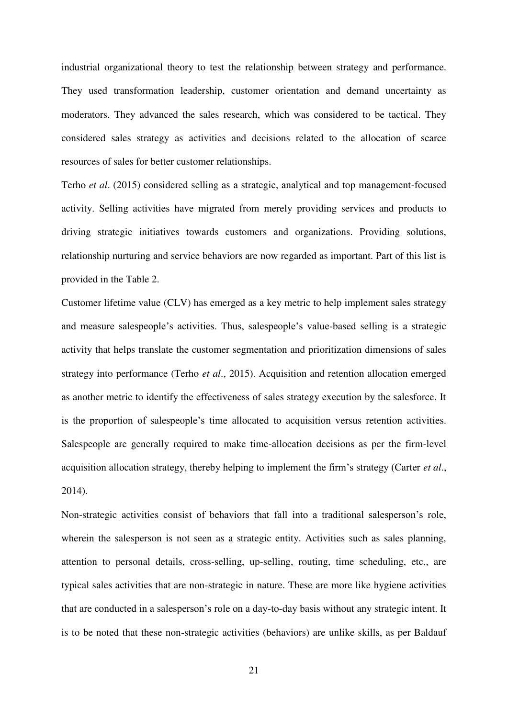industrial organizational theory to test the relationship between strategy and performance. They used transformation leadership, customer orientation and demand uncertainty as moderators. They advanced the sales research, which was considered to be tactical. They considered sales strategy as activities and decisions related to the allocation of scarce resources of sales for better customer relationships.

Terho *et al*. (2015) considered selling as a strategic, analytical and top management-focused activity. Selling activities have migrated from merely providing services and products to driving strategic initiatives towards customers and organizations. Providing solutions, relationship nurturing and service behaviors are now regarded as important. Part of this list is provided in the Table 2.

Customer lifetime value (CLV) has emerged as a key metric to help implement sales strategy and measure salespeople's activities. Thus, salespeople's value-based selling is a strategic activity that helps translate the customer segmentation and prioritization dimensions of sales strategy into performance (Terho *et al*., 2015). Acquisition and retention allocation emerged as another metric to identify the effectiveness of sales strategy execution by the salesforce. It is the proportion of salespeople's time allocated to acquisition versus retention activities. Salespeople are generally required to make time-allocation decisions as per the firm-level acquisition allocation strategy, thereby helping to implement the firm's strategy (Carter *et al*., 2014).

Non-strategic activities consist of behaviors that fall into a traditional salesperson's role, wherein the salesperson is not seen as a strategic entity. Activities such as sales planning, attention to personal details, cross-selling, up-selling, routing, time scheduling, etc., are typical sales activities that are non-strategic in nature. These are more like hygiene activities that are conducted in a salesperson's role on a day-to-day basis without any strategic intent. It is to be noted that these non-strategic activities (behaviors) are unlike skills, as per Baldauf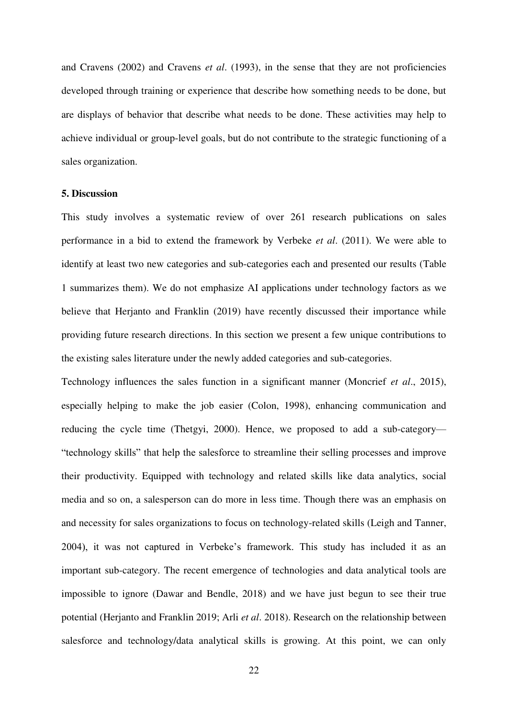and Cravens (2002) and Cravens *et al*. (1993), in the sense that they are not proficiencies developed through training or experience that describe how something needs to be done, but are displays of behavior that describe what needs to be done. These activities may help to achieve individual or group-level goals, but do not contribute to the strategic functioning of a sales organization.

#### **5. Discussion**

This study involves a systematic review of over 261 research publications on sales performance in a bid to extend the framework by Verbeke *et al*. (2011). We were able to identify at least two new categories and sub-categories each and presented our results (Table 1 summarizes them). We do not emphasize AI applications under technology factors as we believe that Herjanto and Franklin (2019) have recently discussed their importance while providing future research directions. In this section we present a few unique contributions to the existing sales literature under the newly added categories and sub-categories.

Technology influences the sales function in a significant manner (Moncrief *et al*., 2015), especially helping to make the job easier (Colon, 1998), enhancing communication and reducing the cycle time (Thetgyi, 2000). Hence, we proposed to add a sub-category— "technology skills" that help the salesforce to streamline their selling processes and improve their productivity. Equipped with technology and related skills like data analytics, social media and so on, a salesperson can do more in less time. Though there was an emphasis on and necessity for sales organizations to focus on technology-related skills (Leigh and Tanner, 2004), it was not captured in Verbeke's framework. This study has included it as an important sub-category. The recent emergence of technologies and data analytical tools are impossible to ignore (Dawar and Bendle, 2018) and we have just begun to see their true potential (Herjanto and Franklin 2019; Arli *et al*. 2018). Research on the relationship between salesforce and technology/data analytical skills is growing. At this point, we can only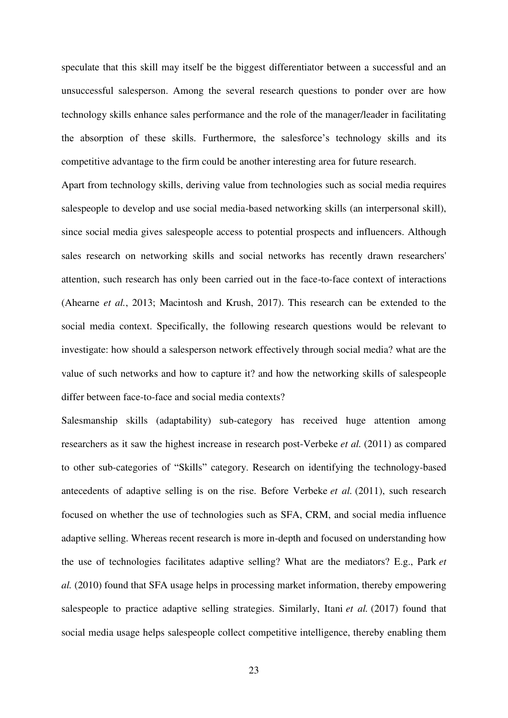speculate that this skill may itself be the biggest differentiator between a successful and an unsuccessful salesperson. Among the several research questions to ponder over are how technology skills enhance sales performance and the role of the manager/leader in facilitating the absorption of these skills. Furthermore, the salesforce's technology skills and its competitive advantage to the firm could be another interesting area for future research.

Apart from technology skills, deriving value from technologies such as social media requires salespeople to develop and use social media-based networking skills (an interpersonal skill), since social media gives salespeople access to potential prospects and influencers. Although sales research on networking skills and social networks has recently drawn researchers' attention, such research has only been carried out in the face-to-face context of interactions (Ahearne *et al.*, 2013; Macintosh and Krush, 2017). This research can be extended to the social media context. Specifically, the following research questions would be relevant to investigate: how should a salesperson network effectively through social media? what are the value of such networks and how to capture it? and how the networking skills of salespeople differ between face-to-face and social media contexts?

Salesmanship skills (adaptability) sub-category has received huge attention among researchers as it saw the highest increase in research post-Verbeke *et al.* (2011) as compared to other sub-categories of "Skills" category. Research on identifying the technology-based antecedents of adaptive selling is on the rise. Before Verbeke *et al.* (2011), such research focused on whether the use of technologies such as SFA, CRM, and social media influence adaptive selling. Whereas recent research is more in-depth and focused on understanding how the use of technologies facilitates adaptive selling? What are the mediators? E.g., Park *et al.* (2010) found that SFA usage helps in processing market information, thereby empowering salespeople to practice adaptive selling strategies. Similarly, Itani *et al.* (2017) found that social media usage helps salespeople collect competitive intelligence, thereby enabling them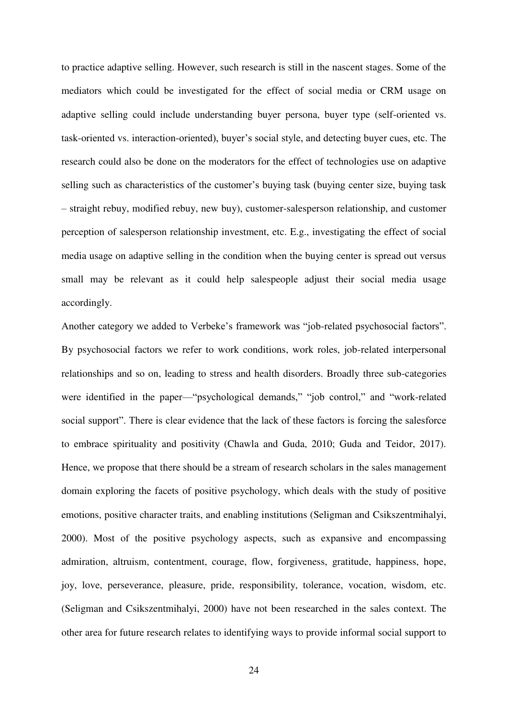to practice adaptive selling. However, such research is still in the nascent stages. Some of the mediators which could be investigated for the effect of social media or CRM usage on adaptive selling could include understanding buyer persona, buyer type (self-oriented vs. task-oriented vs. interaction-oriented), buyer's social style, and detecting buyer cues, etc. The research could also be done on the moderators for the effect of technologies use on adaptive selling such as characteristics of the customer's buying task (buying center size, buying task – straight rebuy, modified rebuy, new buy), customer-salesperson relationship, and customer perception of salesperson relationship investment, etc. E.g., investigating the effect of social media usage on adaptive selling in the condition when the buying center is spread out versus small may be relevant as it could help salespeople adjust their social media usage accordingly.

Another category we added to Verbeke's framework was "job-related psychosocial factors". By psychosocial factors we refer to work conditions, work roles, job-related interpersonal relationships and so on, leading to stress and health disorders. Broadly three sub-categories were identified in the paper—"psychological demands," "job control," and "work-related social support". There is clear evidence that the lack of these factors is forcing the salesforce to embrace spirituality and positivity (Chawla and Guda, 2010; Guda and Teidor, 2017). Hence, we propose that there should be a stream of research scholars in the sales management domain exploring the facets of positive psychology, which deals with the study of positive emotions, positive character traits, and enabling institutions (Seligman and Csikszentmihalyi, 2000). Most of the positive psychology aspects, such as expansive and encompassing admiration, altruism, contentment, courage, flow, forgiveness, gratitude, happiness, hope, joy, love, perseverance, pleasure, pride, responsibility, tolerance, vocation, wisdom, etc. (Seligman and Csikszentmihalyi, 2000) have not been researched in the sales context. The other area for future research relates to identifying ways to provide informal social support to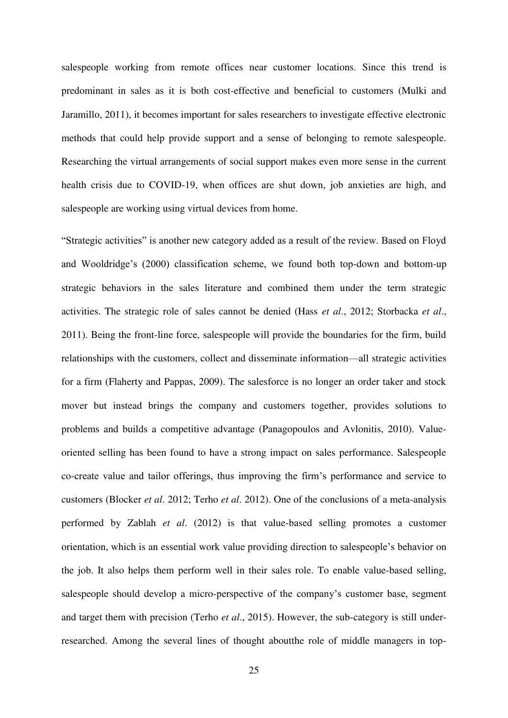salespeople working from remote offices near customer locations. Since this trend is predominant in sales as it is both cost-effective and beneficial to customers (Mulki and Jaramillo, 2011), it becomes important for sales researchers to investigate effective electronic methods that could help provide support and a sense of belonging to remote salespeople. Researching the virtual arrangements of social support makes even more sense in the current health crisis due to COVID-19, when offices are shut down, job anxieties are high, and salespeople are working using virtual devices from home.

"Strategic activities" is another new category added as a result of the review. Based on Floyd and Wooldridge's (2000) classification scheme, we found both top-down and bottom-up strategic behaviors in the sales literature and combined them under the term strategic activities. The strategic role of sales cannot be denied (Hass *et al*., 2012; Storbacka *et al*., 2011). Being the front-line force, salespeople will provide the boundaries for the firm, build relationships with the customers, collect and disseminate information—all strategic activities for a firm (Flaherty and Pappas, 2009). The salesforce is no longer an order taker and stock mover but instead brings the company and customers together, provides solutions to problems and builds a competitive advantage (Panagopoulos and Avlonitis, 2010). Valueoriented selling has been found to have a strong impact on sales performance. Salespeople co-create value and tailor offerings, thus improving the firm's performance and service to customers (Blocker *et al*. 2012; Terho *et al*. 2012). One of the conclusions of a meta-analysis performed by Zablah *et al*. (2012) is that value-based selling promotes a customer orientation, which is an essential work value providing direction to salespeople's behavior on the job. It also helps them perform well in their sales role. To enable value-based selling, salespeople should develop a micro-perspective of the company's customer base, segment and target them with precision (Terho *et al*., 2015). However, the sub-category is still underresearched. Among the several lines of thought aboutthe role of middle managers in top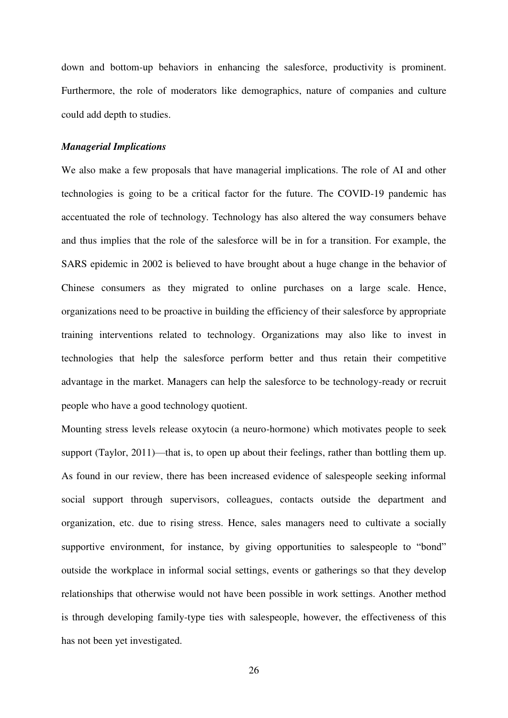down and bottom-up behaviors in enhancing the salesforce, productivity is prominent. Furthermore, the role of moderators like demographics, nature of companies and culture could add depth to studies.

#### *Managerial Implications*

We also make a few proposals that have managerial implications. The role of AI and other technologies is going to be a critical factor for the future. The COVID-19 pandemic has accentuated the role of technology. Technology has also altered the way consumers behave and thus implies that the role of the salesforce will be in for a transition. For example, the SARS epidemic in 2002 is believed to have brought about a huge change in the behavior of Chinese consumers as they migrated to online purchases on a large scale. Hence, organizations need to be proactive in building the efficiency of their salesforce by appropriate training interventions related to technology. Organizations may also like to invest in technologies that help the salesforce perform better and thus retain their competitive advantage in the market. Managers can help the salesforce to be technology-ready or recruit people who have a good technology quotient.

Mounting stress levels release oxytocin (a neuro-hormone) which motivates people to seek support (Taylor, 2011)—that is, to open up about their feelings, rather than bottling them up. As found in our review, there has been increased evidence of salespeople seeking informal social support through supervisors, colleagues, contacts outside the department and organization, etc. due to rising stress. Hence, sales managers need to cultivate a socially supportive environment, for instance, by giving opportunities to salespeople to "bond" outside the workplace in informal social settings, events or gatherings so that they develop relationships that otherwise would not have been possible in work settings. Another method is through developing family-type ties with salespeople, however, the effectiveness of this has not been yet investigated.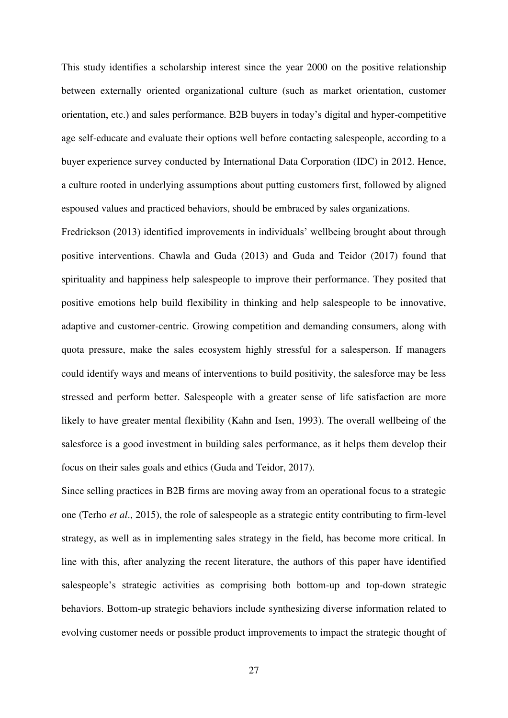This study identifies a scholarship interest since the year 2000 on the positive relationship between externally oriented organizational culture (such as market orientation, customer orientation, etc.) and sales performance. B2B buyers in today's digital and hyper-competitive age self-educate and evaluate their options well before contacting salespeople, according to a buyer experience survey conducted by International Data Corporation (IDC) in 2012. Hence, a culture rooted in underlying assumptions about putting customers first, followed by aligned espoused values and practiced behaviors, should be embraced by sales organizations.

Fredrickson (2013) identified improvements in individuals' wellbeing brought about through positive interventions. Chawla and Guda (2013) and Guda and Teidor (2017) found that spirituality and happiness help salespeople to improve their performance. They posited that positive emotions help build flexibility in thinking and help salespeople to be innovative, adaptive and customer-centric. Growing competition and demanding consumers, along with quota pressure, make the sales ecosystem highly stressful for a salesperson. If managers could identify ways and means of interventions to build positivity, the salesforce may be less stressed and perform better. Salespeople with a greater sense of life satisfaction are more likely to have greater mental flexibility (Kahn and Isen, 1993). The overall wellbeing of the salesforce is a good investment in building sales performance, as it helps them develop their focus on their sales goals and ethics (Guda and Teidor, 2017).

Since selling practices in B2B firms are moving away from an operational focus to a strategic one (Terho *et al*., 2015), the role of salespeople as a strategic entity contributing to firm-level strategy, as well as in implementing sales strategy in the field, has become more critical. In line with this, after analyzing the recent literature, the authors of this paper have identified salespeople's strategic activities as comprising both bottom-up and top-down strategic behaviors. Bottom-up strategic behaviors include synthesizing diverse information related to evolving customer needs or possible product improvements to impact the strategic thought of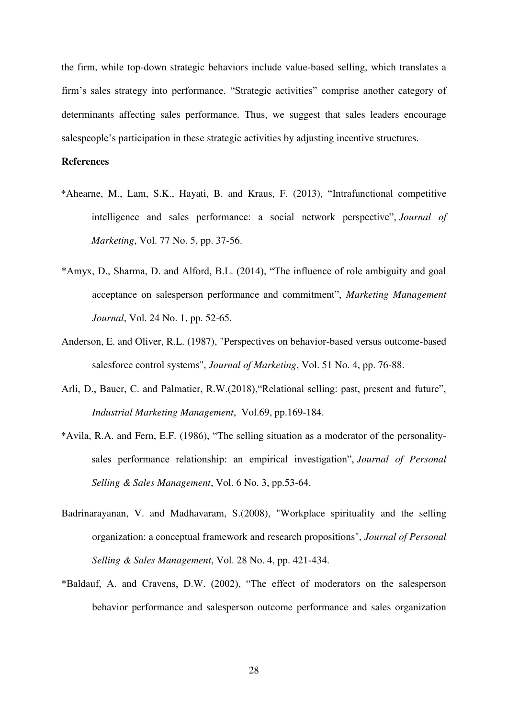the firm, while top-down strategic behaviors include value-based selling, which translates a firm's sales strategy into performance. "Strategic activities" comprise another category of determinants affecting sales performance. Thus, we suggest that sales leaders encourage salespeople's participation in these strategic activities by adjusting incentive structures.

#### **References**

- \*Ahearne, M., Lam, S.K., Hayati, B. and Kraus, F. (2013), "Intrafunctional competitive intelligence and sales performance: a social network perspective", *Journal of Marketing*, Vol. 77 No. 5, pp. 37-56.
- \*Amyx, D., Sharma, D. and Alford, B.L. (2014), "The influence of role ambiguity and goal acceptance on salesperson performance and commitment", *Marketing Management Journal*, Vol. 24 No. 1, pp. 52-65.
- Anderson, E. and Oliver, R.L. (1987), "Perspectives on behavior-based versus outcome-based salesforce control systems", *Journal of Marketing*, Vol. 51 No. 4, pp. 76-88.
- Arli, D., Bauer, C. and Palmatier, R.W.(2018),"Relational selling: past, present and future", *Industrial Marketing Management*, Vol.69, pp.169-184.
- \*Avila, R.A. and Fern, E.F. (1986), "The selling situation as a moderator of the personalitysales performance relationship: an empirical investigation", *Journal of Personal Selling & Sales Management*, Vol. 6 No. 3, pp.53-64.
- Badrinarayanan, V. and Madhavaram, S.(2008), "Workplace spirituality and the selling organization: a conceptual framework and research propositions", *Journal of Personal Selling & Sales Management*, Vol. 28 No. 4, pp. 421-434.
- \*Baldauf, A. and Cravens, D.W. (2002), "The effect of moderators on the salesperson behavior performance and salesperson outcome performance and sales organization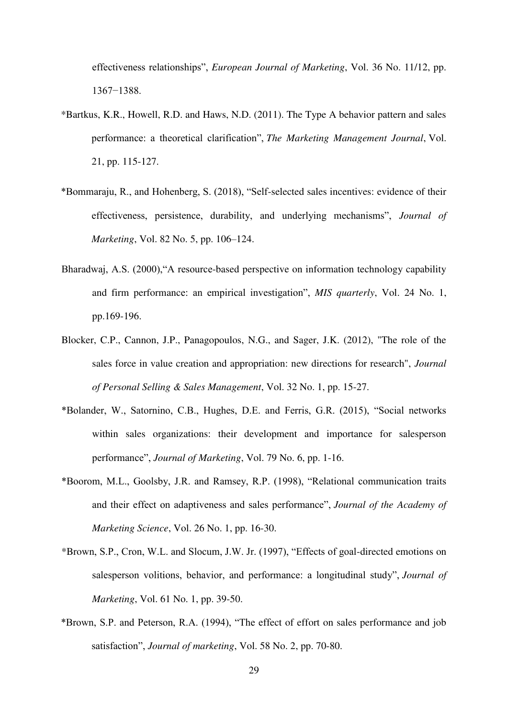effectiveness relationships", *European Journal of Marketing*, Vol. 36 No. 11/12, pp. 1367−1388.

- \*Bartkus, K.R., Howell, R.D. and Haws, N.D. (2011). The Type A behavior pattern and sales performance: a theoretical clarification", *The Marketing Management Journal*, Vol. 21, pp. 115-127.
- \*Bommaraju, R., and Hohenberg, S. (2018), "Self-selected sales incentives: evidence of their effectiveness, persistence, durability, and underlying mechanisms", *Journal of Marketing*, Vol. 82 No. 5, pp. 106–124.
- Bharadwaj, A.S. (2000),"A resource-based perspective on information technology capability and firm performance: an empirical investigation", *MIS quarterly*, Vol. 24 No. 1, pp.169-196.
- Blocker, C.P., Cannon, J.P., Panagopoulos, N.G., and Sager, J.K. (2012), "The role of the sales force in value creation and appropriation: new directions for research", *Journal of Personal Selling & Sales Management*, Vol. 32 No. 1, pp. 15-27.
- \*Bolander, W., Satornino, C.B., Hughes, D.E. and Ferris, G.R. (2015), "Social networks within sales organizations: their development and importance for salesperson performance", *Journal of Marketing*, Vol. 79 No. 6, pp. 1-16.
- \*Boorom, M.L., Goolsby, J.R. and Ramsey, R.P. (1998), "Relational communication traits and their effect on adaptiveness and sales performance", *Journal of the Academy of Marketing Science*, Vol. 26 No. 1, pp. 16-30.
- \*Brown, S.P., Cron, W.L. and Slocum, J.W. Jr. (1997), "Effects of goal-directed emotions on salesperson volitions, behavior, and performance: a longitudinal study", *Journal of Marketing*, Vol. 61 No. 1, pp. 39-50.
- \*Brown, S.P. and Peterson, R.A. (1994), "The effect of effort on sales performance and job satisfaction", *Journal of marketing*, Vol. 58 No. 2, pp. 70-80.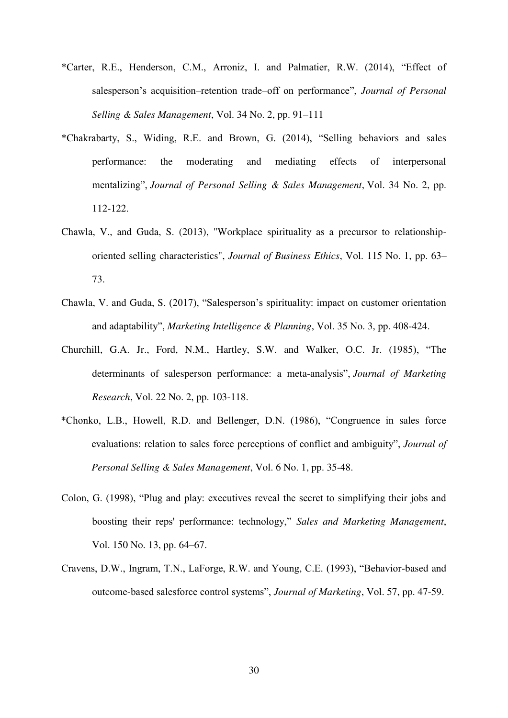- \*Carter, R.E., Henderson, C.M., Arroniz, I. and Palmatier, R.W. (2014), "Effect of salesperson's acquisition–retention trade–off on performance", *Journal of Personal Selling & Sales Management*, Vol. 34 No. 2, pp. 91–111
- \*Chakrabarty, S., Widing, R.E. and Brown, G. (2014), "Selling behaviors and sales performance: the moderating and mediating effects of interpersonal mentalizing", *Journal of Personal Selling & Sales Management*, Vol. 34 No. 2, pp. 112-122.
- Chawla, V., and Guda, S. (2013), "Workplace spirituality as a precursor to relationshiporiented selling characteristics", *Journal of Business Ethics*, Vol. 115 No. 1, pp. 63– 73.
- Chawla, V. and Guda, S. (2017), "Salesperson's spirituality: impact on customer orientation and adaptability", *Marketing Intelligence & Planning*, Vol. 35 No. 3, pp. 408-424.
- Churchill, G.A. Jr., Ford, N.M., Hartley, S.W. and Walker, O.C. Jr. (1985), "The determinants of salesperson performance: a meta-analysis", *Journal of Marketing Research*, Vol. 22 No. 2, pp. 103-118.
- \*Chonko, L.B., Howell, R.D. and Bellenger, D.N. (1986), "Congruence in sales force evaluations: relation to sales force perceptions of conflict and ambiguity", *Journal of Personal Selling & Sales Management*, Vol. 6 No. 1, pp. 35-48.
- Colon, G. (1998), "Plug and play: executives reveal the secret to simplifying their jobs and boosting their reps' performance: technology," *Sales and Marketing Management*, Vol. 150 No. 13, pp. 64–67.
- Cravens, D.W., Ingram, T.N., LaForge, R.W. and Young, C.E. (1993), "Behavior-based and outcome-based salesforce control systems", *Journal of Marketing*, Vol. 57, pp. 47-59.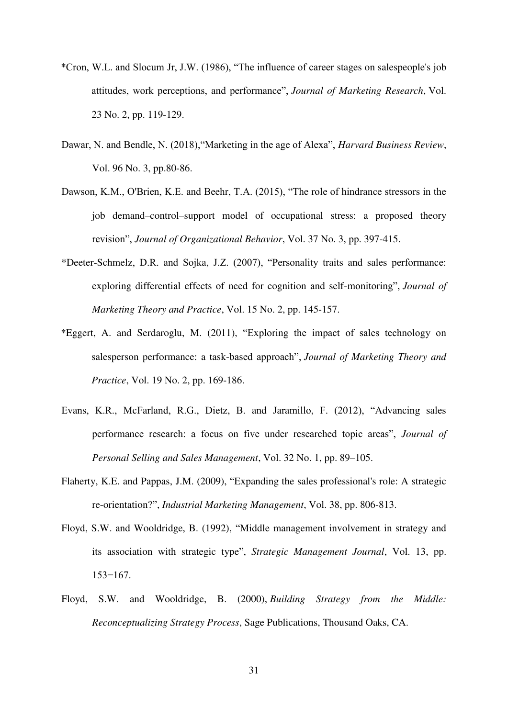- \*Cron, W.L. and Slocum Jr, J.W. (1986), "The influence of career stages on salespeople's job attitudes, work perceptions, and performance", *Journal of Marketing Research*, Vol. 23 No. 2, pp. 119-129.
- Dawar, N. and Bendle, N. (2018),"Marketing in the age of Alexa", *Harvard Business Review*, Vol. 96 No. 3, pp.80-86.
- Dawson, K.M., O'Brien, K.E. and Beehr, T.A. (2015), "The role of hindrance stressors in the job demand–control–support model of occupational stress: a proposed theory revision", *Journal of Organizational Behavior*, Vol. 37 No. 3, pp. 397-415.
- \*Deeter-Schmelz, D.R. and Sojka, J.Z. (2007), "Personality traits and sales performance: exploring differential effects of need for cognition and self-monitoring", *Journal of Marketing Theory and Practice*, Vol. 15 No. 2, pp. 145-157.
- \*Eggert, A. and Serdaroglu, M. (2011), "Exploring the impact of sales technology on salesperson performance: a task-based approach", *Journal of Marketing Theory and Practice*, Vol. 19 No. 2, pp. 169-186.
- Evans, K.R., McFarland, R.G., Dietz, B. and Jaramillo, F. (2012), "Advancing sales performance research: a focus on five under researched topic areas", *Journal of Personal Selling and Sales Management*, Vol. 32 No. 1, pp. 89–105.
- Flaherty, K.E. and Pappas, J.M. (2009), "Expanding the sales professional's role: A strategic re-orientation?", *Industrial Marketing Management*, Vol. 38, pp. 806-813.
- Floyd, S.W. and Wooldridge, B. (1992), "Middle management involvement in strategy and its association with strategic type", *Strategic Management Journal*, Vol. 13, pp. 153−167.
- Floyd, S.W. and Wooldridge, B. (2000), *Building Strategy from the Middle: Reconceptualizing Strategy Process*, Sage Publications, Thousand Oaks, CA.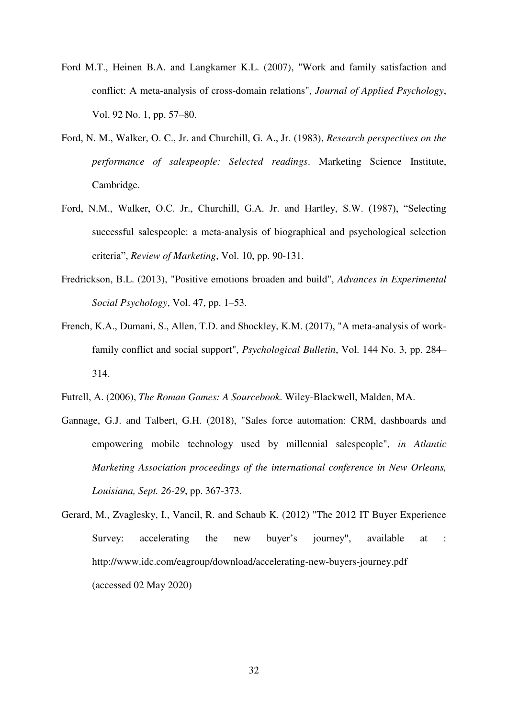- Ford M.T., Heinen B.A. and Langkamer K.L. (2007), "Work and family satisfaction and conflict: A meta-analysis of cross-domain relations", *Journal of Applied Psychology*, Vol. 92 No. 1, pp. 57–80.
- Ford, N. M., Walker, O. C., Jr. and Churchill, G. A., Jr. (1983), *Research perspectives on the performance of salespeople: Selected readings*. Marketing Science Institute, Cambridge.
- Ford, N.M., Walker, O.C. Jr., Churchill, G.A. Jr. and Hartley, S.W. (1987), "Selecting successful salespeople: a meta-analysis of biographical and psychological selection criteria", *Review of Marketing*, Vol. 10, pp. 90-131.
- Fredrickson, B.L. (2013), "Positive emotions broaden and build", *Advances in Experimental Social Psychology*, Vol. 47, pp. 1–53.
- French, K.A., Dumani, S., Allen, T.D. and Shockley, K.M. (2017), "A meta-analysis of workfamily conflict and social support", *Psychological Bulletin*, Vol. 144 No. 3, pp. 284– 314.
- Futrell, A. (2006), *The Roman Games: A Sourcebook*. Wiley-Blackwell, Malden, MA.
- Gannage, G.J. and Talbert, G.H. (2018), "Sales force automation: CRM, dashboards and empowering mobile technology used by millennial salespeople", *in Atlantic Marketing Association proceedings of the international conference in New Orleans, Louisiana, Sept. 26-29*, pp. 367-373.
- Gerard, M., Zvaglesky, I., Vancil, R. and Schaub K. (2012) "The 2012 IT Buyer Experience Survey: accelerating the new buyer's journey", available at : http://www.idc.com/eagroup/download/accelerating-new-buyers-journey.pdf (accessed 02 May 2020)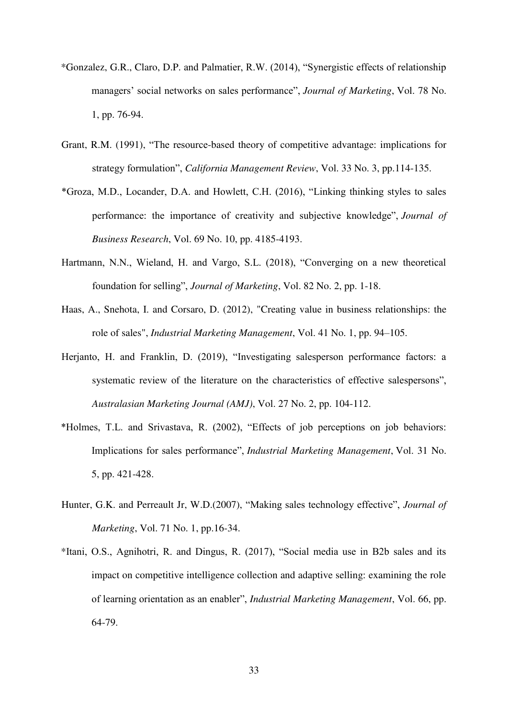- \*Gonzalez, G.R., Claro, D.P. and Palmatier, R.W. (2014), "Synergistic effects of relationship managers' social networks on sales performance", *Journal of Marketing*, Vol. 78 No. 1, pp. 76-94.
- Grant, R.M. (1991), "The resource-based theory of competitive advantage: implications for strategy formulation", *California Management Review*, Vol. 33 No. 3, pp.114-135.
- \*Groza, M.D., Locander, D.A. and Howlett, C.H. (2016), "Linking thinking styles to sales performance: the importance of creativity and subjective knowledge", *Journal of Business Research*, Vol. 69 No. 10, pp. 4185-4193.
- Hartmann, N.N., Wieland, H. and Vargo, S.L. (2018), "Converging on a new theoretical foundation for selling", *Journal of Marketing*, Vol. 82 No. 2, pp. 1-18.
- Haas, A., Snehota, I. and Corsaro, D. (2012), "Creating value in business relationships: the role of sales", *Industrial Marketing Management*, Vol. 41 No. 1, pp. 94–105.
- Herjanto, H. and Franklin, D. (2019), "Investigating salesperson performance factors: a systematic review of the literature on the characteristics of effective salespersons", *Australasian Marketing Journal (AMJ)*, Vol. 27 No. 2, pp. 104-112.
- \*Holmes, T.L. and Srivastava, R. (2002), "Effects of job perceptions on job behaviors: Implications for sales performance", *Industrial Marketing Management*, Vol. 31 No. 5, pp. 421-428.
- Hunter, G.K. and Perreault Jr, W.D.(2007), "Making sales technology effective", *Journal of Marketing*, Vol. 71 No. 1, pp.16-34.
- \*Itani, O.S., Agnihotri, R. and Dingus, R. (2017), "Social media use in B2b sales and its impact on competitive intelligence collection and adaptive selling: examining the role of learning orientation as an enabler", *Industrial Marketing Management*, Vol. 66, pp. 64-79.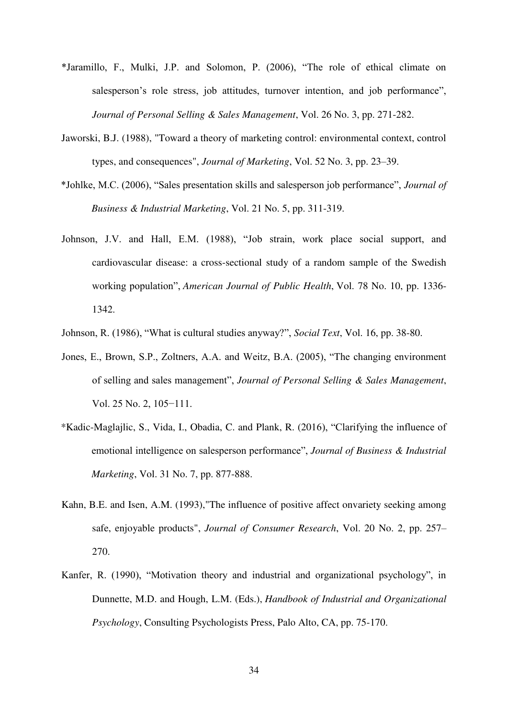- \*Jaramillo, F., Mulki, J.P. and Solomon, P. (2006), "The role of ethical climate on salesperson's role stress, job attitudes, turnover intention, and job performance", *Journal of Personal Selling & Sales Management*, Vol. 26 No. 3, pp. 271-282.
- Jaworski, B.J. (1988), "Toward a theory of marketing control: environmental context, control types, and consequences", *Journal of Marketing*, Vol. 52 No. 3, pp. 23–39.
- \*Johlke, M.C. (2006), "Sales presentation skills and salesperson job performance", *Journal of Business & Industrial Marketing*, Vol. 21 No. 5, pp. 311-319.
- Johnson, J.V. and Hall, E.M. (1988), "Job strain, work place social support, and cardiovascular disease: a cross-sectional study of a random sample of the Swedish working population", *American Journal of Public Health*, Vol. 78 No. 10, pp. 1336- 1342.
- Johnson, R. (1986), "What is cultural studies anyway?", *Social Text*, Vol. 16, pp. 38-80.
- Jones, E., Brown, S.P., Zoltners, A.A. and Weitz, B.A. (2005), "The changing environment of selling and sales management", *Journal of Personal Selling & Sales Management*, Vol. 25 No. 2, 105−111.
- \*Kadic-Maglajlic, S., Vida, I., Obadia, C. and Plank, R. (2016), "Clarifying the influence of emotional intelligence on salesperson performance", *Journal of Business & Industrial Marketing*, Vol. 31 No. 7, pp. 877-888.
- Kahn, B.E. and Isen, A.M. (1993),"The influence of positive affect onvariety seeking among safe, enjoyable products", *Journal of Consumer Research*, Vol. 20 No. 2, pp. 257– 270.
- Kanfer, R. (1990), "Motivation theory and industrial and organizational psychology", in Dunnette, M.D. and Hough, L.M. (Eds.), *Handbook of Industrial and Organizational Psychology*, Consulting Psychologists Press, Palo Alto, CA, pp. 75-170.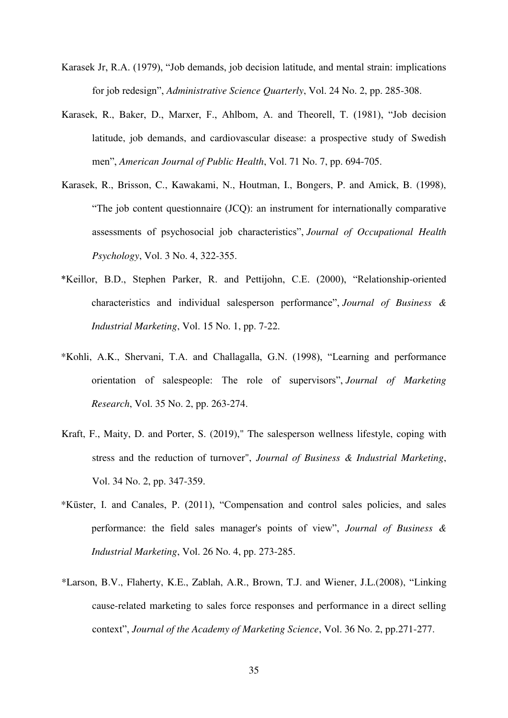- Karasek Jr, R.A. (1979), "Job demands, job decision latitude, and mental strain: implications for job redesign", *Administrative Science Quarterly*, Vol. 24 No. 2, pp. 285-308.
- Karasek, R., Baker, D., Marxer, F., Ahlbom, A. and Theorell, T. (1981), "Job decision latitude, job demands, and cardiovascular disease: a prospective study of Swedish men", *American Journal of Public Health*, Vol. 71 No. 7, pp. 694-705.
- Karasek, R., Brisson, C., Kawakami, N., Houtman, I., Bongers, P. and Amick, B. (1998), "The job content questionnaire (JCQ): an instrument for internationally comparative assessments of psychosocial job characteristics", *Journal of Occupational Health Psychology*, Vol. 3 No. 4, 322-355.
- \*Keillor, B.D., Stephen Parker, R. and Pettijohn, C.E. (2000), "Relationship-oriented characteristics and individual salesperson performance", *Journal of Business & Industrial Marketing*, Vol. 15 No. 1, pp. 7-22.
- \*Kohli, A.K., Shervani, T.A. and Challagalla, G.N. (1998), "Learning and performance orientation of salespeople: The role of supervisors", *Journal of Marketing Research*, Vol. 35 No. 2, pp. 263-274.
- Kraft, F., Maity, D. and Porter, S. (2019)," The salesperson wellness lifestyle, coping with stress and the reduction of turnover", *Journal of Business & Industrial Marketing*, Vol. 34 No. 2, pp. 347-359.
- \*Küster, I. and Canales, P. (2011), "Compensation and control sales policies, and sales performance: the field sales manager's points of view", *Journal of Business & Industrial Marketing*, Vol. 26 No. 4, pp. 273-285.
- \*Larson, B.V., Flaherty, K.E., Zablah, A.R., Brown, T.J. and Wiener, J.L.(2008), "Linking cause-related marketing to sales force responses and performance in a direct selling context", *Journal of the Academy of Marketing Science*, Vol. 36 No. 2, pp.271-277.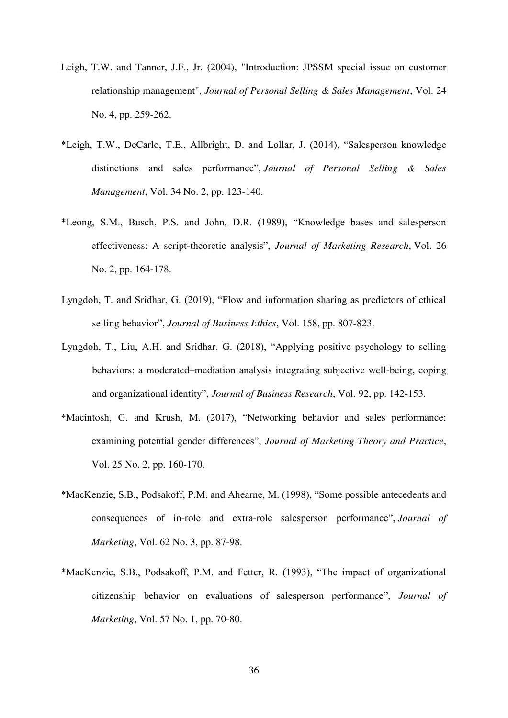- Leigh, T.W. and Tanner, J.F., Jr. (2004), "Introduction: JPSSM special issue on customer relationship management", *Journal of Personal Selling & Sales Management*, Vol. 24 No. 4, pp. 259-262.
- \*Leigh, T.W., DeCarlo, T.E., Allbright, D. and Lollar, J. (2014), "Salesperson knowledge distinctions and sales performance", *Journal of Personal Selling & Sales Management*, Vol. 34 No. 2, pp. 123-140.
- \*Leong, S.M., Busch, P.S. and John, D.R. (1989), "Knowledge bases and salesperson effectiveness: A script-theoretic analysis", *Journal of Marketing Research*, Vol. 26 No. 2, pp. 164-178.
- Lyngdoh, T. and Sridhar, G. (2019), "Flow and information sharing as predictors of ethical selling behavior", *Journal of Business Ethics*, Vol. 158, pp. 807-823.
- Lyngdoh, T., Liu, A.H. and Sridhar, G. (2018), "Applying positive psychology to selling behaviors: a moderated–mediation analysis integrating subjective well-being, coping and organizational identity", *Journal of Business Research*, Vol. 92, pp. 142-153.
- \*Macintosh, G. and Krush, M. (2017), "Networking behavior and sales performance: examining potential gender differences", *Journal of Marketing Theory and Practice*, Vol. 25 No. 2, pp. 160-170.
- \*MacKenzie, S.B., Podsakoff, P.M. and Ahearne, M. (1998), "Some possible antecedents and consequences of in-role and extra-role salesperson performance", *Journal of Marketing*, Vol. 62 No. 3, pp. 87-98.
- \*MacKenzie, S.B., Podsakoff, P.M. and Fetter, R. (1993), "The impact of organizational citizenship behavior on evaluations of salesperson performance", *Journal of Marketing*, Vol. 57 No. 1, pp. 70-80.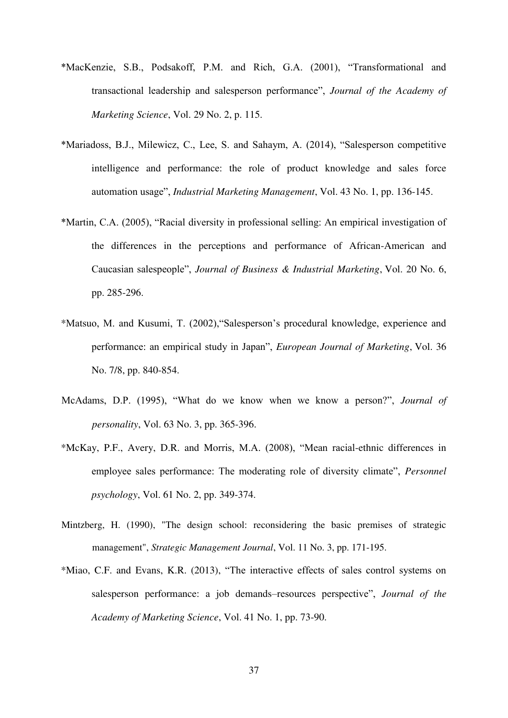- \*MacKenzie, S.B., Podsakoff, P.M. and Rich, G.A. (2001), "Transformational and transactional leadership and salesperson performance", *Journal of the Academy of Marketing Science*, Vol. 29 No. 2, p. 115.
- \*Mariadoss, B.J., Milewicz, C., Lee, S. and Sahaym, A. (2014), "Salesperson competitive intelligence and performance: the role of product knowledge and sales force automation usage", *Industrial Marketing Management*, Vol. 43 No. 1, pp. 136-145.
- \*Martin, C.A. (2005), "Racial diversity in professional selling: An empirical investigation of the differences in the perceptions and performance of African-American and Caucasian salespeople", *Journal of Business & Industrial Marketing*, Vol. 20 No. 6, pp. 285-296.
- \*Matsuo, M. and Kusumi, T. (2002),"Salesperson's procedural knowledge, experience and performance: an empirical study in Japan", *European Journal of Marketing*, Vol. 36 No. 7/8, pp. 840-854.
- McAdams, D.P. (1995), "What do we know when we know a person?", *Journal of personality*, Vol. 63 No. 3, pp. 365-396.
- \*McKay, P.F., Avery, D.R. and Morris, M.A. (2008), "Mean racial-ethnic differences in employee sales performance: The moderating role of diversity climate", *Personnel psychology*, Vol. 61 No. 2, pp. 349-374.
- Mintzberg, H. (1990), "The design school: reconsidering the basic premises of strategic management", *Strategic Management Journal*, Vol. 11 No. 3, pp. 171-195.
- \*Miao, C.F. and Evans, K.R. (2013), "The interactive effects of sales control systems on salesperson performance: a job demands–resources perspective", *Journal of the Academy of Marketing Science*, Vol. 41 No. 1, pp. 73-90.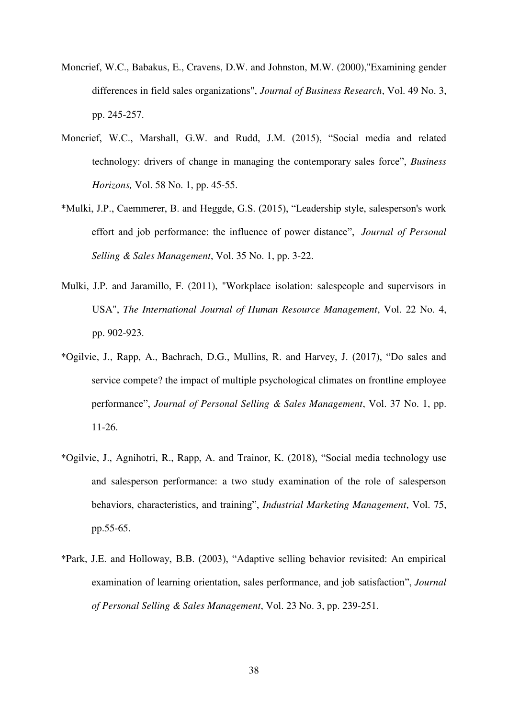- Moncrief, W.C., Babakus, E., Cravens, D.W. and Johnston, M.W. (2000),"Examining gender differences in field sales organizations", *Journal of Business Research*, Vol. 49 No. 3, pp. 245-257.
- Moncrief, W.C., Marshall, G.W. and Rudd, J.M. (2015), "Social media and related technology: drivers of change in managing the contemporary sales force", *Business Horizons,* Vol. 58 No. 1, pp. 45-55.
- \*Mulki, J.P., Caemmerer, B. and Heggde, G.S. (2015), "Leadership style, salesperson's work effort and job performance: the influence of power distance", *Journal of Personal Selling & Sales Management*, Vol. 35 No. 1, pp. 3-22.
- Mulki, J.P. and Jaramillo, F. (2011), "Workplace isolation: salespeople and supervisors in USA", *The International Journal of Human Resource Management*, Vol. 22 No. 4, pp. 902-923.
- \*Ogilvie, J., Rapp, A., Bachrach, D.G., Mullins, R. and Harvey, J. (2017), "Do sales and service compete? the impact of multiple psychological climates on frontline employee performance", *Journal of Personal Selling & Sales Management*, Vol. 37 No. 1, pp. 11-26.
- \*Ogilvie, J., Agnihotri, R., Rapp, A. and Trainor, K. (2018), "Social media technology use and salesperson performance: a two study examination of the role of salesperson behaviors, characteristics, and training", *Industrial Marketing Management*, Vol. 75, pp.55-65.
- \*Park, J.E. and Holloway, B.B. (2003), "Adaptive selling behavior revisited: An empirical examination of learning orientation, sales performance, and job satisfaction", *Journal of Personal Selling & Sales Management*, Vol. 23 No. 3, pp. 239-251.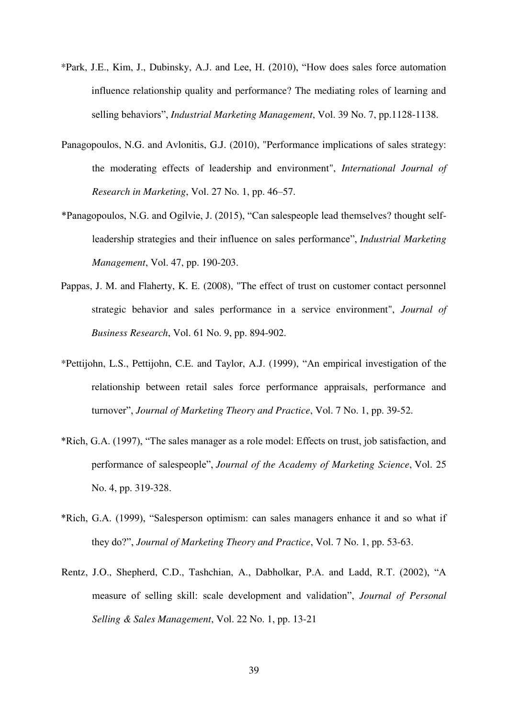- \*Park, J.E., Kim, J., Dubinsky, A.J. and Lee, H. (2010), "How does sales force automation influence relationship quality and performance? The mediating roles of learning and selling behaviors", *Industrial Marketing Management*, Vol. 39 No. 7, pp.1128-1138.
- Panagopoulos, N.G. and Avlonitis, G.J. (2010), "Performance implications of sales strategy: the moderating effects of leadership and environment", *International Journal of Research in Marketing*, Vol. 27 No. 1, pp. 46–57.
- \*Panagopoulos, N.G. and Ogilvie, J. (2015), "Can salespeople lead themselves? thought selfleadership strategies and their influence on sales performance", *Industrial Marketing Management*, Vol. 47, pp. 190-203.
- Pappas, J. M. and Flaherty, K. E. (2008), "The effect of trust on customer contact personnel strategic behavior and sales performance in a service environment", *Journal of Business Research*, Vol. 61 No. 9, pp. 894-902.
- \*Pettijohn, L.S., Pettijohn, C.E. and Taylor, A.J. (1999), "An empirical investigation of the relationship between retail sales force performance appraisals, performance and turnover", *Journal of Marketing Theory and Practice*, Vol. 7 No. 1, pp. 39-52.
- \*Rich, G.A. (1997), "The sales manager as a role model: Effects on trust, job satisfaction, and performance of salespeople", *Journal of the Academy of Marketing Science*, Vol. 25 No. 4, pp. 319-328.
- \*Rich, G.A. (1999), "Salesperson optimism: can sales managers enhance it and so what if they do?", *Journal of Marketing Theory and Practice*, Vol. 7 No. 1, pp. 53-63.
- Rentz, J.O., Shepherd, C.D., Tashchian, A., Dabholkar, P.A. and Ladd, R.T. (2002), "A measure of selling skill: scale development and validation", *Journal of Personal Selling & Sales Management*, Vol. 22 No. 1, pp. 13-21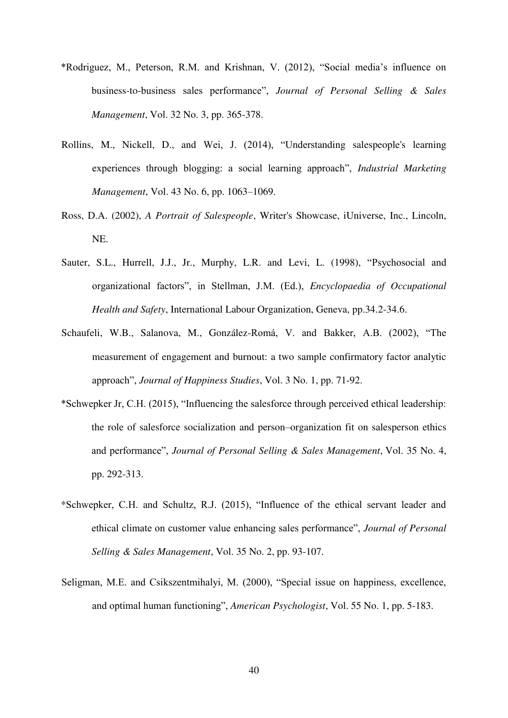- \*Rodriguez, M., Peterson, R.M. and Krishnan, V. (2012), "Social media's influence on business-to-business sales performance", *Journal of Personal Selling & Sales Management*, Vol. 32 No. 3, pp. 365-378.
- Rollins, M., Nickell, D., and Wei, J. (2014), "Understanding salespeople's learning experiences through blogging: a social learning approach", *Industrial Marketing Management*, Vol. 43 No. 6, pp. 1063–1069.
- Ross, D.A. (2002), *A Portrait of Salespeople*, Writer's Showcase, iUniverse, Inc., Lincoln, NE.
- Sauter, S.L., Hurrell, J.J., Jr., Murphy, L.R. and Levi, L. (1998), "Psychosocial and organizational factors", in Stellman, J.M. (Ed.), *Encyclopaedia of Occupational Health and Safety*, International Labour Organization, Geneva, pp.34.2-34.6.
- Schaufeli, W.B., Salanova, M., González-Romá, V. and Bakker, A.B. (2002), "The measurement of engagement and burnout: a two sample confirmatory factor analytic approach", *Journal of Happiness Studies*, Vol. 3 No. 1, pp. 71-92.
- \*Schwepker Jr, C.H. (2015), "Influencing the salesforce through perceived ethical leadership: the role of salesforce socialization and person–organization fit on salesperson ethics and performance", *Journal of Personal Selling & Sales Management*, Vol. 35 No. 4, pp. 292-313.
- \*Schwepker, C.H. and Schultz, R.J. (2015), "Influence of the ethical servant leader and ethical climate on customer value enhancing sales performance", *Journal of Personal Selling & Sales Management*, Vol. 35 No. 2, pp. 93-107.
- Seligman, M.E. and Csikszentmihalyi, M. (2000), "Special issue on happiness, excellence, and optimal human functioning", *American Psychologist*, Vol. 55 No. 1, pp. 5-183.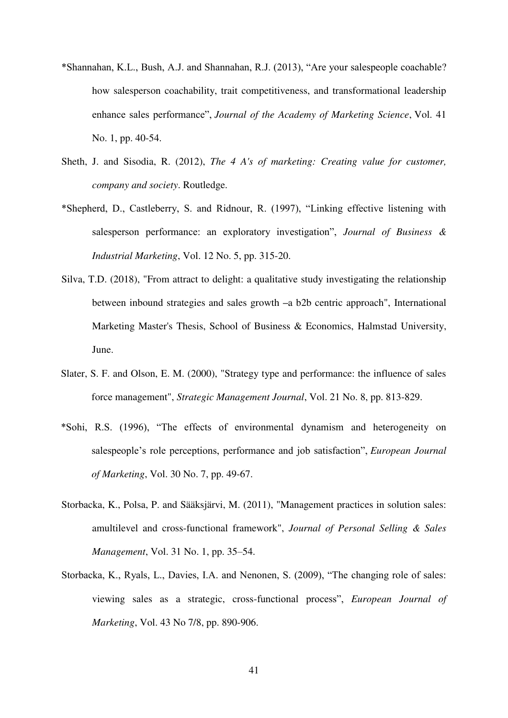- \*Shannahan, K.L., Bush, A.J. and Shannahan, R.J. (2013), "Are your salespeople coachable? how salesperson coachability, trait competitiveness, and transformational leadership enhance sales performance", *Journal of the Academy of Marketing Science*, Vol. 41 No. 1, pp. 40-54.
- Sheth, J. and Sisodia, R. (2012), *The 4 A's of marketing: Creating value for customer, company and society*. Routledge.
- \*Shepherd, D., Castleberry, S. and Ridnour, R. (1997), "Linking effective listening with salesperson performance: an exploratory investigation", *Journal of Business & Industrial Marketing*, Vol. 12 No. 5, pp. 315-20.
- Silva, T.D. (2018), "From attract to delight: a qualitative study investigating the relationship between inbound strategies and sales growth **–**a b2b centric approach", International Marketing Master's Thesis, School of Business & Economics, Halmstad University, June.
- Slater, S. F. and Olson, E. M. (2000), "Strategy type and performance: the influence of sales force management", *Strategic Management Journal*, Vol. 21 No. 8, pp. 813-829.
- \*Sohi, R.S. (1996), "The effects of environmental dynamism and heterogeneity on salespeople's role perceptions, performance and job satisfaction", *European Journal of Marketing*, Vol. 30 No. 7, pp. 49-67.
- Storbacka, K., Polsa, P. and Sääksjärvi, M. (2011), "Management practices in solution sales: amultilevel and cross-functional framework", *Journal of Personal Selling & Sales Management*, Vol. 31 No. 1, pp. 35–54.
- Storbacka, K., Ryals, L., Davies, I.A. and Nenonen, S. (2009), "The changing role of sales: viewing sales as a strategic, cross-functional process", *European Journal of Marketing*, Vol. 43 No 7/8, pp. 890-906.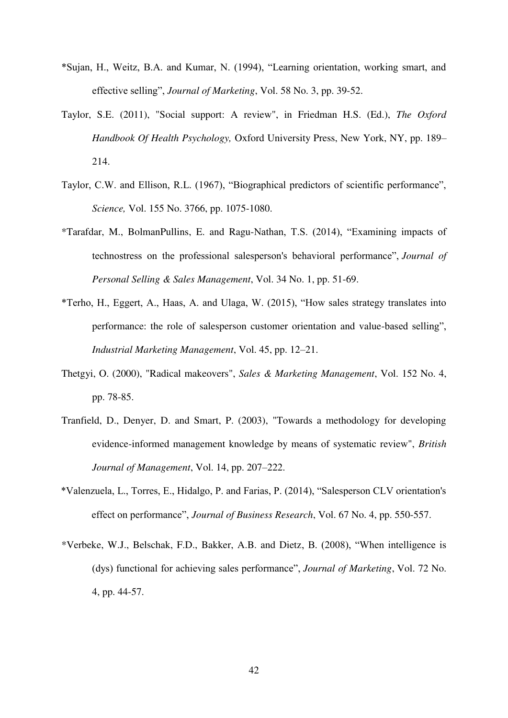- \*Sujan, H., Weitz, B.A. and Kumar, N. (1994), "Learning orientation, working smart, and effective selling", *Journal of Marketing*, Vol. 58 No. 3, pp. 39-52.
- Taylor, S.E. (2011), "Social support: A review", in Friedman H.S. (Ed.), *The Oxford Handbook Of Health Psychology,* Oxford University Press, New York, NY, pp. 189– 214.
- Taylor, C.W. and Ellison, R.L. (1967), "Biographical predictors of scientific performance", *Science,* Vol. 155 No. 3766, pp. 1075-1080.
- \*Tarafdar, M., BolmanPullins, E. and Ragu-Nathan, T.S. (2014), "Examining impacts of technostress on the professional salesperson's behavioral performance", *Journal of Personal Selling & Sales Management*, Vol. 34 No. 1, pp. 51-69.
- \*Terho, H., Eggert, A., Haas, A. and Ulaga, W. (2015), "How sales strategy translates into performance: the role of salesperson customer orientation and value-based selling", *Industrial Marketing Management*, Vol. 45, pp. 12–21.
- Thetgyi, O. (2000), "Radical makeovers", *Sales & Marketing Management*, Vol. 152 No. 4, pp. 78-85.
- Tranfield, D., Denyer, D. and Smart, P. (2003), "Towards a methodology for developing evidence-informed management knowledge by means of systematic review", *British Journal of Management*, Vol. 14, pp. 207–222.
- \*Valenzuela, L., Torres, E., Hidalgo, P. and Farias, P. (2014), "Salesperson CLV orientation's effect on performance", *Journal of Business Research*, Vol. 67 No. 4, pp. 550-557.
- \*Verbeke, W.J., Belschak, F.D., Bakker, A.B. and Dietz, B. (2008), "When intelligence is (dys) functional for achieving sales performance", *Journal of Marketing*, Vol. 72 No. 4, pp. 44-57.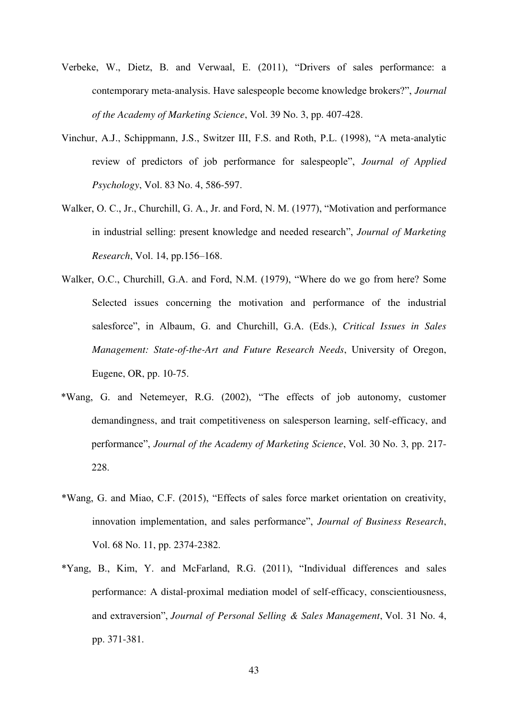- Verbeke, W., Dietz, B. and Verwaal, E. (2011), "Drivers of sales performance: a contemporary meta-analysis. Have salespeople become knowledge brokers?", *Journal of the Academy of Marketing Science*, Vol. 39 No. 3, pp. 407-428.
- Vinchur, A.J., Schippmann, J.S., Switzer III, F.S. and Roth, P.L. (1998), "A meta-analytic review of predictors of job performance for salespeople", *Journal of Applied Psychology*, Vol. 83 No. 4, 586-597.
- Walker, O. C., Jr., Churchill, G. A., Jr. and Ford, N. M. (1977), "Motivation and performance in industrial selling: present knowledge and needed research", *Journal of Marketing Research*, Vol. 14, pp.156–168.
- Walker, O.C., Churchill, G.A. and Ford, N.M. (1979), "Where do we go from here? Some Selected issues concerning the motivation and performance of the industrial salesforce", in Albaum, G. and Churchill, G.A. (Eds.), *Critical Issues in Sales Management: State-of-the-Art and Future Research Needs*, University of Oregon, Eugene, OR, pp. 10-75.
- \*Wang, G. and Netemeyer, R.G. (2002), "The effects of job autonomy, customer demandingness, and trait competitiveness on salesperson learning, self-efficacy, and performance", *Journal of the Academy of Marketing Science*, Vol. 30 No. 3, pp. 217- 228.
- \*Wang, G. and Miao, C.F. (2015), "Effects of sales force market orientation on creativity, innovation implementation, and sales performance", *Journal of Business Research*, Vol. 68 No. 11, pp. 2374-2382.
- \*Yang, B., Kim, Y. and McFarland, R.G. (2011), "Individual differences and sales performance: A distal-proximal mediation model of self-efficacy, conscientiousness, and extraversion", *Journal of Personal Selling & Sales Management*, Vol. 31 No. 4, pp. 371-381.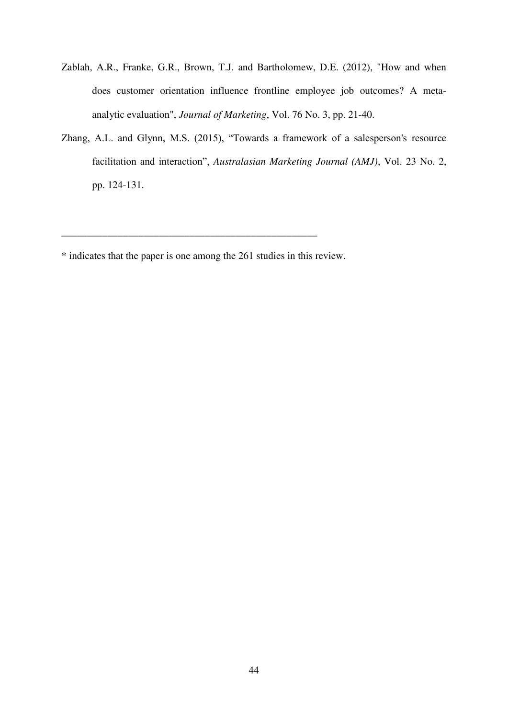- Zablah, A.R., Franke, G.R., Brown, T.J. and Bartholomew, D.E. (2012), "How and when does customer orientation influence frontline employee job outcomes? A metaanalytic evaluation", *Journal of Marketing*, Vol. 76 No. 3, pp. 21-40.
- Zhang, A.L. and Glynn, M.S. (2015), "Towards a framework of a salesperson's resource facilitation and interaction", *Australasian Marketing Journal (AMJ)*, Vol. 23 No. 2, pp. 124-131.

\_\_\_\_\_\_\_\_\_\_\_\_\_\_\_\_\_\_\_\_\_\_\_\_\_\_\_\_\_\_\_\_\_\_\_\_\_\_\_\_\_\_\_\_\_\_\_\_\_\_

<sup>\*</sup> indicates that the paper is one among the 261 studies in this review.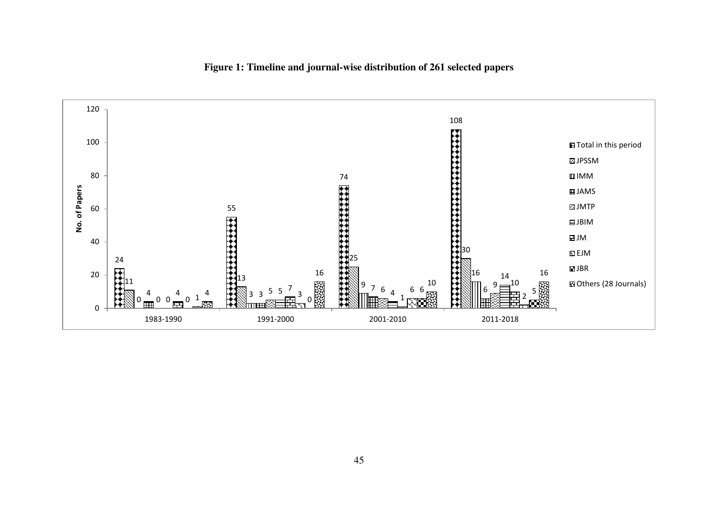

### **Figure 1: Timeline and journal-wise distribution of 261 selected papers**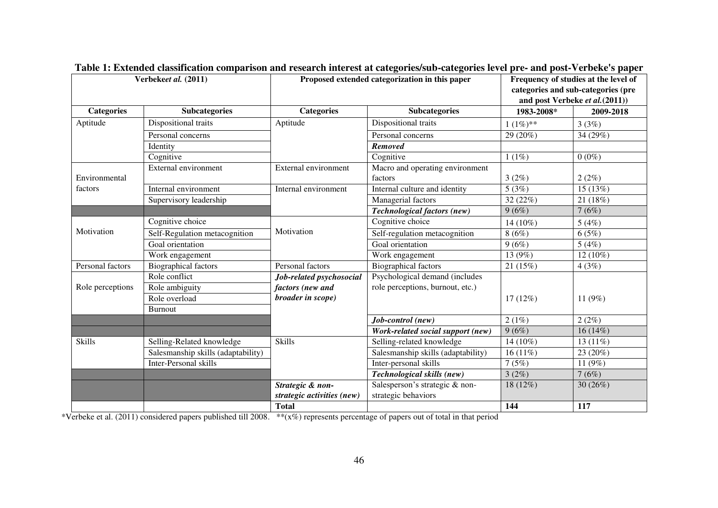|                   | Verbekeet al. (2011)               |                             | Proposed extended categorization in this paper |             | Frequency of studies at the level of<br>categories and sub-categories (pre<br>and post Verbeke et al.(2011)) |
|-------------------|------------------------------------|-----------------------------|------------------------------------------------|-------------|--------------------------------------------------------------------------------------------------------------|
| <b>Categories</b> | <b>Subcategories</b>               | <b>Categories</b>           | <b>Subcategories</b>                           | 1983-2008*  | 2009-2018                                                                                                    |
| Aptitude          | Dispositional traits               | Aptitude                    | Dispositional traits                           | $1(1\%)$ ** | 3(3%)                                                                                                        |
|                   | Personal concerns                  |                             | Personal concerns                              | 29 (20%)    | 34 (29%)                                                                                                     |
|                   | Identity                           |                             | <b>Removed</b>                                 |             |                                                                                                              |
|                   | Cognitive                          |                             | Cognitive                                      | $1(1\%)$    | $0(0\%)$                                                                                                     |
|                   | External environment               | <b>External environment</b> | Macro and operating environment                |             |                                                                                                              |
| Environmental     |                                    |                             | factors                                        | 3(2%)       | 2(2%)                                                                                                        |
| factors           | Internal environment               | Internal environment        | Internal culture and identity                  | 5(3%)       | 15(13%)                                                                                                      |
|                   | Supervisory leadership             |                             | Managerial factors                             | 32 (22%)    | 21 (18%)                                                                                                     |
|                   |                                    |                             | <b>Technological factors (new)</b>             | 9(6%)       | 7(6%)                                                                                                        |
|                   | Cognitive choice                   |                             | Cognitive choice                               | 14 (10%)    | 5(4%)                                                                                                        |
| Motivation        | Self-Regulation metacognition      | Motivation                  | Self-regulation metacognition                  | 8(6%)       | 6(5%)                                                                                                        |
|                   | Goal orientation                   |                             | Goal orientation                               | 9(6%)       | 5(4%)                                                                                                        |
|                   | Work engagement                    |                             | Work engagement                                | 13 (9%)     | 12 (10%)                                                                                                     |
| Personal factors  | <b>Biographical factors</b>        | Personal factors            | <b>Biographical factors</b>                    | 21(15%)     | 4(3%)                                                                                                        |
|                   | Role conflict                      | Job-related psychosocial    | Psychological demand (includes                 |             |                                                                                                              |
| Role perceptions  | Role ambiguity                     | factors (new and            | role perceptions, burnout, etc.)               |             |                                                                                                              |
|                   | Role overload                      | broader in scope)           |                                                | $17(12\%)$  | 11 $(9%)$                                                                                                    |
|                   | <b>Burnout</b>                     |                             |                                                |             |                                                                                                              |
|                   |                                    |                             | Job-control (new)                              | 2(1%)       | 2(2%)                                                                                                        |
|                   |                                    |                             | Work-related social support (new)              | 9(6%)       | $16(14\%)$                                                                                                   |
| <b>Skills</b>     | Selling-Related knowledge          | <b>Skills</b>               | Selling-related knowledge                      | 14 (10%)    | 13 $(11\%)$                                                                                                  |
|                   | Salesmanship skills (adaptability) |                             | Salesmanship skills (adaptability)             | $16(11\%)$  | 23 (20%)                                                                                                     |
|                   | Inter-Personal skills              |                             | Inter-personal skills                          | 7(5%)       | 11 $(9%)$                                                                                                    |
|                   |                                    |                             | Technological skills (new)                     | 3(2%)       | 7(6%)                                                                                                        |
|                   |                                    | Strategic & non-            | Salesperson's strategic & non-                 | 18 (12%)    | $30(26\%)$                                                                                                   |
|                   |                                    | strategic activities (new)  | strategic behaviors                            |             |                                                                                                              |
|                   |                                    | <b>Total</b>                |                                                | 144         | 117                                                                                                          |

**Table 1: Extended classification comparison and research interest at categories/sub-categories level pre- and post-Verbeke's paper**

\*Verbeke et al. (2011) considered papers published till 2008. \*\*(x%) represents percentage of papers out of total in that period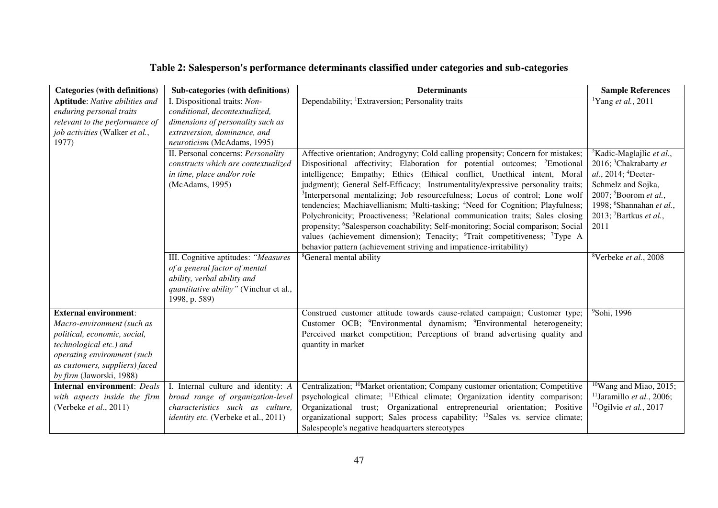| Categories (with definitions)      | Sub-categories (with definitions)           | <b>Determinants</b>                                                                               | <b>Sample References</b>                      |
|------------------------------------|---------------------------------------------|---------------------------------------------------------------------------------------------------|-----------------------------------------------|
| Aptitude: Native abilities and     | I. Dispositional traits: Non-               | Dependability; <sup>1</sup> Extraversion; Personality traits                                      | <sup>1</sup> Yang et al., 2011                |
| enduring personal traits           | conditional, decontextualized,              |                                                                                                   |                                               |
| relevant to the performance of     | dimensions of personality such as           |                                                                                                   |                                               |
| job activities (Walker et al.,     | extraversion, dominance, and                |                                                                                                   |                                               |
| 1977)                              | neuroticism (McAdams, 1995)                 |                                                                                                   |                                               |
|                                    | II. Personal concerns: Personality          | Affective orientation; Androgyny; Cold calling propensity; Concern for mistakes;                  | <sup>2</sup> Kadic-Maglajlic <i>et al.</i> ,  |
|                                    | constructs which are contextualized         | Dispositional affectivity; Elaboration for potential outcomes; <sup>2</sup> Emotional             | 2016; <sup>3</sup> Chakrabarty et             |
|                                    | in time, place and/or role                  | intelligence; Empathy; Ethics (Ethical conflict, Unethical intent, Moral                          | al., 2014; ${}^{4}$ Deeter-                   |
|                                    | (McAdams, 1995)                             | judgment); General Self-Efficacy; Instrumentality/expressive personality traits;                  | Schmelz and Sojka,                            |
|                                    |                                             | <sup>3</sup> Interpersonal mentalizing; Job resourcefulness; Locus of control; Lone wolf          | 2007; 5Boorom et al.,                         |
|                                    |                                             | tendencies; Machiavellianism; Multi-tasking; <sup>4</sup> Need for Cognition; Playfulness;        | 1998; <sup>6</sup> Shannahan et al.,          |
|                                    |                                             | Polychronicity; Proactiveness; <sup>5</sup> Relational communication traits; Sales closing        | 2013; <sup>7</sup> Bartkus et al.,            |
|                                    |                                             | propensity; <sup>6</sup> Salesperson coachability; Self-monitoring; Social comparison; Social     | 2011                                          |
|                                    |                                             | values (achievement dimension); Tenacity; <sup>6</sup> Trait competitiveness; <sup>7</sup> Type A |                                               |
|                                    |                                             | behavior pattern (achievement striving and impatience-irritability)                               |                                               |
|                                    | III. Cognitive aptitudes: "Measures         | <sup>8</sup> General mental ability                                                               | <sup>8</sup> Verbeke et al., 2008             |
|                                    | of a general factor of mental               |                                                                                                   |                                               |
|                                    | ability, verbal ability and                 |                                                                                                   |                                               |
|                                    | quantitative ability" (Vinchur et al.,      |                                                                                                   |                                               |
|                                    | 1998, p. 589)                               |                                                                                                   |                                               |
| <b>External environment:</b>       |                                             | Construed customer attitude towards cause-related campaign; Customer type;                        | <sup>9</sup> Sohi, 1996                       |
| Macro-environment (such as         |                                             | Customer OCB; <sup>9</sup> Environmental dynamism; <sup>9</sup> Environmental heterogeneity;      |                                               |
| political, economic, social,       |                                             | Perceived market competition; Perceptions of brand advertising quality and                        |                                               |
| technological etc.) and            |                                             | quantity in market                                                                                |                                               |
| operating environment (such        |                                             |                                                                                                   |                                               |
| as customers, suppliers) faced     |                                             |                                                                                                   |                                               |
| by firm (Jaworski, 1988)           |                                             |                                                                                                   |                                               |
| <b>Internal environment: Deals</b> | I. Internal culture and identity: A         | Centralization; <sup>10</sup> Market orientation; Company customer orientation; Competitive       | $10$ Wang and Miao, 2015;                     |
| with aspects inside the firm       | broad range of organization-level           | psychological climate; <sup>11</sup> Ethical climate; Organization identity comparison;           | <sup>11</sup> Jaramillo <i>et al.</i> , 2006; |
| (Verbeke et al., 2011)             | characteristics such as culture,            | Organizational trust; Organizational entrepreneurial orientation; Positive                        | <sup>12</sup> Ogilvie et al., 2017            |
|                                    | <i>identity etc.</i> (Verbeke et al., 2011) | organizational support; Sales process capability; <sup>12</sup> Sales vs. service climate;        |                                               |
|                                    |                                             | Salespeople's negative headquarters stereotypes                                                   |                                               |

# **Table 2: Salesperson's performance determinants classified under categories and sub-categories**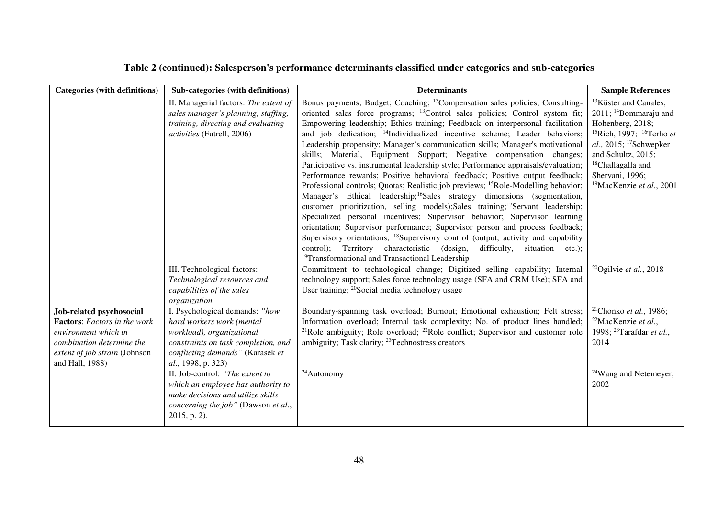# **Table 2 (continued): Salesperson's performance determinants classified under categories and sub-categories**

| <b>Categories (with definitions)</b>                                                                                                                                     | Sub-categories (with definitions)                                                                                                                                                                                                                                  | <b>Determinants</b>                                                                                                                                                                                                                                                                                                                                                                                                                                                                                                                                                                                                                                                                                                                                                                                                                                                                                                                                                                                                                                                                                                                                                                                                                                                                                                                                                                                       | <b>Sample References</b>                                                                                                                                                                                                                                                                                      |
|--------------------------------------------------------------------------------------------------------------------------------------------------------------------------|--------------------------------------------------------------------------------------------------------------------------------------------------------------------------------------------------------------------------------------------------------------------|-----------------------------------------------------------------------------------------------------------------------------------------------------------------------------------------------------------------------------------------------------------------------------------------------------------------------------------------------------------------------------------------------------------------------------------------------------------------------------------------------------------------------------------------------------------------------------------------------------------------------------------------------------------------------------------------------------------------------------------------------------------------------------------------------------------------------------------------------------------------------------------------------------------------------------------------------------------------------------------------------------------------------------------------------------------------------------------------------------------------------------------------------------------------------------------------------------------------------------------------------------------------------------------------------------------------------------------------------------------------------------------------------------------|---------------------------------------------------------------------------------------------------------------------------------------------------------------------------------------------------------------------------------------------------------------------------------------------------------------|
|                                                                                                                                                                          | II. Managerial factors: The extent of<br>sales manager's planning, staffing,<br>training, directing and evaluating<br>activities (Futrell, 2006)                                                                                                                   | Bonus payments; Budget; Coaching; <sup>13</sup> Compensation sales policies; Consulting-<br>oriented sales force programs; <sup>13</sup> Control sales policies; Control system fit;<br>Empowering leadership; Ethics training; Feedback on interpersonal facilitation<br>and job dedication; <sup>14</sup> Individualized incentive scheme; Leader behaviors;<br>Leadership propensity; Manager's communication skills; Manager's motivational<br>skills; Material, Equipment Support; Negative compensation changes;<br>Participative vs. instrumental leadership style; Performance appraisals/evaluation;<br>Performance rewards; Positive behavioral feedback; Positive output feedback;<br>Professional controls; Quotas; Realistic job previews; <sup>15</sup> Role-Modelling behavior;<br>Manager's Ethical leadership; <sup>16</sup> Sales strategy dimensions (segmentation,<br>customer prioritization, selling models); Sales training; <sup>17</sup> Servant leadership;<br>Specialized personal incentives; Supervisor behavior; Supervisor learning<br>orientation; Supervisor performance; Supervisor person and process feedback;<br>Supervisory orientations; <sup>18</sup> Supervisory control (output, activity and capability<br>Territory characteristic (design,<br>difficulty, situation<br>control):<br>$etc.$ ):<br><sup>19</sup> Transformational and Transactional Leadership | <sup>13</sup> Küster and Canales,<br>2011; <sup>14</sup> Bommaraju and<br>Hohenberg, 2018;<br><sup>15</sup> Rich, 1997; <sup>16</sup> Terho <i>et</i><br>al., 2015; <sup>17</sup> Schwepker<br>and Schultz, 2015;<br><sup>18</sup> Challagalla and<br>Shervani, 1996;<br><sup>19</sup> MacKenzie et al., 2001 |
|                                                                                                                                                                          | III. Technological factors:<br>Technological resources and<br>capabilities of the sales<br>organization                                                                                                                                                            | Commitment to technological change; Digitized selling capability; Internal<br>technology support; Sales force technology usage (SFA and CRM Use); SFA and<br>User training; <sup>20</sup> Social media technology usage                                                                                                                                                                                                                                                                                                                                                                                                                                                                                                                                                                                                                                                                                                                                                                                                                                                                                                                                                                                                                                                                                                                                                                                   | <sup>20</sup> Ogilvie et al., 2018                                                                                                                                                                                                                                                                            |
| Job-related psychosocial<br><b>Factors:</b> Factors in the work<br>environment which in<br>combination determine the<br>extent of job strain (Johnson<br>and Hall, 1988) | I. Psychological demands: "how<br>hard workers work (mental<br>workload), organizational<br>constraints on task completion, and<br>conflicting demands" (Karasek et<br>al., 1998, p. 323)<br>II. Job-control: "The extent to<br>which an employee has authority to | Boundary-spanning task overload; Burnout; Emotional exhaustion; Felt stress;<br>Information overload; Internal task complexity; No. of product lines handled;<br><sup>21</sup> Role ambiguity; Role overload; <sup>22</sup> Role conflict; Supervisor and customer role<br>ambiguity; Task clarity; <sup>23</sup> Technostress creators<br><sup>24</sup> Autonomy                                                                                                                                                                                                                                                                                                                                                                                                                                                                                                                                                                                                                                                                                                                                                                                                                                                                                                                                                                                                                                         | <sup>21</sup> Chonko et al., 1986;<br>$22$ MacKenzie et al.,<br>1998; <sup>23</sup> Tarafdar et al.,<br>2014<br>$\sqrt[24]{\text{W}}$ ang and Netemeyer,<br>2002                                                                                                                                              |
|                                                                                                                                                                          | make decisions and utilize skills<br>concerning the job" (Dawson et al.,<br>2015, p. 2).                                                                                                                                                                           |                                                                                                                                                                                                                                                                                                                                                                                                                                                                                                                                                                                                                                                                                                                                                                                                                                                                                                                                                                                                                                                                                                                                                                                                                                                                                                                                                                                                           |                                                                                                                                                                                                                                                                                                               |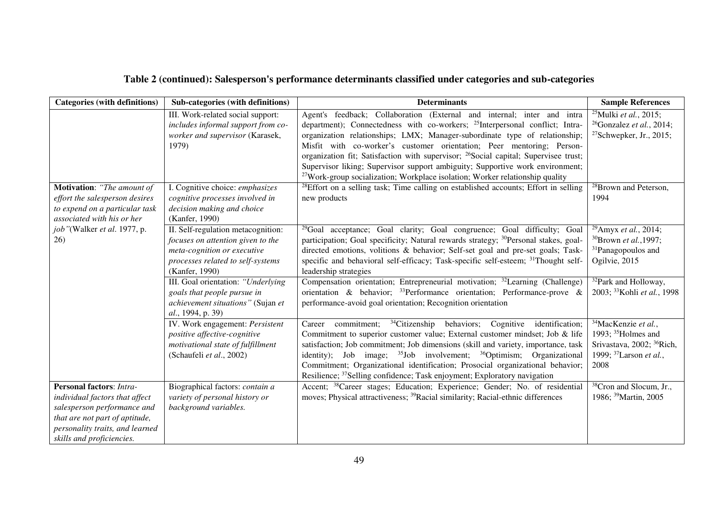# **Table 2 (continued): Salesperson's performance determinants classified under categories and sub-categories**

| <b>Categories (with definitions)</b>                                                                                                                                                               | Sub-categories (with definitions)                                                                                                                             | <b>Determinants</b>                                                                                                                                                                                                                                                                                                                                                                                                                                                                                                                                                                                                                                                                                           | <b>Sample References</b>                                                                                                                             |
|----------------------------------------------------------------------------------------------------------------------------------------------------------------------------------------------------|---------------------------------------------------------------------------------------------------------------------------------------------------------------|---------------------------------------------------------------------------------------------------------------------------------------------------------------------------------------------------------------------------------------------------------------------------------------------------------------------------------------------------------------------------------------------------------------------------------------------------------------------------------------------------------------------------------------------------------------------------------------------------------------------------------------------------------------------------------------------------------------|------------------------------------------------------------------------------------------------------------------------------------------------------|
| Motivation: "The amount of                                                                                                                                                                         | III. Work-related social support:<br>includes informal support from co-<br>worker and supervisor (Karasek,<br>1979)<br>I. Cognitive choice: emphasizes        | Agent's feedback; Collaboration (External and internal; inter and intra<br>department); Connectedness with co-workers; <sup>25</sup> Interpersonal conflict; Intra-<br>organization relationships; LMX; Manager-subordinate type of relationship;<br>Misfit with co-worker's customer orientation; Peer mentoring; Person-<br>organization fit; Satisfaction with supervisor; <sup>26</sup> Social capital; Supervisee trust;<br>Supervisor liking; Supervisor support ambiguity; Supportive work environment;<br><sup>27</sup> Work-group socialization; Workplace isolation; Worker relationship quality<br><sup>28</sup> Effort on a selling task; Time calling on established accounts; Effort in selling | <sup>25</sup> Mulki <i>et al.</i> , 2015;<br>$26$ Gonzalez et al., 2014;<br><sup>27</sup> Schwepker, Jr., 2015;<br><sup>28</sup> Brown and Peterson, |
| effort the salesperson desires<br>to expend on a particular task<br>associated with his or her                                                                                                     | cognitive processes involved in<br>decision making and choice<br>(Kanfer, 1990)                                                                               | new products                                                                                                                                                                                                                                                                                                                                                                                                                                                                                                                                                                                                                                                                                                  | 1994                                                                                                                                                 |
| job"(Walker et al. 1977, p.<br>26)                                                                                                                                                                 | II. Self-regulation metacognition:<br>focuses on attention given to the<br>meta-cognition or executive<br>processes related to self-systems<br>(Kanfer, 1990) | <sup>29</sup> Goal acceptance; Goal clarity; Goal congruence; Goal difficulty; Goal<br>participation; Goal specificity; Natural rewards strategy; <sup>30</sup> Personal stakes, goal-<br>directed emotions, volitions & behavior; Self-set goal and pre-set goals; Task-<br>specific and behavioral self-efficacy; Task-specific self-esteem; <sup>31</sup> Thought self-<br>leadership strategies                                                                                                                                                                                                                                                                                                           | <sup>29</sup> Amyx <i>et al.</i> , 2014;<br>$30B$ rown <i>et al.</i> , 1997;<br><sup>31</sup> Panagopoulos and<br>Ogilvie, 2015                      |
|                                                                                                                                                                                                    | III. Goal orientation: "Underlying<br>goals that people pursue in<br>achievement situations" (Sujan et<br>al., 1994, p. 39)                                   | Compensation orientation; Entrepreneurial motivation; <sup>32</sup> Learning (Challenge)<br>orientation & behavior; $33$ Performance orientation; Performance-prove &<br>performance-avoid goal orientation; Recognition orientation                                                                                                                                                                                                                                                                                                                                                                                                                                                                          | <sup>32</sup> Park and Holloway,<br>2003; <sup>33</sup> Kohli et al., 1998                                                                           |
|                                                                                                                                                                                                    | IV. Work engagement: Persistent<br>positive affective-cognitive<br>motivational state of fulfillment<br>(Schaufeli et al., 2002)                              | <sup>34</sup> Citizenship behaviors; Cognitive identification;<br>Career commitment;<br>Commitment to superior customer value; External customer mindset; Job & life<br>satisfaction; Job commitment; Job dimensions (skill and variety, importance, task<br>identity); Job image; <sup>35</sup> Job involvement; <sup>36</sup> Optimism; Organizational<br>Commitment; Organizational identification; Prosocial organizational behavior;<br>Resilience; <sup>37</sup> Selling confidence; Task enjoyment; Exploratory navigation                                                                                                                                                                             | <sup>34</sup> MacKenzie et al.,<br>1993; $35$ Holmes and<br>Srivastava, 2002; <sup>36</sup> Rich,<br>1999; <sup>37</sup> Larson et al.,<br>2008      |
| <b>Personal factors: Intra-</b><br>individual factors that affect<br>salesperson performance and<br>that are not part of aptitude,<br>personality traits, and learned<br>skills and proficiencies. | Biographical factors: contain a<br>variety of personal history or<br>background variables.                                                                    | Accent; <sup>38</sup> Career stages; Education; Experience; Gender; No. of residential<br>moves; Physical attractiveness; <sup>39</sup> Racial similarity; Racial-ethnic differences                                                                                                                                                                                                                                                                                                                                                                                                                                                                                                                          | <sup>38</sup> Cron and Slocum, Jr.,<br>1986; <sup>39</sup> Martin, 2005                                                                              |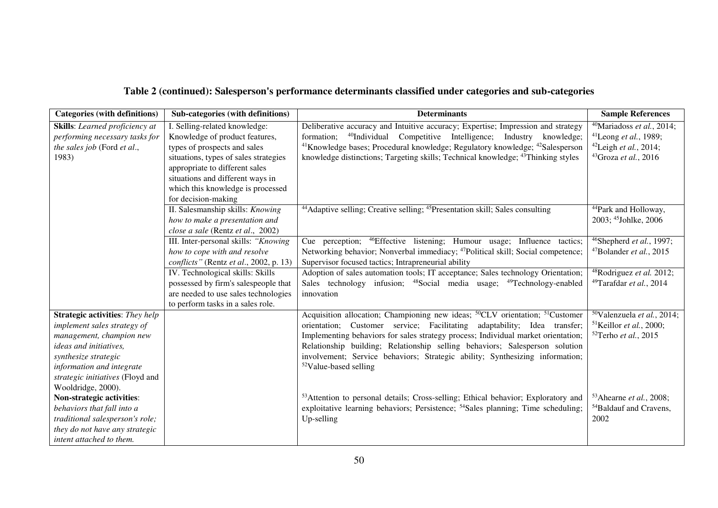# **Table 2 (continued): Salesperson's performance determinants classified under categories and sub-categories**

| <b>Categories (with definitions)</b>   | Sub-categories (with definitions)      | <b>Determinants</b>                                                                                  | <b>Sample References</b>                       |
|----------------------------------------|----------------------------------------|------------------------------------------------------------------------------------------------------|------------------------------------------------|
| <b>Skills:</b> Learned proficiency at  | I. Selling-related knowledge:          | Deliberative accuracy and Intuitive accuracy; Expertise; Impression and strategy                     | <sup>40</sup> Mariadoss <i>et al.</i> , 2014;  |
| performing necessary tasks for         | Knowledge of product features,         | <sup>40</sup> Individual Competitive Intelligence; Industry knowledge;<br>formation;                 | $41$ Leong et al., 1989;                       |
| the sales job (Ford et al.,            | types of prospects and sales           | <sup>41</sup> Knowledge bases; Procedural knowledge; Regulatory knowledge; <sup>42</sup> Salesperson | <sup>42</sup> Leigh <i>et al.</i> , 2014;      |
| 1983)                                  | situations, types of sales strategies  | knowledge distinctions; Targeting skills; Technical knowledge; <sup>43</sup> Thinking styles         | $43$ Groza et al., 2016                        |
|                                        | appropriate to different sales         |                                                                                                      |                                                |
|                                        | situations and different ways in       |                                                                                                      |                                                |
|                                        | which this knowledge is processed      |                                                                                                      |                                                |
|                                        | for decision-making                    |                                                                                                      |                                                |
|                                        | II. Salesmanship skills: Knowing       | <sup>44</sup> Adaptive selling; Creative selling; <sup>45</sup> Presentation skill; Sales consulting | <sup>44</sup> Park and Holloway,               |
|                                        | how to make a presentation and         |                                                                                                      | 2003; <sup>45</sup> Johlke, 2006               |
|                                        | close a sale (Rentz et al., 2002)      |                                                                                                      |                                                |
|                                        | III. Inter-personal skills: "Knowing   | Cue perception; <sup>46</sup> Effective listening; Humour usage; Influence tactics;                  | $46$ Shepherd et al., 1997;                    |
|                                        | how to cope with and resolve           | Networking behavior; Nonverbal immediacy; <sup>47</sup> Political skill; Social competence;          | $47B$ olander <i>et al.</i> , 2015             |
|                                        | conflicts" (Rentz et al., 2002, p. 13) | Supervisor focused tactics; Intrapreneurial ability                                                  |                                                |
|                                        | IV. Technological skills: Skills       | Adoption of sales automation tools; IT acceptance; Sales technology Orientation;                     | $48$ Rodriguez et al. 2012;                    |
|                                        | possessed by firm's salespeople that   | Sales technology infusion; <sup>48</sup> Social media usage; <sup>49</sup> Technology-enabled        | $49$ Tarafdar et al., 2014                     |
|                                        | are needed to use sales technologies   | innovation                                                                                           |                                                |
|                                        | to perform tasks in a sales role.      |                                                                                                      |                                                |
| <b>Strategic activities:</b> They help |                                        | Acquisition allocation; Championing new ideas; <sup>50</sup> CLV orientation; <sup>51</sup> Customer | <sup>50</sup> Valenzuela <i>et al.</i> , 2014; |
| implement sales strategy of            |                                        | orientation; Customer service; Facilitating<br>adaptability; Idea transfer;                          | <sup>51</sup> Keillor <i>et al.</i> , 2000;    |
| management, champion new               |                                        | Implementing behaviors for sales strategy process; Individual market orientation;                    | $52$ Terho <i>et al.</i> , 2015                |
| ideas and initiatives,                 |                                        | Relationship building; Relationship selling behaviors; Salesperson solution                          |                                                |
| synthesize strategic                   |                                        | involvement; Service behaviors; Strategic ability; Synthesizing information;                         |                                                |
| information and integrate              |                                        | $52$ Value-based selling                                                                             |                                                |
| strategic initiatives (Floyd and       |                                        |                                                                                                      |                                                |
| Wooldridge, 2000).                     |                                        |                                                                                                      |                                                |
| Non-strategic activities:              |                                        | <sup>53</sup> Attention to personal details; Cross-selling; Ethical behavior; Exploratory and        | $53$ Ahearne et al., 2008;                     |
| behaviors that fall into a             |                                        | exploitative learning behaviors; Persistence; <sup>54</sup> Sales planning; Time scheduling;         | <sup>54</sup> Baldauf and Cravens,             |
| traditional salesperson's role;        |                                        | Up-selling                                                                                           | 2002                                           |
| they do not have any strategic         |                                        |                                                                                                      |                                                |
| intent attached to them.               |                                        |                                                                                                      |                                                |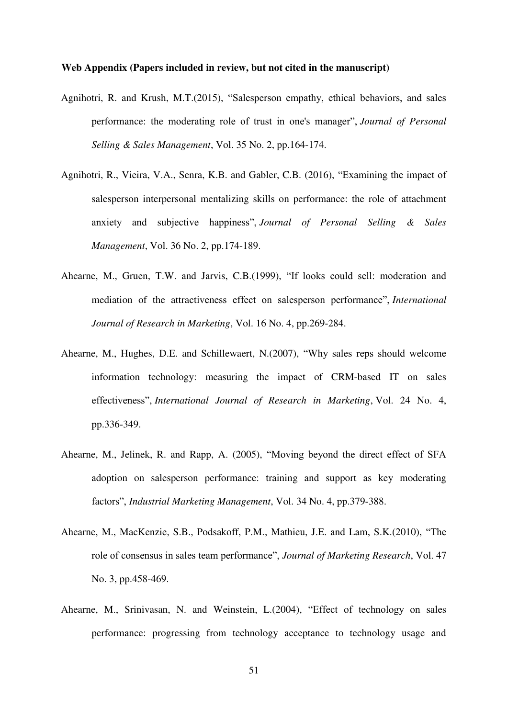### **Web Appendix (Papers included in review, but not cited in the manuscript)**

- Agnihotri, R. and Krush, M.T.(2015), "Salesperson empathy, ethical behaviors, and sales performance: the moderating role of trust in one's manager", *Journal of Personal Selling & Sales Management*, Vol. 35 No. 2, pp.164-174.
- Agnihotri, R., Vieira, V.A., Senra, K.B. and Gabler, C.B. (2016), "Examining the impact of salesperson interpersonal mentalizing skills on performance: the role of attachment anxiety and subjective happiness", *Journal of Personal Selling & Sales Management*, Vol. 36 No. 2, pp.174-189.
- Ahearne, M., Gruen, T.W. and Jarvis, C.B.(1999), "If looks could sell: moderation and mediation of the attractiveness effect on salesperson performance", *International Journal of Research in Marketing*, Vol. 16 No. 4, pp.269-284.
- Ahearne, M., Hughes, D.E. and Schillewaert, N.(2007), "Why sales reps should welcome information technology: measuring the impact of CRM-based IT on sales effectiveness", *International Journal of Research in Marketing*, Vol. 24 No. 4, pp.336-349.
- Ahearne, M., Jelinek, R. and Rapp, A. (2005), "Moving beyond the direct effect of SFA adoption on salesperson performance: training and support as key moderating factors", *Industrial Marketing Management*, Vol. 34 No. 4, pp.379-388.
- Ahearne, M., MacKenzie, S.B., Podsakoff, P.M., Mathieu, J.E. and Lam, S.K.(2010), "The role of consensus in sales team performance", *Journal of Marketing Research*, Vol. 47 No. 3, pp.458-469.
- Ahearne, M., Srinivasan, N. and Weinstein, L.(2004), "Effect of technology on sales performance: progressing from technology acceptance to technology usage and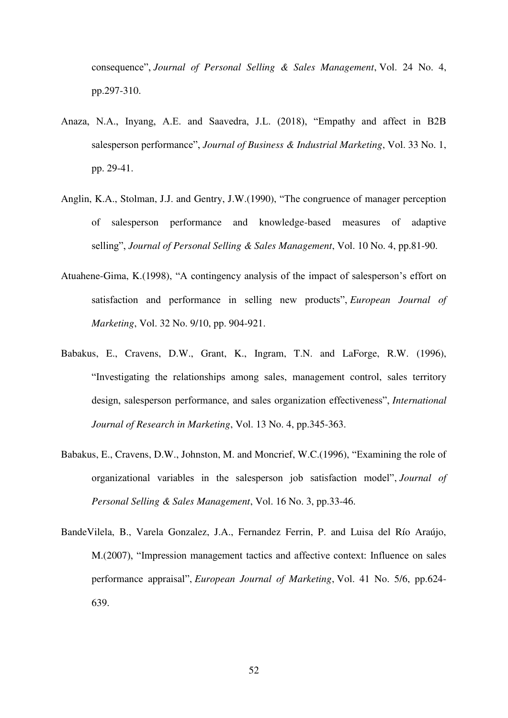consequence", *Journal of Personal Selling & Sales Management*, Vol. 24 No. 4, pp.297-310.

- Anaza, N.A., Inyang, A.E. and Saavedra, J.L. (2018), "Empathy and affect in B2B salesperson performance", *Journal of Business & Industrial Marketing*, Vol. 33 No. 1, pp. 29-41.
- Anglin, K.A., Stolman, J.J. and Gentry, J.W.(1990), "The congruence of manager perception of salesperson performance and knowledge-based measures of adaptive selling", *Journal of Personal Selling & Sales Management*, Vol. 10 No. 4, pp.81-90.
- Atuahene-Gima, K.(1998), "A contingency analysis of the impact of salesperson's effort on satisfaction and performance in selling new products", *European Journal of Marketing*, Vol. 32 No. 9/10, pp. 904-921.
- Babakus, E., Cravens, D.W., Grant, K., Ingram, T.N. and LaForge, R.W. (1996), "Investigating the relationships among sales, management control, sales territory design, salesperson performance, and sales organization effectiveness", *International Journal of Research in Marketing*, Vol. 13 No. 4, pp.345-363.
- Babakus, E., Cravens, D.W., Johnston, M. and Moncrief, W.C.(1996), "Examining the role of organizational variables in the salesperson job satisfaction model", *Journal of Personal Selling & Sales Management*, Vol. 16 No. 3, pp.33-46.
- BandeVilela, B., Varela Gonzalez, J.A., Fernandez Ferrin, P. and Luisa del Río Araújo, M.(2007), "Impression management tactics and affective context: Influence on sales performance appraisal", *European Journal of Marketing*, Vol. 41 No. 5/6, pp.624- 639.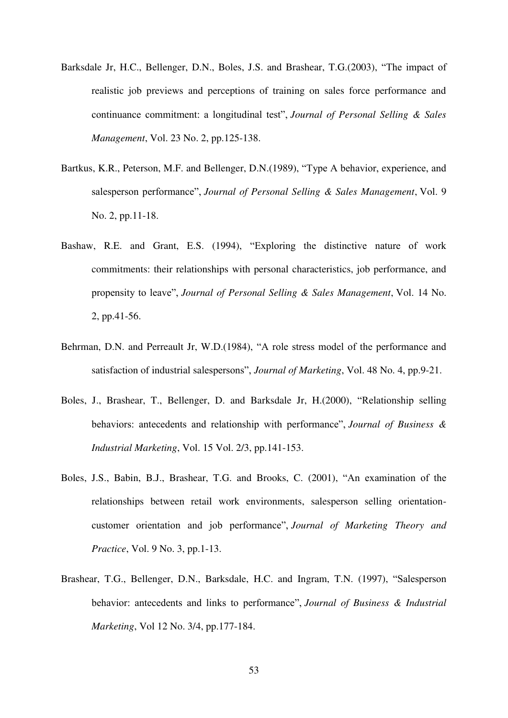- Barksdale Jr, H.C., Bellenger, D.N., Boles, J.S. and Brashear, T.G.(2003), "The impact of realistic job previews and perceptions of training on sales force performance and continuance commitment: a longitudinal test", *Journal of Personal Selling & Sales Management*, Vol. 23 No. 2, pp.125-138.
- Bartkus, K.R., Peterson, M.F. and Bellenger, D.N.(1989), "Type A behavior, experience, and salesperson performance", *Journal of Personal Selling & Sales Management*, Vol. 9 No. 2, pp.11-18.
- Bashaw, R.E. and Grant, E.S. (1994), "Exploring the distinctive nature of work commitments: their relationships with personal characteristics, job performance, and propensity to leave", *Journal of Personal Selling & Sales Management*, Vol. 14 No. 2, pp.41-56.
- Behrman, D.N. and Perreault Jr, W.D.(1984), "A role stress model of the performance and satisfaction of industrial salespersons", *Journal of Marketing*, Vol. 48 No. 4, pp.9-21.
- Boles, J., Brashear, T., Bellenger, D. and Barksdale Jr, H.(2000), "Relationship selling behaviors: antecedents and relationship with performance", *Journal of Business & Industrial Marketing*, Vol. 15 Vol. 2/3, pp.141-153.
- Boles, J.S., Babin, B.J., Brashear, T.G. and Brooks, C. (2001), "An examination of the relationships between retail work environments, salesperson selling orientationcustomer orientation and job performance", *Journal of Marketing Theory and Practice*, Vol. 9 No. 3, pp.1-13.
- Brashear, T.G., Bellenger, D.N., Barksdale, H.C. and Ingram, T.N. (1997), "Salesperson behavior: antecedents and links to performance", *Journal of Business & Industrial Marketing*, Vol 12 No. 3/4, pp.177-184.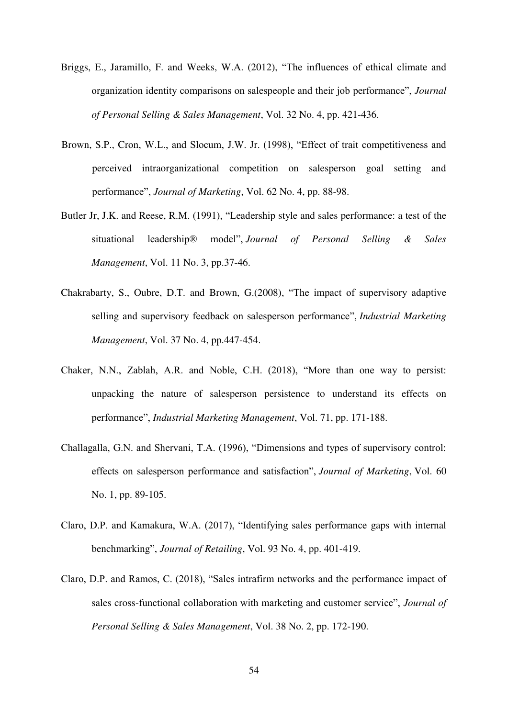- Briggs, E., Jaramillo, F. and Weeks, W.A. (2012), "The influences of ethical climate and organization identity comparisons on salespeople and their job performance", *Journal of Personal Selling & Sales Management*, Vol. 32 No. 4, pp. 421-436.
- Brown, S.P., Cron, W.L., and Slocum, J.W. Jr. (1998), "Effect of trait competitiveness and perceived intraorganizational competition on salesperson goal setting and performance", *Journal of Marketing*, Vol. 62 No. 4, pp. 88-98.
- Butler Jr, J.K. and Reese, R.M. (1991), "Leadership style and sales performance: a test of the situational leadership® model", *Journal of Personal Selling & Sales Management*, Vol. 11 No. 3, pp.37-46.
- Chakrabarty, S., Oubre, D.T. and Brown, G.(2008), "The impact of supervisory adaptive selling and supervisory feedback on salesperson performance", *Industrial Marketing Management*, Vol. 37 No. 4, pp.447-454.
- Chaker, N.N., Zablah, A.R. and Noble, C.H. (2018), "More than one way to persist: unpacking the nature of salesperson persistence to understand its effects on performance", *Industrial Marketing Management*, Vol. 71, pp. 171-188.
- Challagalla, G.N. and Shervani, T.A. (1996), "Dimensions and types of supervisory control: effects on salesperson performance and satisfaction", *Journal of Marketing*, Vol. 60 No. 1, pp. 89-105.
- Claro, D.P. and Kamakura, W.A. (2017), "Identifying sales performance gaps with internal benchmarking", *Journal of Retailing*, Vol. 93 No. 4, pp. 401-419.
- Claro, D.P. and Ramos, C. (2018), "Sales intrafirm networks and the performance impact of sales cross-functional collaboration with marketing and customer service", *Journal of Personal Selling & Sales Management*, Vol. 38 No. 2, pp. 172-190.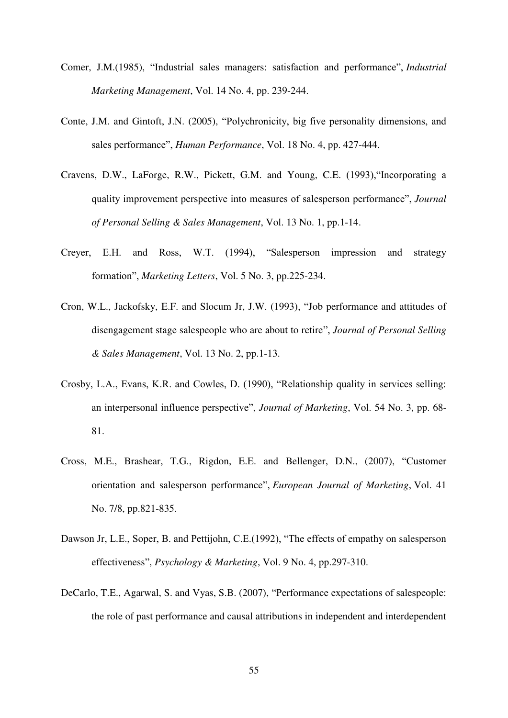- Comer, J.M.(1985), "Industrial sales managers: satisfaction and performance", *Industrial Marketing Management*, Vol. 14 No. 4, pp. 239-244.
- Conte, J.M. and Gintoft, J.N. (2005), "Polychronicity, big five personality dimensions, and sales performance", *Human Performance*, Vol. 18 No. 4, pp. 427-444.
- Cravens, D.W., LaForge, R.W., Pickett, G.M. and Young, C.E. (1993),"Incorporating a quality improvement perspective into measures of salesperson performance", *Journal of Personal Selling & Sales Management*, Vol. 13 No. 1, pp.1-14.
- Creyer, E.H. and Ross, W.T. (1994), "Salesperson impression and strategy formation", *Marketing Letters*, Vol. 5 No. 3, pp.225-234.
- Cron, W.L., Jackofsky, E.F. and Slocum Jr, J.W. (1993), "Job performance and attitudes of disengagement stage salespeople who are about to retire", *Journal of Personal Selling & Sales Management*, Vol. 13 No. 2, pp.1-13.
- Crosby, L.A., Evans, K.R. and Cowles, D. (1990), "Relationship quality in services selling: an interpersonal influence perspective", *Journal of Marketing*, Vol. 54 No. 3, pp. 68- 81.
- Cross, M.E., Brashear, T.G., Rigdon, E.E. and Bellenger, D.N., (2007), "Customer orientation and salesperson performance", *European Journal of Marketing*, Vol. 41 No. 7/8, pp.821-835.
- Dawson Jr, L.E., Soper, B. and Pettijohn, C.E.(1992), "The effects of empathy on salesperson effectiveness", *Psychology & Marketing*, Vol. 9 No. 4, pp.297-310.
- DeCarlo, T.E., Agarwal, S. and Vyas, S.B. (2007), "Performance expectations of salespeople: the role of past performance and causal attributions in independent and interdependent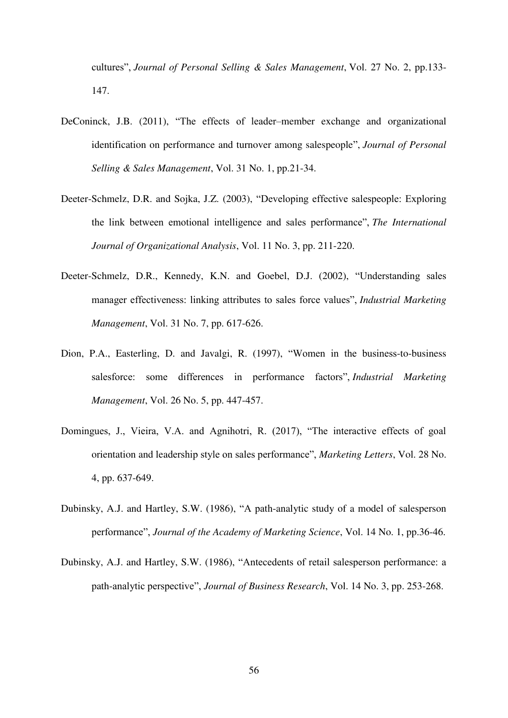cultures", *Journal of Personal Selling & Sales Management*, Vol. 27 No. 2, pp.133- 147.

- DeConinck, J.B. (2011), "The effects of leader–member exchange and organizational identification on performance and turnover among salespeople", *Journal of Personal Selling & Sales Management*, Vol. 31 No. 1, pp.21-34.
- Deeter-Schmelz, D.R. and Sojka, J.Z. (2003), "Developing effective salespeople: Exploring the link between emotional intelligence and sales performance", *The International Journal of Organizational Analysis*, Vol. 11 No. 3, pp. 211-220.
- Deeter-Schmelz, D.R., Kennedy, K.N. and Goebel, D.J. (2002), "Understanding sales manager effectiveness: linking attributes to sales force values", *Industrial Marketing Management*, Vol. 31 No. 7, pp. 617-626.
- Dion, P.A., Easterling, D. and Javalgi, R. (1997), "Women in the business-to-business salesforce: some differences in performance factors", *Industrial Marketing Management*, Vol. 26 No. 5, pp. 447-457.
- Domingues, J., Vieira, V.A. and Agnihotri, R. (2017), "The interactive effects of goal orientation and leadership style on sales performance", *Marketing Letters*, Vol. 28 No. 4, pp. 637-649.
- Dubinsky, A.J. and Hartley, S.W. (1986), "A path-analytic study of a model of salesperson performance", *Journal of the Academy of Marketing Science*, Vol. 14 No. 1, pp.36-46.
- Dubinsky, A.J. and Hartley, S.W. (1986), "Antecedents of retail salesperson performance: a path-analytic perspective", *Journal of Business Research*, Vol. 14 No. 3, pp. 253-268.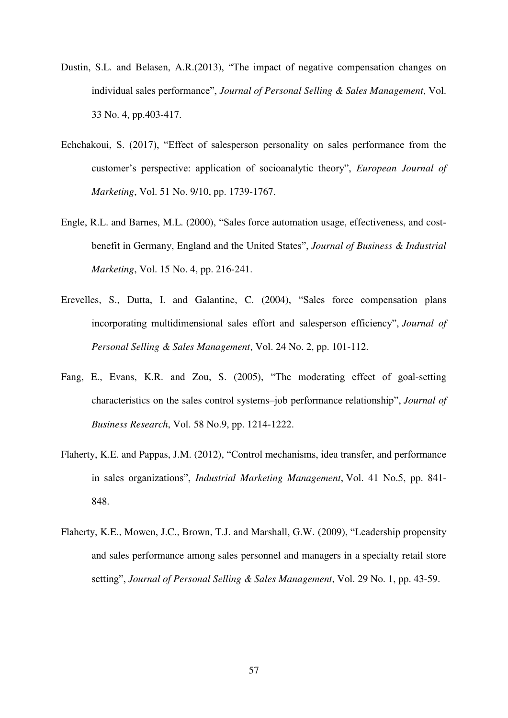- Dustin, S.L. and Belasen, A.R.(2013), "The impact of negative compensation changes on individual sales performance", *Journal of Personal Selling & Sales Management*, Vol. 33 No. 4, pp.403-417.
- Echchakoui, S. (2017), "Effect of salesperson personality on sales performance from the customer's perspective: application of socioanalytic theory", *European Journal of Marketing*, Vol. 51 No. 9/10, pp. 1739-1767.
- Engle, R.L. and Barnes, M.L. (2000), "Sales force automation usage, effectiveness, and costbenefit in Germany, England and the United States", *Journal of Business & Industrial Marketing*, Vol. 15 No. 4, pp. 216-241.
- Erevelles, S., Dutta, I. and Galantine, C. (2004), "Sales force compensation plans incorporating multidimensional sales effort and salesperson efficiency", *Journal of Personal Selling & Sales Management*, Vol. 24 No. 2, pp. 101-112.
- Fang, E., Evans, K.R. and Zou, S. (2005), "The moderating effect of goal-setting characteristics on the sales control systems–job performance relationship", *Journal of Business Research*, Vol. 58 No.9, pp. 1214-1222.
- Flaherty, K.E. and Pappas, J.M. (2012), "Control mechanisms, idea transfer, and performance in sales organizations", *Industrial Marketing Management*, Vol. 41 No.5, pp. 841- 848.
- Flaherty, K.E., Mowen, J.C., Brown, T.J. and Marshall, G.W. (2009), "Leadership propensity and sales performance among sales personnel and managers in a specialty retail store setting", *Journal of Personal Selling & Sales Management*, Vol. 29 No. 1, pp. 43-59.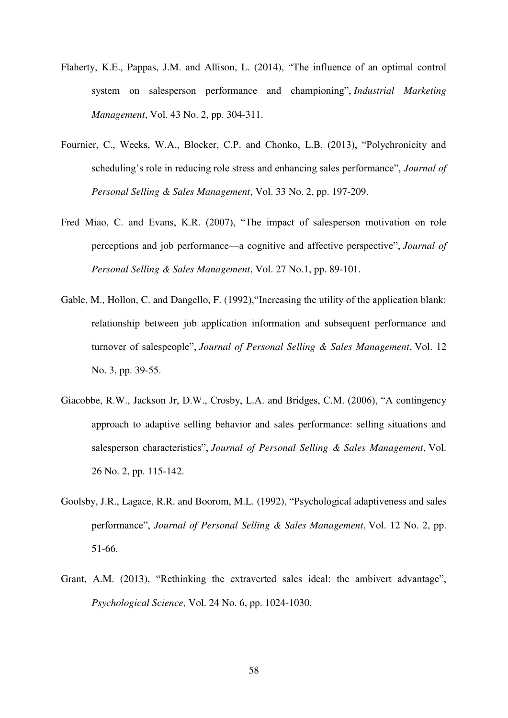- Flaherty, K.E., Pappas, J.M. and Allison, L. (2014), "The influence of an optimal control system on salesperson performance and championing", *Industrial Marketing Management*, Vol. 43 No. 2, pp. 304-311.
- Fournier, C., Weeks, W.A., Blocker, C.P. and Chonko, L.B. (2013), "Polychronicity and scheduling's role in reducing role stress and enhancing sales performance", *Journal of Personal Selling & Sales Management*, Vol. 33 No. 2, pp. 197-209.
- Fred Miao, C. and Evans, K.R. (2007), "The impact of salesperson motivation on role perceptions and job performance—a cognitive and affective perspective", *Journal of Personal Selling & Sales Management*, Vol. 27 No.1, pp. 89-101.
- Gable, M., Hollon, C. and Dangello, F. (1992),"Increasing the utility of the application blank: relationship between job application information and subsequent performance and turnover of salespeople", *Journal of Personal Selling & Sales Management*, Vol. 12 No. 3, pp. 39-55.
- Giacobbe, R.W., Jackson Jr, D.W., Crosby, L.A. and Bridges, C.M. (2006), "A contingency approach to adaptive selling behavior and sales performance: selling situations and salesperson characteristics", *Journal of Personal Selling & Sales Management*, Vol. 26 No. 2, pp. 115-142.
- Goolsby, J.R., Lagace, R.R. and Boorom, M.L. (1992), "Psychological adaptiveness and sales performance", *Journal of Personal Selling & Sales Management*, Vol. 12 No. 2, pp. 51-66.
- Grant, A.M. (2013), "Rethinking the extraverted sales ideal: the ambivert advantage", *Psychological Science*, Vol. 24 No. 6, pp. 1024-1030.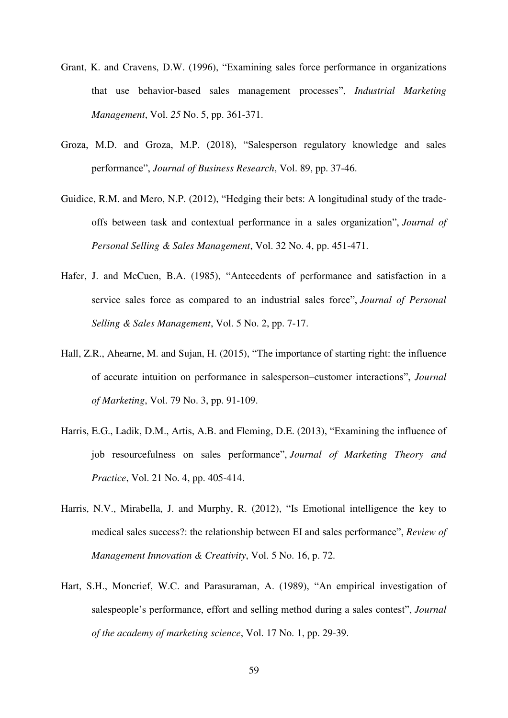- Grant, K. and Cravens, D.W. (1996), "Examining sales force performance in organizations that use behavior-based sales management processes", *Industrial Marketing Management*, Vol. *25* No. 5, pp. 361-371.
- Groza, M.D. and Groza, M.P. (2018), "Salesperson regulatory knowledge and sales performance", *Journal of Business Research*, Vol. 89, pp. 37-46.
- Guidice, R.M. and Mero, N.P. (2012), "Hedging their bets: A longitudinal study of the tradeoffs between task and contextual performance in a sales organization", *Journal of Personal Selling & Sales Management*, Vol. 32 No. 4, pp. 451-471.
- Hafer, J. and McCuen, B.A. (1985), "Antecedents of performance and satisfaction in a service sales force as compared to an industrial sales force", *Journal of Personal Selling & Sales Management*, Vol. 5 No. 2, pp. 7-17.
- Hall, Z.R., Ahearne, M. and Sujan, H. (2015), "The importance of starting right: the influence of accurate intuition on performance in salesperson–customer interactions", *Journal of Marketing*, Vol. 79 No. 3, pp. 91-109.
- Harris, E.G., Ladik, D.M., Artis, A.B. and Fleming, D.E. (2013), "Examining the influence of job resourcefulness on sales performance", *Journal of Marketing Theory and Practice*, Vol. 21 No. 4, pp. 405-414.
- Harris, N.V., Mirabella, J. and Murphy, R. (2012), "Is Emotional intelligence the key to medical sales success?: the relationship between EI and sales performance", *Review of Management Innovation & Creativity*, Vol. 5 No. 16, p. 72.
- Hart, S.H., Moncrief, W.C. and Parasuraman, A. (1989), "An empirical investigation of salespeople's performance, effort and selling method during a sales contest", *Journal of the academy of marketing science*, Vol. 17 No. 1, pp. 29-39.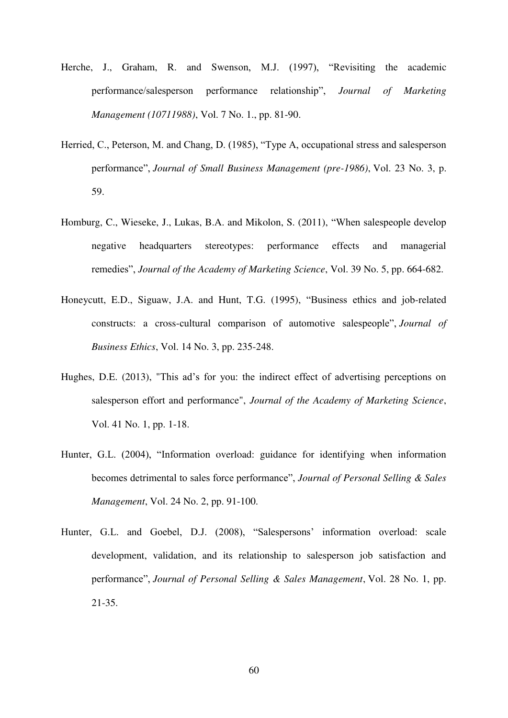- Herche, J., Graham, R. and Swenson, M.J. (1997), "Revisiting the academic performance/salesperson performance relationship", *Journal of Marketing Management (10711988)*, Vol. 7 No. 1., pp. 81-90.
- Herried, C., Peterson, M. and Chang, D. (1985), "Type A, occupational stress and salesperson performance", *Journal of Small Business Management (pre-1986)*, Vol. 23 No. 3, p. 59.
- Homburg, C., Wieseke, J., Lukas, B.A. and Mikolon, S. (2011), "When salespeople develop negative headquarters stereotypes: performance effects and managerial remedies", *Journal of the Academy of Marketing Science*, Vol. 39 No. 5, pp. 664-682.
- Honeycutt, E.D., Siguaw, J.A. and Hunt, T.G. (1995), "Business ethics and job-related constructs: a cross-cultural comparison of automotive salespeople", *Journal of Business Ethics*, Vol. 14 No. 3, pp. 235-248.
- Hughes, D.E. (2013), "This ad's for you: the indirect effect of advertising perceptions on salesperson effort and performance", *Journal of the Academy of Marketing Science*, Vol. 41 No. 1, pp. 1-18.
- Hunter, G.L. (2004), "Information overload: guidance for identifying when information becomes detrimental to sales force performance", *Journal of Personal Selling & Sales Management*, Vol. 24 No. 2, pp. 91-100.
- Hunter, G.L. and Goebel, D.J. (2008), "Salespersons' information overload: scale development, validation, and its relationship to salesperson job satisfaction and performance", *Journal of Personal Selling & Sales Management*, Vol. 28 No. 1, pp. 21-35.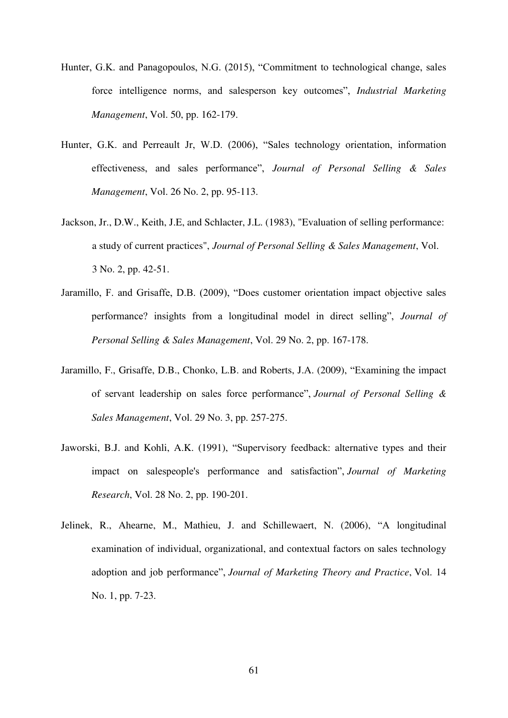- Hunter, G.K. and Panagopoulos, N.G. (2015), "Commitment to technological change, sales force intelligence norms, and salesperson key outcomes", *Industrial Marketing Management*, Vol. 50, pp. 162-179.
- Hunter, G.K. and Perreault Jr, W.D. (2006), "Sales technology orientation, information effectiveness, and sales performance", *Journal of Personal Selling & Sales Management*, Vol. 26 No. 2, pp. 95-113.
- Jackson, Jr., D.W., Keith, J.E, and Schlacter, J.L. (1983), "Evaluation of selling performance: a study of current practices", *Journal of Personal Selling & Sales Management*, Vol. 3 No. 2, pp. 42-51.
- Jaramillo, F. and Grisaffe, D.B. (2009), "Does customer orientation impact objective sales performance? insights from a longitudinal model in direct selling", *Journal of Personal Selling & Sales Management*, Vol. 29 No. 2, pp. 167-178.
- Jaramillo, F., Grisaffe, D.B., Chonko, L.B. and Roberts, J.A. (2009), "Examining the impact of servant leadership on sales force performance", *Journal of Personal Selling & Sales Management*, Vol. 29 No. 3, pp. 257-275.
- Jaworski, B.J. and Kohli, A.K. (1991), "Supervisory feedback: alternative types and their impact on salespeople's performance and satisfaction", *Journal of Marketing Research*, Vol. 28 No. 2, pp. 190-201.
- Jelinek, R., Ahearne, M., Mathieu, J. and Schillewaert, N. (2006), "A longitudinal examination of individual, organizational, and contextual factors on sales technology adoption and job performance", *Journal of Marketing Theory and Practice*, Vol. 14 No. 1, pp. 7-23.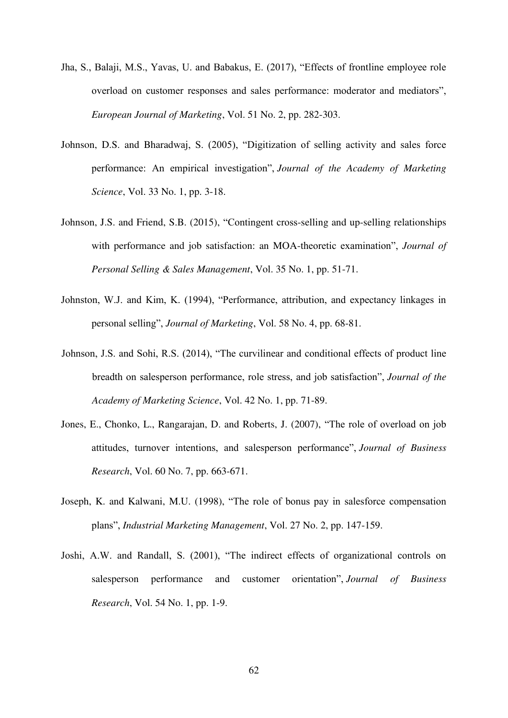- Jha, S., Balaji, M.S., Yavas, U. and Babakus, E. (2017), "Effects of frontline employee role overload on customer responses and sales performance: moderator and mediators", *European Journal of Marketing*, Vol. 51 No. 2, pp. 282-303.
- Johnson, D.S. and Bharadwaj, S. (2005), "Digitization of selling activity and sales force performance: An empirical investigation", *Journal of the Academy of Marketing Science*, Vol. 33 No. 1, pp. 3-18.
- Johnson, J.S. and Friend, S.B. (2015), "Contingent cross-selling and up-selling relationships with performance and job satisfaction: an MOA-theoretic examination", *Journal of Personal Selling & Sales Management*, Vol. 35 No. 1, pp. 51-71.
- Johnston, W.J. and Kim, K. (1994), "Performance, attribution, and expectancy linkages in personal selling", *Journal of Marketing*, Vol. 58 No. 4, pp. 68-81.
- Johnson, J.S. and Sohi, R.S. (2014), "The curvilinear and conditional effects of product line breadth on salesperson performance, role stress, and job satisfaction", *Journal of the Academy of Marketing Science*, Vol. 42 No. 1, pp. 71-89.
- Jones, E., Chonko, L., Rangarajan, D. and Roberts, J. (2007), "The role of overload on job attitudes, turnover intentions, and salesperson performance", *Journal of Business Research*, Vol. 60 No. 7, pp. 663-671.
- Joseph, K. and Kalwani, M.U. (1998), "The role of bonus pay in salesforce compensation plans", *Industrial Marketing Management*, Vol. 27 No. 2, pp. 147-159.
- Joshi, A.W. and Randall, S. (2001), "The indirect effects of organizational controls on salesperson performance and customer orientation", *Journal of Business Research*, Vol. 54 No. 1, pp. 1-9.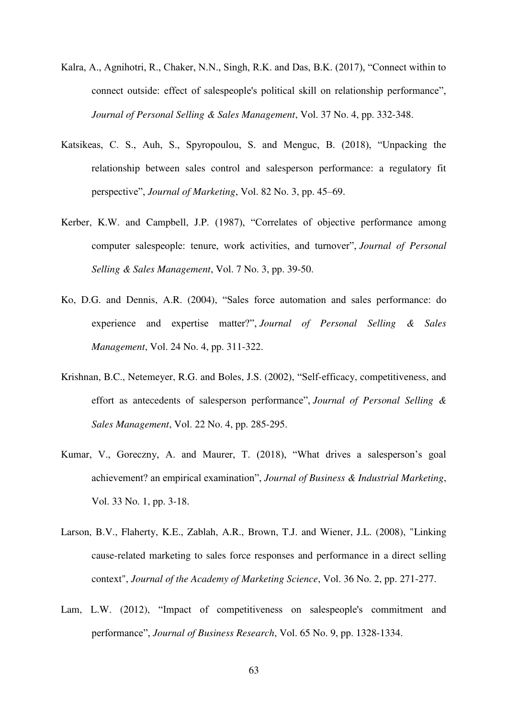- Kalra, A., Agnihotri, R., Chaker, N.N., Singh, R.K. and Das, B.K. (2017), "Connect within to connect outside: effect of salespeople's political skill on relationship performance", *Journal of Personal Selling & Sales Management*, Vol. 37 No. 4, pp. 332-348.
- Katsikeas, C. S., Auh, S., Spyropoulou, S. and Menguc, B. (2018), "Unpacking the relationship between sales control and salesperson performance: a regulatory fit perspective", *Journal of Marketing*, Vol. 82 No. 3, pp. 45–69.
- Kerber, K.W. and Campbell, J.P. (1987), "Correlates of objective performance among computer salespeople: tenure, work activities, and turnover", *Journal of Personal Selling & Sales Management*, Vol. 7 No. 3, pp. 39-50.
- Ko, D.G. and Dennis, A.R. (2004), "Sales force automation and sales performance: do experience and expertise matter?", *Journal of Personal Selling & Sales Management*, Vol. 24 No. 4, pp. 311-322.
- Krishnan, B.C., Netemeyer, R.G. and Boles, J.S. (2002), "Self-efficacy, competitiveness, and effort as antecedents of salesperson performance", *Journal of Personal Selling & Sales Management*, Vol. 22 No. 4, pp. 285-295.
- Kumar, V., Goreczny, A. and Maurer, T. (2018), "What drives a salesperson's goal achievement? an empirical examination", *Journal of Business & Industrial Marketing*, Vol. 33 No. 1, pp. 3-18.
- Larson, B.V., Flaherty, K.E., Zablah, A.R., Brown, T.J. and Wiener, J.L. (2008), "Linking cause-related marketing to sales force responses and performance in a direct selling context", *Journal of the Academy of Marketing Science*, Vol. 36 No. 2, pp. 271-277.
- Lam, L.W. (2012), "Impact of competitiveness on salespeople's commitment and performance", *Journal of Business Research*, Vol. 65 No. 9, pp. 1328-1334.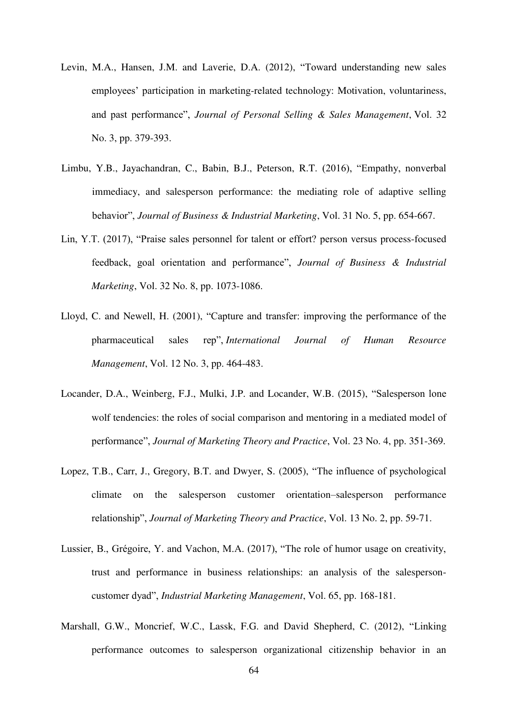- Levin, M.A., Hansen, J.M. and Laverie, D.A. (2012), "Toward understanding new sales employees' participation in marketing-related technology: Motivation, voluntariness, and past performance", *Journal of Personal Selling & Sales Management*, Vol. 32 No. 3, pp. 379-393.
- Limbu, Y.B., Jayachandran, C., Babin, B.J., Peterson, R.T. (2016), "Empathy, nonverbal immediacy, and salesperson performance: the mediating role of adaptive selling behavior", *Journal of Business & Industrial Marketing*, Vol. 31 No. 5, pp. 654-667.
- Lin, Y.T. (2017), "Praise sales personnel for talent or effort? person versus process-focused feedback, goal orientation and performance", *Journal of Business & Industrial Marketing*, Vol. 32 No. 8, pp. 1073-1086.
- Lloyd, C. and Newell, H. (2001), "Capture and transfer: improving the performance of the pharmaceutical sales rep", *International Journal of Human Resource Management*, Vol. 12 No. 3, pp. 464-483.
- Locander, D.A., Weinberg, F.J., Mulki, J.P. and Locander, W.B. (2015), "Salesperson lone wolf tendencies: the roles of social comparison and mentoring in a mediated model of performance", *Journal of Marketing Theory and Practice*, Vol. 23 No. 4, pp. 351-369.
- Lopez, T.B., Carr, J., Gregory, B.T. and Dwyer, S. (2005), "The influence of psychological climate on the salesperson customer orientation–salesperson performance relationship", *Journal of Marketing Theory and Practice*, Vol. 13 No. 2, pp. 59-71.
- Lussier, B., Grégoire, Y. and Vachon, M.A. (2017), "The role of humor usage on creativity, trust and performance in business relationships: an analysis of the salespersoncustomer dyad", *Industrial Marketing Management*, Vol. 65, pp. 168-181.
- Marshall, G.W., Moncrief, W.C., Lassk, F.G. and David Shepherd, C. (2012), "Linking performance outcomes to salesperson organizational citizenship behavior in an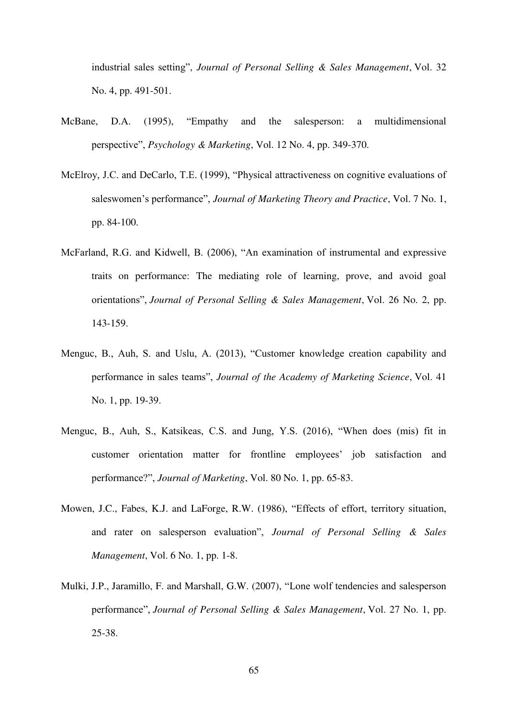industrial sales setting", *Journal of Personal Selling & Sales Management*, Vol. 32 No. 4, pp. 491-501.

- McBane, D.A. (1995), "Empathy and the salesperson: a multidimensional perspective", *Psychology & Marketing*, Vol. 12 No. 4, pp. 349-370.
- McElroy, J.C. and DeCarlo, T.E. (1999), "Physical attractiveness on cognitive evaluations of saleswomen's performance", *Journal of Marketing Theory and Practice*, Vol. 7 No. 1, pp. 84-100.
- McFarland, R.G. and Kidwell, B. (2006), "An examination of instrumental and expressive traits on performance: The mediating role of learning, prove, and avoid goal orientations", *Journal of Personal Selling & Sales Management*, Vol. 26 No. 2, pp. 143-159.
- Menguc, B., Auh, S. and Uslu, A. (2013), "Customer knowledge creation capability and performance in sales teams", *Journal of the Academy of Marketing Science*, Vol. 41 No. 1, pp. 19-39.
- Menguc, B., Auh, S., Katsikeas, C.S. and Jung, Y.S. (2016), "When does (mis) fit in customer orientation matter for frontline employees' job satisfaction and performance?", *Journal of Marketing*, Vol. 80 No. 1, pp. 65-83.
- Mowen, J.C., Fabes, K.J. and LaForge, R.W. (1986), "Effects of effort, territory situation, and rater on salesperson evaluation", *Journal of Personal Selling & Sales Management*, Vol. 6 No. 1, pp. 1-8.
- Mulki, J.P., Jaramillo, F. and Marshall, G.W. (2007), "Lone wolf tendencies and salesperson performance", *Journal of Personal Selling & Sales Management*, Vol. 27 No. 1, pp. 25-38.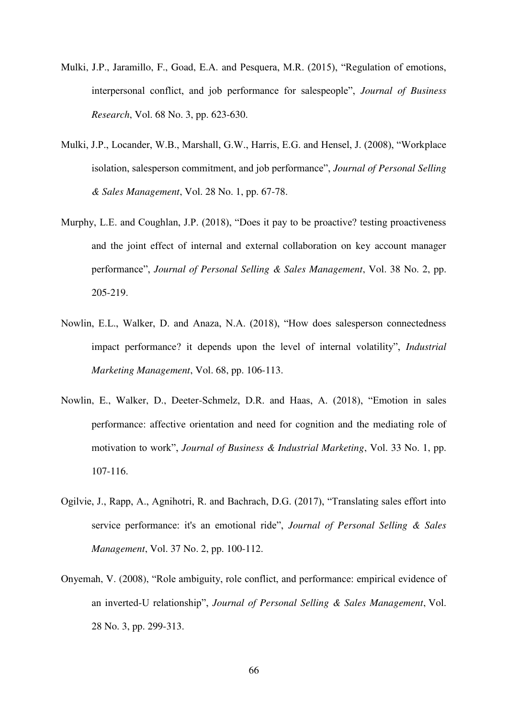- Mulki, J.P., Jaramillo, F., Goad, E.A. and Pesquera, M.R. (2015), "Regulation of emotions, interpersonal conflict, and job performance for salespeople", *Journal of Business Research*, Vol. 68 No. 3, pp. 623-630.
- Mulki, J.P., Locander, W.B., Marshall, G.W., Harris, E.G. and Hensel, J. (2008), "Workplace isolation, salesperson commitment, and job performance", *Journal of Personal Selling & Sales Management*, Vol. 28 No. 1, pp. 67-78.
- Murphy, L.E. and Coughlan, J.P. (2018), "Does it pay to be proactive? testing proactiveness and the joint effect of internal and external collaboration on key account manager performance", *Journal of Personal Selling & Sales Management*, Vol. 38 No. 2, pp. 205-219.
- Nowlin, E.L., Walker, D. and Anaza, N.A. (2018), "How does salesperson connectedness impact performance? it depends upon the level of internal volatility", *Industrial Marketing Management*, Vol. 68, pp. 106-113.
- Nowlin, E., Walker, D., Deeter-Schmelz, D.R. and Haas, A. (2018), "Emotion in sales performance: affective orientation and need for cognition and the mediating role of motivation to work", *Journal of Business & Industrial Marketing*, Vol. 33 No. 1, pp. 107-116.
- Ogilvie, J., Rapp, A., Agnihotri, R. and Bachrach, D.G. (2017), "Translating sales effort into service performance: it's an emotional ride", *Journal of Personal Selling & Sales Management*, Vol. 37 No. 2, pp. 100-112.
- Onyemah, V. (2008), "Role ambiguity, role conflict, and performance: empirical evidence of an inverted-U relationship", *Journal of Personal Selling & Sales Management*, Vol. 28 No. 3, pp. 299-313.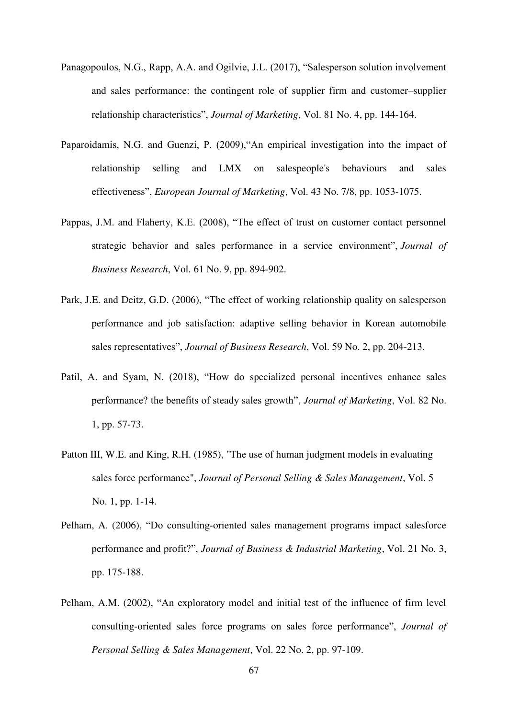- Panagopoulos, N.G., Rapp, A.A. and Ogilvie, J.L. (2017), "Salesperson solution involvement and sales performance: the contingent role of supplier firm and customer–supplier relationship characteristics", *Journal of Marketing*, Vol. 81 No. 4, pp. 144-164.
- Paparoidamis, N.G. and Guenzi, P. (2009),"An empirical investigation into the impact of relationship selling and LMX on salespeople's behaviours and sales effectiveness", *European Journal of Marketing*, Vol. 43 No. 7/8, pp. 1053-1075.
- Pappas, J.M. and Flaherty, K.E. (2008), "The effect of trust on customer contact personnel strategic behavior and sales performance in a service environment", *Journal of Business Research*, Vol. 61 No. 9, pp. 894-902.
- Park, J.E. and Deitz, G.D. (2006), "The effect of working relationship quality on salesperson performance and job satisfaction: adaptive selling behavior in Korean automobile sales representatives", *Journal of Business Research*, Vol. 59 No. 2, pp. 204-213.
- Patil, A. and Syam, N. (2018), "How do specialized personal incentives enhance sales performance? the benefits of steady sales growth", *Journal of Marketing*, Vol. 82 No. 1, pp. 57-73.
- Patton III, W.E. and King, R.H. (1985), "The use of human judgment models in evaluating sales force performance", *Journal of Personal Selling & Sales Management*, Vol. 5 No. 1, pp. 1-14.
- Pelham, A. (2006), "Do consulting-oriented sales management programs impact salesforce performance and profit?", *Journal of Business & Industrial Marketing*, Vol. 21 No. 3, pp. 175-188.
- Pelham, A.M. (2002), "An exploratory model and initial test of the influence of firm level consulting-oriented sales force programs on sales force performance", *Journal of Personal Selling & Sales Management*, Vol. 22 No. 2, pp. 97-109.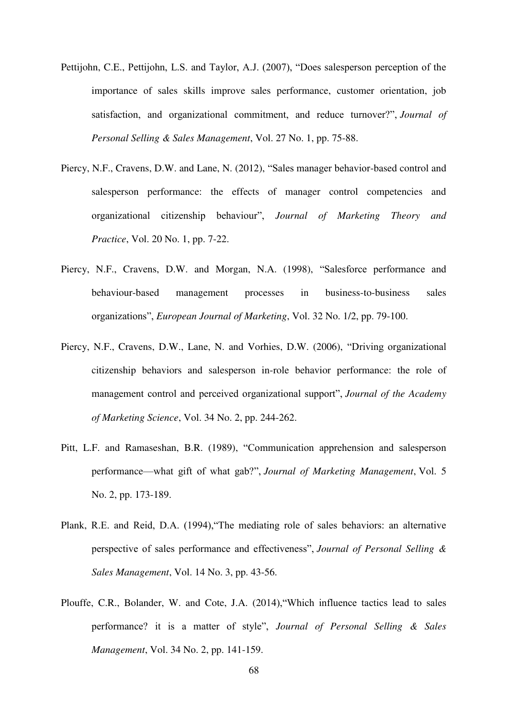- Pettijohn, C.E., Pettijohn, L.S. and Taylor, A.J. (2007), "Does salesperson perception of the importance of sales skills improve sales performance, customer orientation, job satisfaction, and organizational commitment, and reduce turnover?", *Journal of Personal Selling & Sales Management*, Vol. 27 No. 1, pp. 75-88.
- Piercy, N.F., Cravens, D.W. and Lane, N. (2012), "Sales manager behavior-based control and salesperson performance: the effects of manager control competencies and organizational citizenship behaviour", *Journal of Marketing Theory and Practice*, Vol. 20 No. 1, pp. 7-22.
- Piercy, N.F., Cravens, D.W. and Morgan, N.A. (1998), "Salesforce performance and behaviour-based management processes in business-to-business sales organizations", *European Journal of Marketing*, Vol. 32 No. 1/2, pp. 79-100.
- Piercy, N.F., Cravens, D.W., Lane, N. and Vorhies, D.W. (2006), "Driving organizational citizenship behaviors and salesperson in-role behavior performance: the role of management control and perceived organizational support", *Journal of the Academy of Marketing Science*, Vol. 34 No. 2, pp. 244-262.
- Pitt, L.F. and Ramaseshan, B.R. (1989), "Communication apprehension and salesperson performance—what gift of what gab?", *Journal of Marketing Management*, Vol. 5 No. 2, pp. 173-189.
- Plank, R.E. and Reid, D.A. (1994),"The mediating role of sales behaviors: an alternative perspective of sales performance and effectiveness", *Journal of Personal Selling & Sales Management*, Vol. 14 No. 3, pp. 43-56.
- Plouffe, C.R., Bolander, W. and Cote, J.A. (2014),"Which influence tactics lead to sales performance? it is a matter of style", *Journal of Personal Selling & Sales Management*, Vol. 34 No. 2, pp. 141-159.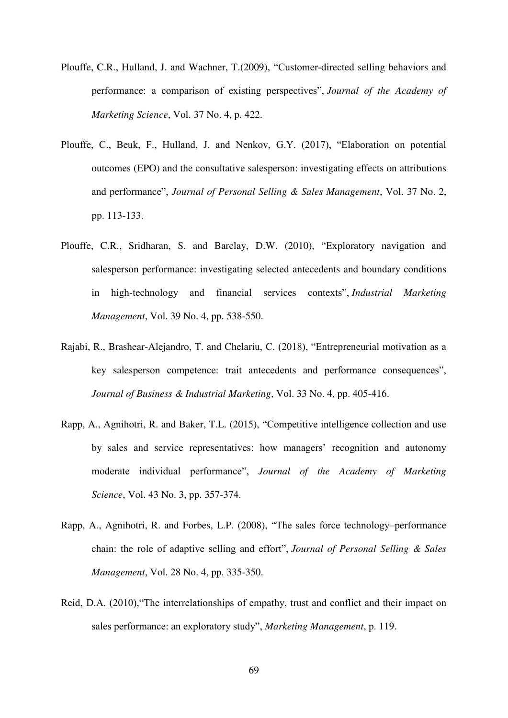- Plouffe, C.R., Hulland, J. and Wachner, T.(2009), "Customer-directed selling behaviors and performance: a comparison of existing perspectives", *Journal of the Academy of Marketing Science*, Vol. 37 No. 4, p. 422.
- Plouffe, C., Beuk, F., Hulland, J. and Nenkov, G.Y. (2017), "Elaboration on potential outcomes (EPO) and the consultative salesperson: investigating effects on attributions and performance", *Journal of Personal Selling & Sales Management*, Vol. 37 No. 2, pp. 113-133.
- Plouffe, C.R., Sridharan, S. and Barclay, D.W. (2010), "Exploratory navigation and salesperson performance: investigating selected antecedents and boundary conditions in high-technology and financial services contexts", *Industrial Marketing Management*, Vol. 39 No. 4, pp. 538-550.
- Rajabi, R., Brashear-Alejandro, T. and Chelariu, C. (2018), "Entrepreneurial motivation as a key salesperson competence: trait antecedents and performance consequences", *Journal of Business & Industrial Marketing*, Vol. 33 No. 4, pp. 405-416.
- Rapp, A., Agnihotri, R. and Baker, T.L. (2015), "Competitive intelligence collection and use by sales and service representatives: how managers' recognition and autonomy moderate individual performance", *Journal of the Academy of Marketing Science*, Vol. 43 No. 3, pp. 357-374.
- Rapp, A., Agnihotri, R. and Forbes, L.P. (2008), "The sales force technology–performance chain: the role of adaptive selling and effort", *Journal of Personal Selling & Sales Management*, Vol. 28 No. 4, pp. 335-350.
- Reid, D.A. (2010),"The interrelationships of empathy, trust and conflict and their impact on sales performance: an exploratory study", *Marketing Management*, p. 119.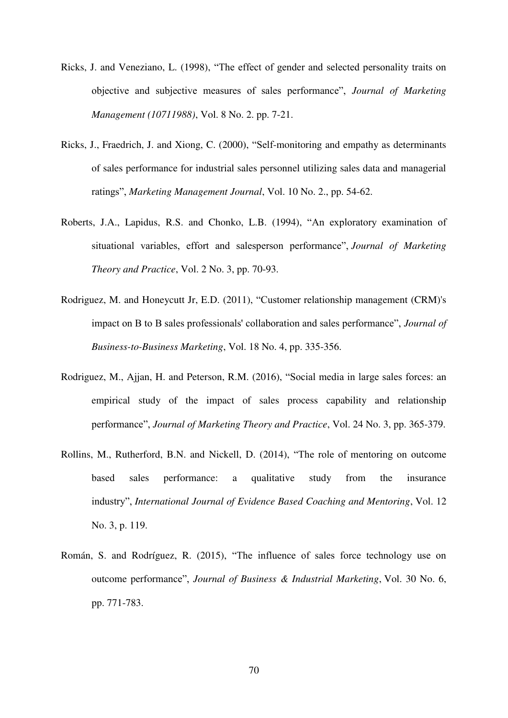- Ricks, J. and Veneziano, L. (1998), "The effect of gender and selected personality traits on objective and subjective measures of sales performance", *Journal of Marketing Management (10711988)*, Vol. 8 No. 2. pp. 7-21.
- Ricks, J., Fraedrich, J. and Xiong, C. (2000), "Self-monitoring and empathy as determinants of sales performance for industrial sales personnel utilizing sales data and managerial ratings", *Marketing Management Journal*, Vol. 10 No. 2., pp. 54-62.
- Roberts, J.A., Lapidus, R.S. and Chonko, L.B. (1994), "An exploratory examination of situational variables, effort and salesperson performance", *Journal of Marketing Theory and Practice*, Vol. 2 No. 3, pp. 70-93.
- Rodriguez, M. and Honeycutt Jr, E.D. (2011), "Customer relationship management (CRM)'s impact on B to B sales professionals' collaboration and sales performance", *Journal of Business-to-Business Marketing*, Vol. 18 No. 4, pp. 335-356.
- Rodriguez, M., Ajjan, H. and Peterson, R.M. (2016), "Social media in large sales forces: an empirical study of the impact of sales process capability and relationship performance", *Journal of Marketing Theory and Practice*, Vol. 24 No. 3, pp. 365-379.
- Rollins, M., Rutherford, B.N. and Nickell, D. (2014), "The role of mentoring on outcome based sales performance: a qualitative study from the insurance industry", *International Journal of Evidence Based Coaching and Mentoring*, Vol. 12 No. 3, p. 119.
- Román, S. and Rodríguez, R. (2015), "The influence of sales force technology use on outcome performance", *Journal of Business & Industrial Marketing*, Vol. 30 No. 6, pp. 771-783.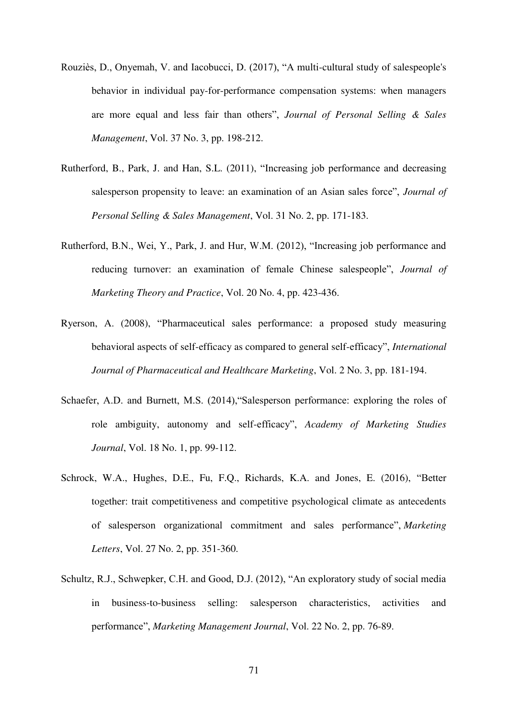- Rouziès, D., Onyemah, V. and Iacobucci, D. (2017), "A multi-cultural study of salespeople's behavior in individual pay-for-performance compensation systems: when managers are more equal and less fair than others", *Journal of Personal Selling & Sales Management*, Vol. 37 No. 3, pp. 198-212.
- Rutherford, B., Park, J. and Han, S.L. (2011), "Increasing job performance and decreasing salesperson propensity to leave: an examination of an Asian sales force", *Journal of Personal Selling & Sales Management*, Vol. 31 No. 2, pp. 171-183.
- Rutherford, B.N., Wei, Y., Park, J. and Hur, W.M. (2012), "Increasing job performance and reducing turnover: an examination of female Chinese salespeople", *Journal of Marketing Theory and Practice*, Vol. 20 No. 4, pp. 423-436.
- Ryerson, A. (2008), "Pharmaceutical sales performance: a proposed study measuring behavioral aspects of self-efficacy as compared to general self-efficacy", *International Journal of Pharmaceutical and Healthcare Marketing*, Vol. 2 No. 3, pp. 181-194.
- Schaefer, A.D. and Burnett, M.S. (2014),"Salesperson performance: exploring the roles of role ambiguity, autonomy and self-efficacy", *Academy of Marketing Studies Journal*, Vol. 18 No. 1, pp. 99-112.
- Schrock, W.A., Hughes, D.E., Fu, F.Q., Richards, K.A. and Jones, E. (2016), "Better together: trait competitiveness and competitive psychological climate as antecedents of salesperson organizational commitment and sales performance", *Marketing Letters*, Vol. 27 No. 2, pp. 351-360.
- Schultz, R.J., Schwepker, C.H. and Good, D.J. (2012), "An exploratory study of social media in business-to-business selling: salesperson characteristics, activities and performance", *Marketing Management Journal*, Vol. 22 No. 2, pp. 76-89.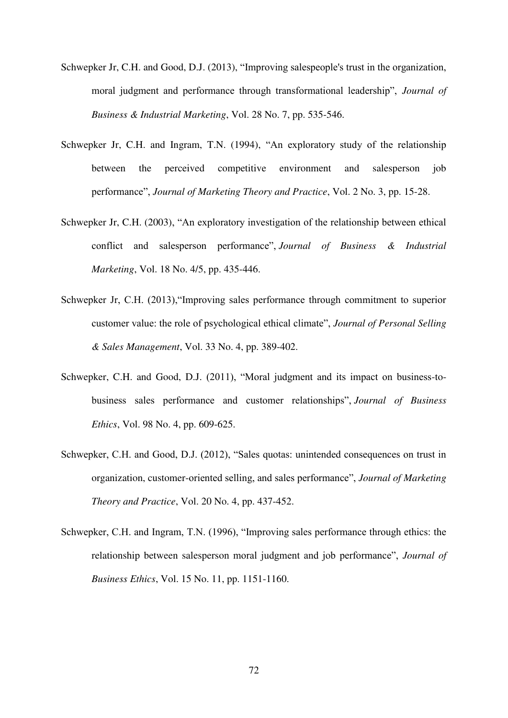- Schwepker Jr, C.H. and Good, D.J. (2013), "Improving salespeople's trust in the organization, moral judgment and performance through transformational leadership", *Journal of Business & Industrial Marketing*, Vol. 28 No. 7, pp. 535-546.
- Schwepker Jr, C.H. and Ingram, T.N. (1994), "An exploratory study of the relationship between the perceived competitive environment and salesperson job performance", *Journal of Marketing Theory and Practice*, Vol. 2 No. 3, pp. 15-28.
- Schwepker Jr, C.H. (2003), "An exploratory investigation of the relationship between ethical conflict and salesperson performance", *Journal of Business & Industrial Marketing*, Vol. 18 No. 4/5, pp. 435-446.
- Schwepker Jr, C.H. (2013),"Improving sales performance through commitment to superior customer value: the role of psychological ethical climate", *Journal of Personal Selling & Sales Management*, Vol. 33 No. 4, pp. 389-402.
- Schwepker, C.H. and Good, D.J. (2011), "Moral judgment and its impact on business-tobusiness sales performance and customer relationships", *Journal of Business Ethics*, Vol. 98 No. 4, pp. 609-625.
- Schwepker, C.H. and Good, D.J. (2012), "Sales quotas: unintended consequences on trust in organization, customer-oriented selling, and sales performance", *Journal of Marketing Theory and Practice*, Vol. 20 No. 4, pp. 437-452.
- Schwepker, C.H. and Ingram, T.N. (1996), "Improving sales performance through ethics: the relationship between salesperson moral judgment and job performance", *Journal of Business Ethics*, Vol. 15 No. 11, pp. 1151-1160.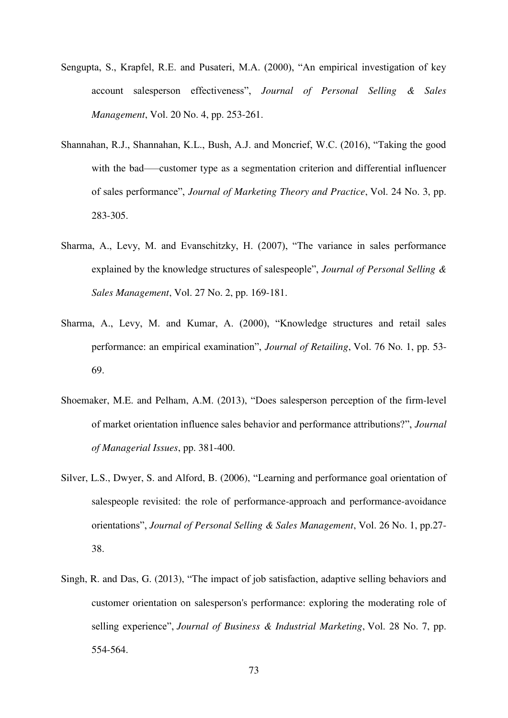- Sengupta, S., Krapfel, R.E. and Pusateri, M.A. (2000), "An empirical investigation of key account salesperson effectiveness", *Journal of Personal Selling & Sales Management*, Vol. 20 No. 4, pp. 253-261.
- Shannahan, R.J., Shannahan, K.L., Bush, A.J. and Moncrief, W.C. (2016), "Taking the good with the bad——customer type as a segmentation criterion and differential influencer of sales performance", *Journal of Marketing Theory and Practice*, Vol. 24 No. 3, pp. 283-305.
- Sharma, A., Levy, M. and Evanschitzky, H. (2007), "The variance in sales performance explained by the knowledge structures of salespeople", *Journal of Personal Selling & Sales Management*, Vol. 27 No. 2, pp. 169-181.
- Sharma, A., Levy, M. and Kumar, A. (2000), "Knowledge structures and retail sales performance: an empirical examination", *Journal of Retailing*, Vol. 76 No. 1, pp. 53- 69.
- Shoemaker, M.E. and Pelham, A.M. (2013), "Does salesperson perception of the firm-level of market orientation influence sales behavior and performance attributions?", *Journal of Managerial Issues*, pp. 381-400.
- Silver, L.S., Dwyer, S. and Alford, B. (2006), "Learning and performance goal orientation of salespeople revisited: the role of performance-approach and performance-avoidance orientations", *Journal of Personal Selling & Sales Management*, Vol. 26 No. 1, pp.27- 38.
- Singh, R. and Das, G. (2013), "The impact of job satisfaction, adaptive selling behaviors and customer orientation on salesperson's performance: exploring the moderating role of selling experience", *Journal of Business & Industrial Marketing*, Vol. 28 No. 7, pp. 554-564.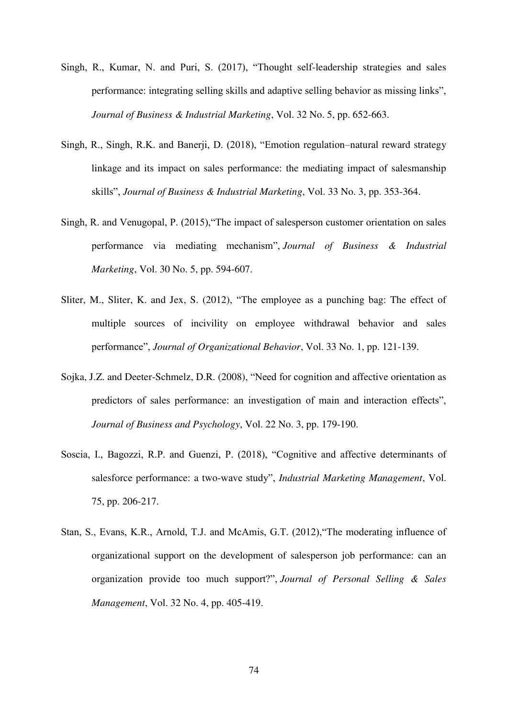- Singh, R., Kumar, N. and Puri, S. (2017), "Thought self-leadership strategies and sales performance: integrating selling skills and adaptive selling behavior as missing links", *Journal of Business & Industrial Marketing*, Vol. 32 No. 5, pp. 652-663.
- Singh, R., Singh, R.K. and Banerji, D. (2018), "Emotion regulation–natural reward strategy linkage and its impact on sales performance: the mediating impact of salesmanship skills", *Journal of Business & Industrial Marketing*, Vol. 33 No. 3, pp. 353-364.
- Singh, R. and Venugopal, P. (2015),"The impact of salesperson customer orientation on sales performance via mediating mechanism", *Journal of Business & Industrial Marketing*, Vol. 30 No. 5, pp. 594-607.
- Sliter, M., Sliter, K. and Jex, S. (2012), "The employee as a punching bag: The effect of multiple sources of incivility on employee withdrawal behavior and sales performance", *Journal of Organizational Behavior*, Vol. 33 No. 1, pp. 121-139.
- Sojka, J.Z. and Deeter-Schmelz, D.R. (2008), "Need for cognition and affective orientation as predictors of sales performance: an investigation of main and interaction effects", *Journal of Business and Psychology*, Vol. 22 No. 3, pp. 179-190.
- Soscia, I., Bagozzi, R.P. and Guenzi, P. (2018), "Cognitive and affective determinants of salesforce performance: a two-wave study", *Industrial Marketing Management*, Vol. 75, pp. 206-217.
- Stan, S., Evans, K.R., Arnold, T.J. and McAmis, G.T. (2012),"The moderating influence of organizational support on the development of salesperson job performance: can an organization provide too much support?", *Journal of Personal Selling & Sales Management*, Vol. 32 No. 4, pp. 405-419.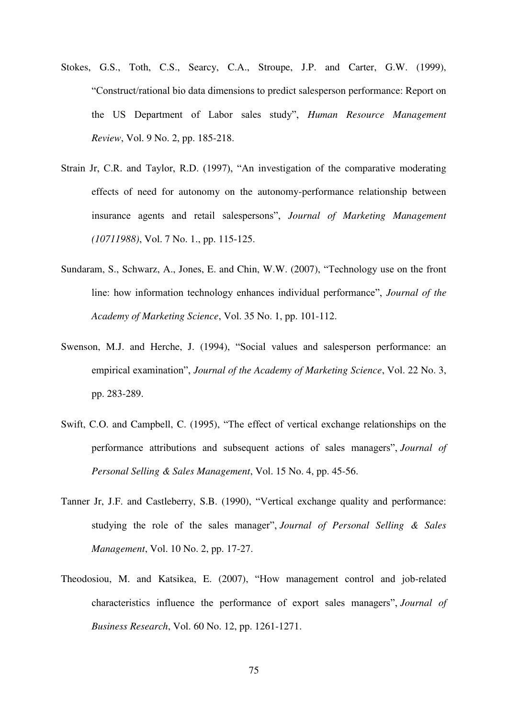- Stokes, G.S., Toth, C.S., Searcy, C.A., Stroupe, J.P. and Carter, G.W. (1999), "Construct/rational bio data dimensions to predict salesperson performance: Report on the US Department of Labor sales study", *Human Resource Management Review*, Vol. 9 No. 2, pp. 185-218.
- Strain Jr, C.R. and Taylor, R.D. (1997), "An investigation of the comparative moderating effects of need for autonomy on the autonomy-performance relationship between insurance agents and retail salespersons", *Journal of Marketing Management (10711988)*, Vol. 7 No. 1., pp. 115-125.
- Sundaram, S., Schwarz, A., Jones, E. and Chin, W.W. (2007), "Technology use on the front line: how information technology enhances individual performance", *Journal of the Academy of Marketing Science*, Vol. 35 No. 1, pp. 101-112.
- Swenson, M.J. and Herche, J. (1994), "Social values and salesperson performance: an empirical examination", *Journal of the Academy of Marketing Science*, Vol. 22 No. 3, pp. 283-289.
- Swift, C.O. and Campbell, C. (1995), "The effect of vertical exchange relationships on the performance attributions and subsequent actions of sales managers", *Journal of Personal Selling & Sales Management*, Vol. 15 No. 4, pp. 45-56.
- Tanner Jr, J.F. and Castleberry, S.B. (1990), "Vertical exchange quality and performance: studying the role of the sales manager", *Journal of Personal Selling & Sales Management*, Vol. 10 No. 2, pp. 17-27.
- Theodosiou, M. and Katsikea, E. (2007), "How management control and job-related characteristics influence the performance of export sales managers", *Journal of Business Research*, Vol. 60 No. 12, pp. 1261-1271.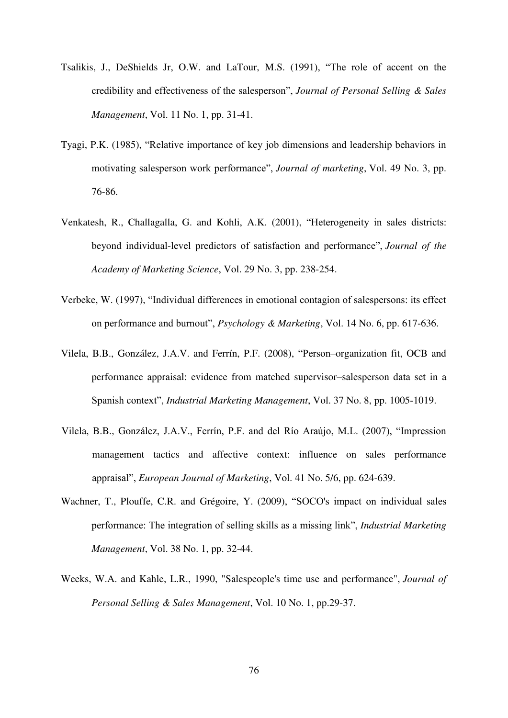- Tsalikis, J., DeShields Jr, O.W. and LaTour, M.S. (1991), "The role of accent on the credibility and effectiveness of the salesperson", *Journal of Personal Selling & Sales Management*, Vol. 11 No. 1, pp. 31-41.
- Tyagi, P.K. (1985), "Relative importance of key job dimensions and leadership behaviors in motivating salesperson work performance", *Journal of marketing*, Vol. 49 No. 3, pp. 76-86.
- Venkatesh, R., Challagalla, G. and Kohli, A.K. (2001), "Heterogeneity in sales districts: beyond individual-level predictors of satisfaction and performance", *Journal of the Academy of Marketing Science*, Vol. 29 No. 3, pp. 238-254.
- Verbeke, W. (1997), "Individual differences in emotional contagion of salespersons: its effect on performance and burnout", *Psychology & Marketing*, Vol. 14 No. 6, pp. 617-636.
- Vilela, B.B., González, J.A.V. and Ferrín, P.F. (2008), "Person–organization fit, OCB and performance appraisal: evidence from matched supervisor–salesperson data set in a Spanish context", *Industrial Marketing Management*, Vol. 37 No. 8, pp. 1005-1019.
- Vilela, B.B., González, J.A.V., Ferrín, P.F. and del Río Araújo, M.L. (2007), "Impression management tactics and affective context: influence on sales performance appraisal", *European Journal of Marketing*, Vol. 41 No. 5/6, pp. 624-639.
- Wachner, T., Plouffe, C.R. and Grégoire, Y. (2009), "SOCO's impact on individual sales performance: The integration of selling skills as a missing link", *Industrial Marketing Management*, Vol. 38 No. 1, pp. 32-44.
- Weeks, W.A. and Kahle, L.R., 1990, "Salespeople's time use and performance", *Journal of Personal Selling & Sales Management*, Vol. 10 No. 1, pp.29-37.